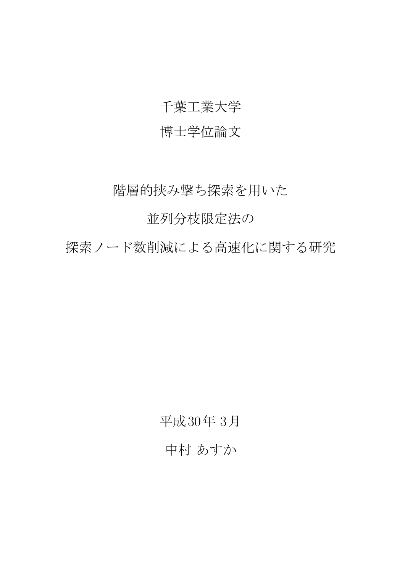### 千葉工業大学

### 博士学位論文

階層的挟み撃ち探索を用いた

並列分枝限定法の

探索ノード数削減による高速化に関する研究

平成30年 3月 中村 あすか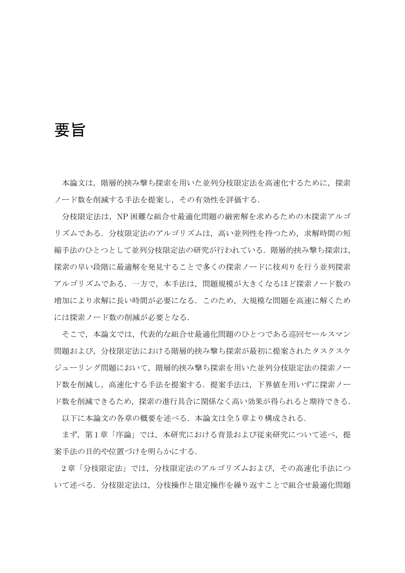要旨

本論文は、階層的挟み撃ち探索を用いた並列分枝限定法を高速化するために、探索 ノード数を削減する手法を提案し,その有効性を評価する.

分枝限定法は,NP 困難な組合せ最適化問題の厳密解を求めるための木探索アルゴ リズムである.分枝限定法のアルゴリズムは,高い並列性を持つため,求解時間の短 縮手法のひとつとして並列分枝限定法の研究が行われている.階層的挟み撃ち探索は, 探索の早い段階に最適解を発見することで多くの探索ノードに枝刈りを行う並列探索 アルゴリズムである.一方で,本手法は,問題規模が大きくなるほど探索ノード数の 増加により求解に長い時間が必要になる.このため,大規模な問題を高速に解くため には探索ノード数の削減が必要となる.

そこで,本論文では,代表的な組合せ最適化問題のひとつである巡回セールスマン 問題および,分枝限定法における階層的挟み撃ち探索が最初に提案されたタスクスケ ジューリング問題において,階層的挟み撃ち探索を用いた並列分枝限定法の探索ノー ド数を削減し、高速化する手法を提案する. 提案手法は、下界値を用いずに探索ノー ド数を削減できるため,探索の進行具合に関係なく高い効果が得られると期待できる.

以下に本論文の各章の概要を述べる. 本論文は全5章より構成される.

まず、第1章「序論」では、本研究における背景および従来研究について述べ、提 案手法の目的や位置づけを明らかにする.

2 章「分枝限定法」では,分枝限定法のアルゴリズムおよび,その高速化手法につ いて述べる.分枝限定法は,分枝操作と限定操作を繰り返すことで組合せ最適化問題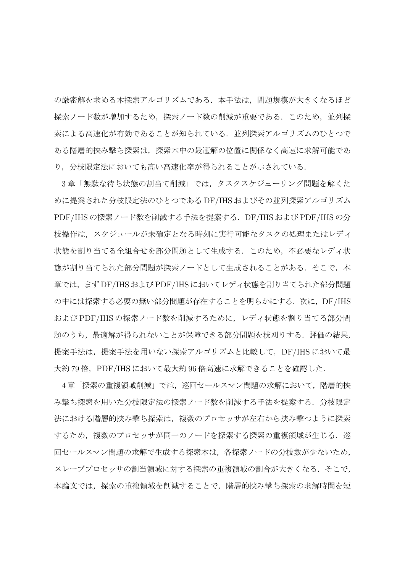の厳密解を求める木探索アルゴリズムである.本手法は、問題規模が大きくなるほど 探索ノード数が増加するため,探索ノード数の削減が重要である. このため,並列探 索による高速化が有効であることが知られている.並列探索アルゴリズムのひとつで ある階層的挟み撃ち探索は,探索木中の最適解の位置に関係なく高速に求解可能であ り,分枝限定法においても高い高速化率が得られることが示されている.

3 章「無駄な待ち状態の割当て削減」では,タスクスケジューリング問題を解くた めに提案された分枝限定法のひとつである DF/IHS およびその並列探索アルゴリズム PDF/IHS の探索ノード数を削減する手法を提案する.DF/IHS および PDF/IHS の分 枝操作は,スケジュールが未確定となる時刻に実行可能なタスクの処理またはレディ 状態を割り当てる全組合せを部分問題として生成する. このため、不必要なレディ状 態が割り当てられた部分問題が探索ノードとして生成されることがある. そこで、本 章では,まず DF/IHS および PDF/IHS においてレディ状態を割り当てられた部分問題 の中には探索する必要の無い部分問題が存在することを明らかにする. 次に、DF/IHS および PDF/IHS の探索ノード数を削減するために,レディ状態を割り当てる部分問 題のうち,最適解が得られないことが保障できる部分問題を枝刈りする.評価の結果, 提案手法は、提案手法を用いない探索アルゴリズムと比較して、DF/IHS において最 大約79倍, PDF/IHS において最大約 96 倍高速に求解できることを確認した.

4章「探索の重複領域削減」では、巡回セールスマン問題の求解において、階層的挟 み撃ち探索を用いた分枝限定法の探索ノード数を削減する手法を提案する.分枝限定 法における階層的挟み撃ち探索は,複数のプロセッサが左右から挟み撃つように探索 するため,複数のプロセッサが同一のノードを探索する探索の重複領域が生じる.巡 回セールスマン問題の求解で生成する探索木は,各探索ノードの分枝数が少ないため, スレーブプロセッサの割当領域に対する探索の重複領域の割合が大きくなる. そこで, 本論文では,探索の重複領域を削減することで,階層的挟み撃ち探索の求解時間を短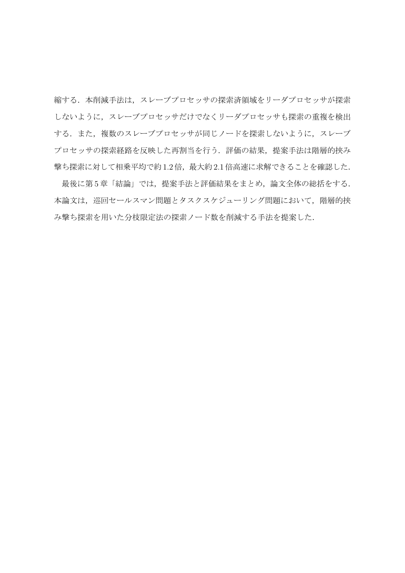縮する.本削減手法は,スレーブプロセッサの探索済領域をリーダプロセッサが探索 しないように,スレーブプロセッサだけでなくリーダプロセッサも探索の重複を検出 する. また、複数のスレーブプロセッサが同じノードを探索しないように、スレーブ プロセッサの探索経路を反映した再割当を行う. 評価の結果、提案手法は階層的挟み 撃ち探索に対して相乗平均で約 1.2 倍,最大約 2.1 倍高速に求解できることを確認した.

最後に第5章「結論」では、提案手法と評価結果をまとめ、論文全体の総括をする. 本論文は、巡回セールスマン問題とタスクスケジューリング問題において、階層的挟 み撃ち探索を用いた分枝限定法の探索ノード数を削減する手法を提案した.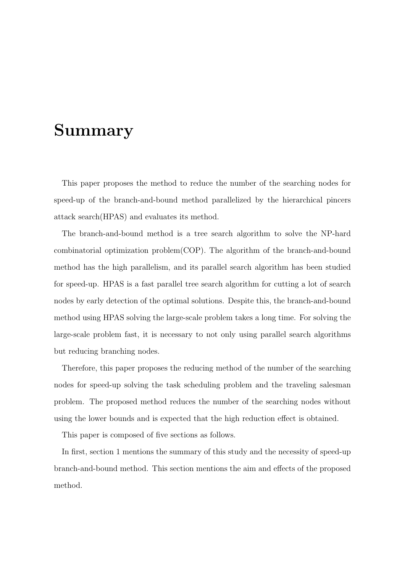## **Summary**

This paper proposes the method to reduce the number of the searching nodes for speed-up of the branch-and-bound method parallelized by the hierarchical pincers attack search(HPAS) and evaluates its method.

The branch-and-bound method is a tree search algorithm to solve the NP-hard combinatorial optimization problem(COP). The algorithm of the branch-and-bound method has the high parallelism, and its parallel search algorithm has been studied for speed-up. HPAS is a fast parallel tree search algorithm for cutting a lot of search nodes by early detection of the optimal solutions. Despite this, the branch-and-bound method using HPAS solving the large-scale problem takes a long time. For solving the large-scale problem fast, it is necessary to not only using parallel search algorithms but reducing branching nodes.

Therefore, this paper proposes the reducing method of the number of the searching nodes for speed-up solving the task scheduling problem and the traveling salesman problem. The proposed method reduces the number of the searching nodes without using the lower bounds and is expected that the high reduction effect is obtained.

This paper is composed of five sections as follows.

In first, section 1 mentions the summary of this study and the necessity of speed-up branch-and-bound method. This section mentions the aim and effects of the proposed method.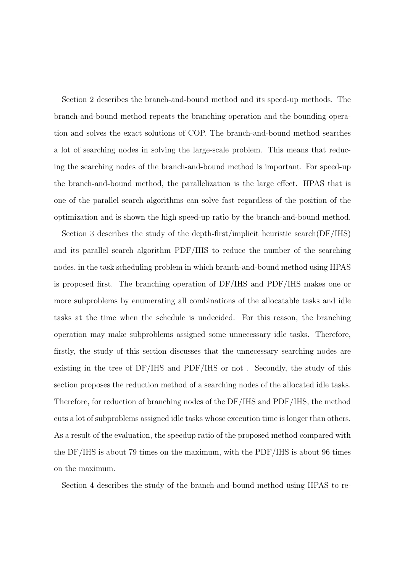Section 2 describes the branch-and-bound method and its speed-up methods. The branch-and-bound method repeats the branching operation and the bounding operation and solves the exact solutions of COP. The branch-and-bound method searches a lot of searching nodes in solving the large-scale problem. This means that reducing the searching nodes of the branch-and-bound method is important. For speed-up the branch-and-bound method, the parallelization is the large effect. HPAS that is one of the parallel search algorithms can solve fast regardless of the position of the optimization and is shown the high speed-up ratio by the branch-and-bound method.

Section 3 describes the study of the depth-first/implicit heuristic search(DF/IHS) and its parallel search algorithm PDF/IHS to reduce the number of the searching nodes, in the task scheduling problem in which branch-and-bound method using HPAS is proposed first. The branching operation of DF/IHS and PDF/IHS makes one or more subproblems by enumerating all combinations of the allocatable tasks and idle tasks at the time when the schedule is undecided. For this reason, the branching operation may make subproblems assigned some unnecessary idle tasks. Therefore, firstly, the study of this section discusses that the unnecessary searching nodes are existing in the tree of DF/IHS and PDF/IHS or not . Secondly, the study of this section proposes the reduction method of a searching nodes of the allocated idle tasks. Therefore, for reduction of branching nodes of the DF/IHS and PDF/IHS, the method cuts a lot of subproblems assigned idle tasks whose execution time is longer than others. As a result of the evaluation, the speedup ratio of the proposed method compared with the DF/IHS is about 79 times on the maximum, with the PDF/IHS is about 96 times on the maximum.

Section 4 describes the study of the branch-and-bound method using HPAS to re-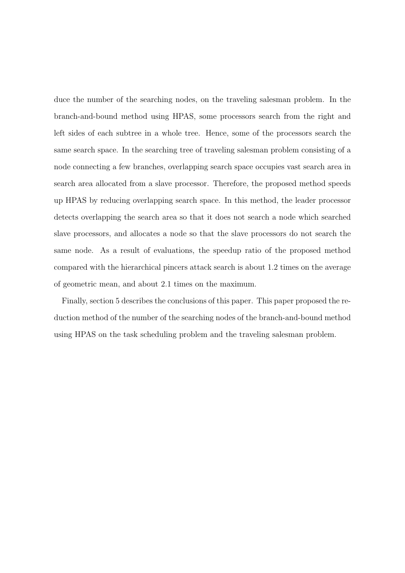duce the number of the searching nodes, on the traveling salesman problem. In the branch-and-bound method using HPAS, some processors search from the right and left sides of each subtree in a whole tree. Hence, some of the processors search the same search space. In the searching tree of traveling salesman problem consisting of a node connecting a few branches, overlapping search space occupies vast search area in search area allocated from a slave processor. Therefore, the proposed method speeds up HPAS by reducing overlapping search space. In this method, the leader processor detects overlapping the search area so that it does not search a node which searched slave processors, and allocates a node so that the slave processors do not search the same node. As a result of evaluations, the speedup ratio of the proposed method compared with the hierarchical pincers attack search is about 1.2 times on the average of geometric mean, and about 2.1 times on the maximum.

Finally, section 5 describes the conclusions of this paper. This paper proposed the reduction method of the number of the searching nodes of the branch-and-bound method using HPAS on the task scheduling problem and the traveling salesman problem.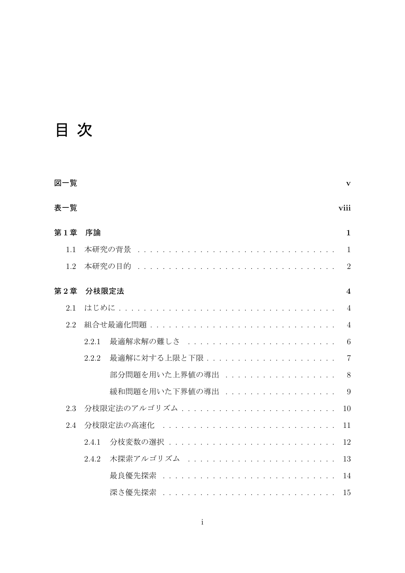# 目 次

| 図一覧 |       |                                             | V                       |
|-----|-------|---------------------------------------------|-------------------------|
| 表一覧 |       |                                             | viii                    |
| 第1章 | 序論    |                                             | $\mathbf{1}$            |
| 1.1 |       | 本研究の背景 ...................................  | $\mathbf{1}$            |
| 1.2 |       | 本研究の目的                                      | 2                       |
| 第2章 | 分枝限定法 |                                             | $\overline{\mathbf{4}}$ |
| 2.1 | はじめに  |                                             | $\overline{4}$          |
| 2.2 |       | 組合せ最適化問題 .................................. | $\overline{4}$          |
|     | 2.2.1 | 最適解求解の難しさ .........................         | 6                       |
|     | 2.2.2 | 最適解に対する上限と下限.....................           | $\overline{7}$          |
|     |       | 部分問題を用いた上界値の導出                              | 8                       |
|     |       | 緩和問題を用いた下界値の導出                              | 9                       |
| 2.3 |       | 分枝限定法のアルゴリズム..........................      | 10                      |
| 2.4 |       | 分枝限定法の高速化                                   | 11                      |
|     | 2.4.1 | 分枝変数の選択 ...............................     | 12                      |
|     | 2.4.2 | 木探索アルゴリズム .........................         | 13                      |
|     |       | 最良優先探索                                      | 14                      |
|     |       | 深さ優先探索 ...............................      | 15                      |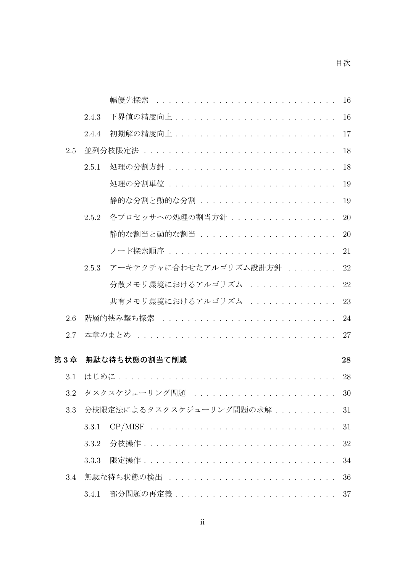|     |       | 幅優先探索                                     | 16 |
|-----|-------|-------------------------------------------|----|
|     | 2.4.3 |                                           | 16 |
|     | 2.4.4 |                                           | 17 |
| 2.5 |       |                                           | 18 |
|     | 2.5.1 | 処理の分割方針 ..............................    | 18 |
|     |       |                                           | 19 |
|     |       | 静的な分割と動的な分割 .......................       | 19 |
|     | 2.5.2 | 各プロセッサへの処理の割当方針                           | 20 |
|     |       | 静的な割当と動的な割当 .......................       | 20 |
|     |       | ノード探索順序 ...............................   | 21 |
|     | 2.5.3 | アーキテクチャに合わせたアルゴリズム設計方針                    | 22 |
|     |       | 分散メモリ環境におけるアルゴリズム                         | 22 |
|     |       | 共有メモリ環境におけるアルゴリズム                         | 23 |
| 2.6 |       | 階層的挟み撃ち探索 ..............................  | 24 |
| 2.7 |       |                                           | 27 |
| 第3章 |       | 無駄な待ち状態の割当て削減                             | 28 |
|     |       |                                           |    |
| 3.1 | はじめに  |                                           | 28 |
| 3.2 |       | タスクスケジューリング問題                             | 30 |
| 3.3 |       | 分枝限定法によるタスクスケジューリング問題の求解                  | 31 |
|     | 3.3.1 | $CP/MISF$                                 | 31 |
|     | 3.3.2 |                                           | 32 |
|     | 3.3.3 |                                           | 34 |
| 3.4 |       | 無駄な待ち状熊の検出 .............................. | 36 |
|     | 3.4.1 |                                           | 37 |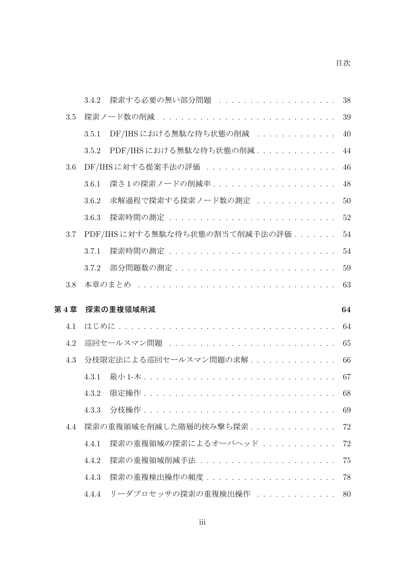|     | 探索する必要の無い部分問題<br>3.4.2                          | 38 |
|-----|-------------------------------------------------|----|
| 3.5 | 探索ノード数の削減                                       | 39 |
|     | DF/IHSにおける無駄な待ち状態の削減<br>3.5.1                   | 40 |
|     | PDF/IHSにおける無駄な待ち状態の削減<br>3.5.2                  | 44 |
| 3.6 | DF/IHSに対する提案手法の評価                               | 46 |
|     | 深さ1の探索ノードの削減率<br>3.6.1                          | 48 |
|     | 求解過程で探索する探索ノード数の測定<br>3.6.2                     | 50 |
|     | 探索時間の測定 ..............................<br>3.6.3 | 52 |
| 3.7 | PDF/IHSに対する無駄な待ち状態の割当て削減手法の評価                   | 54 |
|     | 3.7.1                                           | 54 |
|     | 3.7.2                                           | 59 |
| 3.8 |                                                 | 63 |
|     |                                                 |    |
| 第4章 | 探索の重複領域削減                                       | 64 |
| 4.1 |                                                 | 64 |
| 4.2 | 巡回セールスマン問題                                      | 65 |
| 4.3 | 分枝限定法による巡回セールスマン問題の求解                           | 66 |
|     | 4.3.1                                           | 67 |
|     | 4.3.2                                           | 68 |
|     | 4.3.3                                           | 69 |
| 4.4 | 探索の重複領域を削減した階層的挟み撃ち探索..............             | 72 |
|     | 探索の重複領域の探索によるオーバヘッド<br>4.4.1                    | 72 |
|     | 探索の重複領域削減手法 .......................<br>4.4.2    | 75 |
|     | 探索の重複検出操作の頻度.......................<br>4.4.3    | 78 |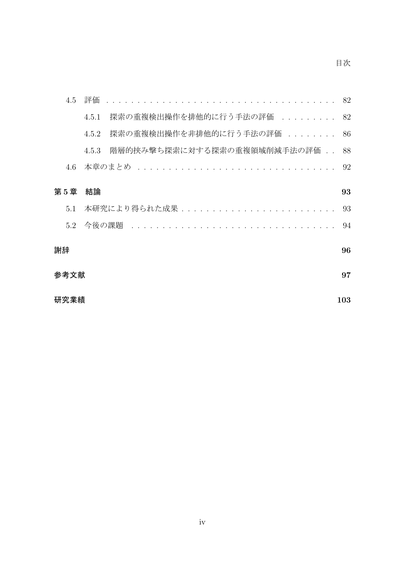| 4.5  | 評価    |                                        | 82 |
|------|-------|----------------------------------------|----|
|      | 4.5.1 | 探索の重複検出操作を排他的に行う手法の評価 .........        | 82 |
|      | 4.5.2 | 探索の重複検出操作を非排他的に行う手法の評価 ........        | 86 |
|      | 4.5.3 | 階層的挟み撃ち探索に対する探索の重複領域削減手法の評価            | 88 |
| 4.6  |       | 本章のまとめ                                 | 92 |
| 第5章  | 結論    |                                        | 93 |
| 5.1  |       | 本研究により得られた成果.......................... | 93 |
|      |       |                                        | 94 |
| 謝辞   |       |                                        | 96 |
| 参考文献 |       |                                        | 97 |
| 研究業績 |       | 103                                    |    |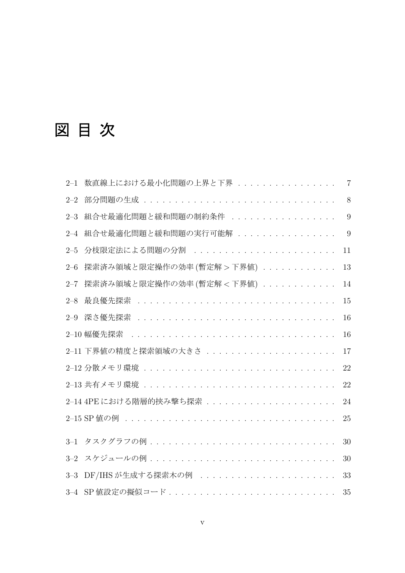# 図 目 次

| $2 - 1$ | 数直線上における最小化問題の上界と下界        | $\overline{7}$ |
|---------|----------------------------|----------------|
| $2 - 2$ |                            | 8              |
| $2 - 3$ | 組合せ最適化問題と緩和問題の制約条件         | 9              |
| $2 - 4$ | 組合せ最適化問題と緩和問題の実行可能解        | 9              |
| $2 - 5$ | 分枝限定法による問題の分割              | 11             |
| $2 - 6$ | 探索済み領域と限定操作の効率 (暫定解 > 下界値) | 13             |
| $2 - 7$ | 探索済み領域と限定操作の効率 (暫定解 < 下界値) | 14             |
| $2 - 8$ |                            | 15             |
| $2 - 9$ |                            | 16             |
|         |                            | 16             |
|         | 2-11 下界値の精度と探索領域の大きさ       | 17             |
|         |                            | 22             |
|         |                            | 22             |
|         |                            | 24             |
|         |                            | 25             |
| $3 - 1$ |                            | 30             |
| $3 - 2$ | スケジュールの例                   | 30             |
| $3 - 3$ | DF/IHSが生成する探索木の例           | 33             |
|         |                            | 35             |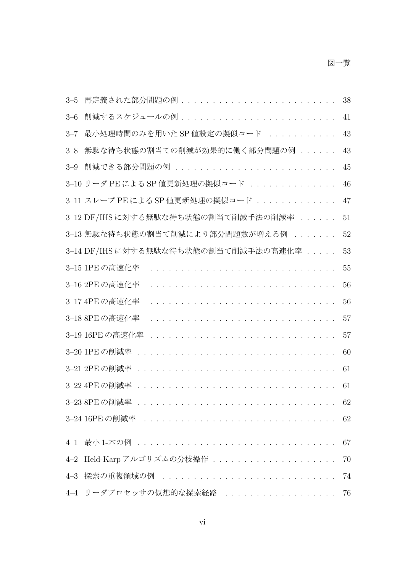#### 図一覧

| $3 - 5$ | 再定義された部分問題の例                                      | 38 |
|---------|---------------------------------------------------|----|
| $3 - 6$ | 削減するスケジュールの例........................              | 41 |
| $3 - 7$ | 最小処理時間のみを用いた SP 値設定の擬似コード                         | 43 |
| $3 - 8$ | 無駄な待ち状態の割当ての削減が効果的に働く部分問題の例                       | 43 |
| $3 - 9$ | 削減できる部分問題の例                                       | 45 |
|         | 3-10 リーダ PE による SP 値更新処理の擬似コード                    | 46 |
|         | 3-11 スレーブ PE による SP 値更新処理の擬似コード                   | 47 |
|         | 3-12 DF/IHSに対する無駄な待ち状態の割当て削減手法の削減率                | 51 |
|         | 3-13 無駄な待ち状態の割当て削減により部分問題数が増える例                   | 52 |
|         | 3-14 DF/IHSに対する無駄な待ち状態の割当て削減手法の高速化率               | 53 |
|         | 3-15 1PE の高速化率                                    | 55 |
|         | 3-16 2PE の高速化率                                    | 56 |
|         | 3-17 4PE の高速化率                                    | 56 |
|         | 3-18 8PE の高速化率                                    | 57 |
|         |                                                   | 57 |
|         |                                                   | 60 |
|         |                                                   | 61 |
|         |                                                   | 61 |
|         | 3-23 8PE の削減率 ................................... | 62 |
|         | 3-24 16PEの削減率                                     | 62 |
| $4 - 1$ |                                                   | 67 |
| $4 - 2$ | Held-Karpアルゴリズムの分枝操作                              | 70 |
| $4 - 3$ | 探索の重複領域の例                                         | 74 |
| $4 - 4$ | リーダプロセッサの仮想的な探索経路                                 | 76 |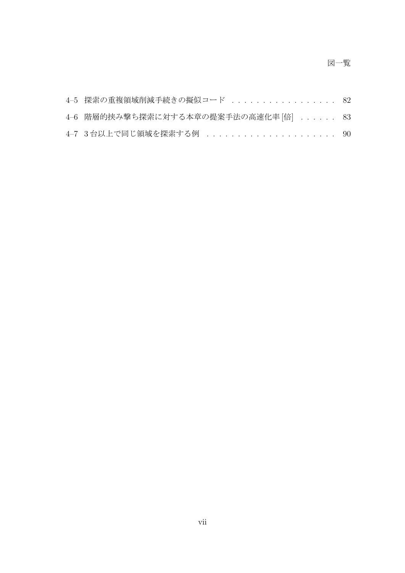#### 図一覧

| 4-5 探索の重複領域削減手続きの擬似コード  82            |  |
|---------------------------------------|--|
| 4-6 階層的挟み撃ち探索に対する本章の提案手法の高速化率 [倍]  83 |  |
| 4-7 3台以上で同じ領域を探索する例  90               |  |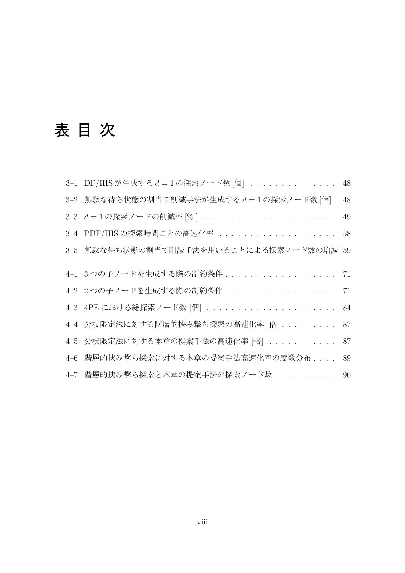# 表 目 次

|         | 3-1 DF/IHSが生成する d = 1の探索ノード数 [個] 48      |    |
|---------|------------------------------------------|----|
|         | 3-2 無駄な待ち状態の割当て削減手法が生成するd=1の探索ノード数[個]    | 48 |
|         |                                          | 49 |
|         | 3-4 PDF/IHSの探索時間ごとの高速化率                  | 58 |
|         | 3—5 無駄な待ち状態の割当て削減手法を用いることによる探索ノード数の増減 59 |    |
|         |                                          |    |
|         | 4-1 3つの子ノードを生成する際の制約条件                   | 71 |
|         | 4-2 2つの子ノードを生成する際の制約条件                   | 71 |
|         | 4-3 4PEにおける総探索ノード数 [個]  84               |    |
|         | 4-4 分枝限定法に対する階層的挟み撃ち探索の高速化率 [倍]  87      |    |
|         | 4-5 分枝限定法に対する本章の提案手法の高速化率 [倍]            | 87 |
| $4 - 6$ | 階層的挟み撃ち探索に対する本章の提案手法高速化率の度数分布....        | 89 |
|         | 4-7 階層的挟み撃ち探索と本章の提案手法の探索ノード数30           |    |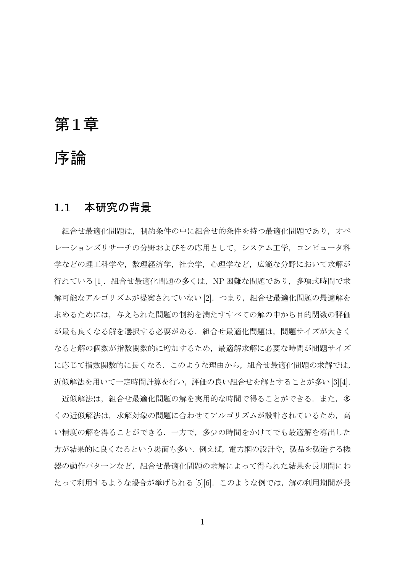### 第**1**章

### 序論

#### **1.1** 本研究の背景

組合せ最適化問題は、制約条件の中に組合せ的条件を持つ最適化問題であり、オペ レーションズリサーチの分野およびその応用として,システム工学,コンピュータ科 学などの理工科学や,数理経済学,社会学,心理学など,広範な分野において求解が 行れている [1]. 組合せ最適化問題の多くは、NP 困難な問題であり、多項式時間で求 解可能なアルゴリズムが提案されていない [2]. つまり, 組合せ最適化問題の最適解を 求めるためには,与えられた問題の制約を満たすすべての解の中から目的関数の評価 が最も良くなる解を選択する必要がある.組合せ最適化問題は,問題サイズが大きく なると解の個数が指数関数的に増加するため,最適解求解に必要な時間が問題サイズ に応じて指数関数的に長くなる.このような理由から,組合せ最適化問題の求解では, 近似解法を用いて一定時間計算を行い,評価の良い組合せを解とすることが多い [3][4].

近似解法は、組合せ最適化問題の解を実用的な時間で得ることができる.また、多 くの近似解法は,求解対象の問題に合わせてアルゴリズムが設計されているため,高 い精度の解を得ることができる.一方で,多少の時間をかけてでも最適解を導出した 方が結果的に良くなるという場面も多い.例えば,電力網の設計や,製品を製造する機 器の動作パターンなど,組合せ最適化問題の求解によって得られた結果を長期間にわ たって利用するような場合が挙げられる [5][6]. このような例では、解の利用期間が長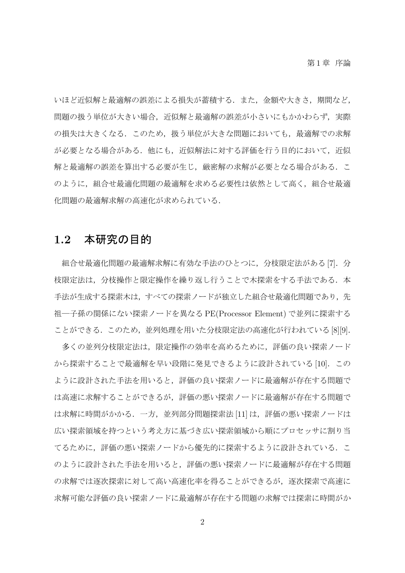いほど近似解と最適解の誤差による損失が蓄積する.また、金額や大きさ,期間など, 問題の扱う単位が大きい場合,近似解と最適解の誤差が小さいにもかかわらず、実際 の損失は大きくなる.このため、扱う単位が大きな問題においても,最適解での求解 が必要となる場合がある.他にも、近似解法に対する評価を行う目的において、近似 解と最適解の誤差を算出する必要が生じ、厳密解の求解が必要となる場合がある.こ のように、組合せ最適化問題の最適解を求める必要性は依然として高く、組合せ最適 化問題の最適解求解の高速化が求められている.

#### **1.2** 本研究の目的

組合せ最適化問題の最適解求解に有効な手法のひとつに,分枝限定法がある [7].分 枝限定法は,分枝操作と限定操作を繰り返し行うことで木探索をする手法である.本 手法が生成する探索木は、すべての探索ノードが独立した組合せ最適化問題であり、先 祖―子孫の関係にない探索ノードを異なる PE(Processor Element) で並列に探索する ことができる.このため、並列処理を用いた分枝限定法の高速化が行われている [8][9].

多くの並列分枝限定法は,限定操作の効率を高めるために,評価の良い探索ノード から探索することで最適解を早い段階に発見できるように設計されている [10].この ように設計された手法を用いると,評価の良い探索ノードに最適解が存在する問題で は高速に求解することができるが,評価の悪い探索ノードに最適解が存在する問題で は求解に時間がかかる.一方,並列部分問題探索法 [11] は,評価の悪い探索ノードは 広い探索領域を持つという考え方に基づき広い探索領域から順にプロセッサに割り当 てるために,評価の悪い探索ノードから優先的に探索するように設計されている.こ のように設計された手法を用いると,評価の悪い探索ノードに最適解が存在する問題 の求解では逐次探索に対して高い高速化率を得ることができるが、逐次探索で高速に 求解可能な評価の良い探索ノードに最適解が存在する問題の求解では探索に時間がか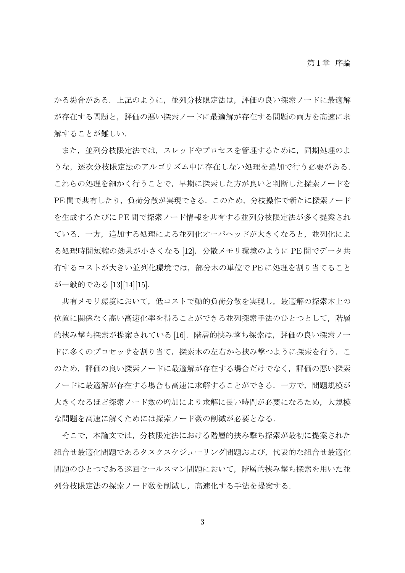かる場合がある.上記のように,並列分枝限定法は,評価の良い探索ノードに最適解 が存在する問題と,評価の悪い探索ノードに最適解が存在する問題の両方を高速に求 解することが難しい.

また,並列分枝限定法では,スレッドやプロセスを管理するために,同期処理のよ うな、逐次分枝限定法のアルゴリズム中に存在しない処理を追加で行う必要がある. これらの処理を細かく行うことで,早期に探索した方が良いと判断した探索ノードを PE 間で共有したり,負荷分散が実現できる.このため,分枝操作で新たに探索ノード を生成するたびに PE 間で探索ノード情報を共有する並列分枝限定法が多く提案され ている.一方,追加する処理による並列化オーバヘッドが大きくなると,並列化によ る処理時間短縮の効果が小さくなる [12].分散メモリ環境のように PE 間でデータ共 有するコストが大きい並列化環境では,部分木の単位で PE に処理を割り当てること が一般的である [13][14][15].

共有メモリ環境において,低コストで動的負荷分散を実現し,最適解の探索木上の 位置に関係なく高い高速化率を得ることができる並列探索手法のひとつとして、階層 的挟み撃ち探索が提案されている [16]. 階層的挟み撃ち探索は, 評価の良い探索ノー ドに多くのプロセッサを割り当て、探索木の左右から挟み撃つように探索を行う. こ のため,評価の良い探索ノードに最適解が存在する場合だけでなく,評価の悪い探索 ノードに最適解が存在する場合も高速に求解することができる.一方で,問題規模が 大きくなるほど探索ノード数の増加により求解に長い時間が必要になるため,大規模 な問題を高速に解くためには探索ノード数の削減が必要となる.

そこで,本論文では,分枝限定法における階層的挟み撃ち探索が最初に提案された 組合せ最適化問題であるタスクスケジューリング問題および,代表的な組合せ最適化 問題のひとつである巡回セールスマン問題において,階層的挟み撃ち探索を用いた並 列分枝限定法の探索ノード数を削減し,高速化する手法を提案する.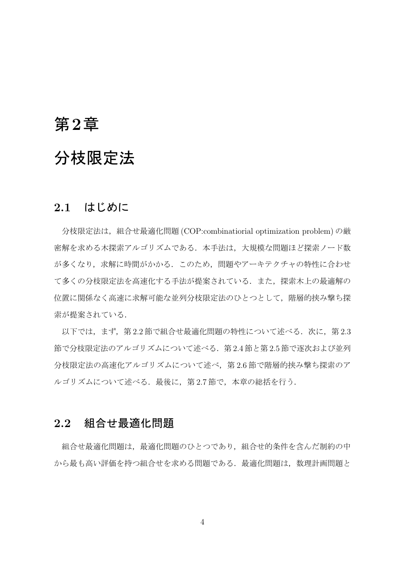### 第**2**章

## 分枝限定法

#### **2.1** はじめに

分枝限定法は,組合せ最適化問題 (COP:combinatiorial optimization problem) の厳 密解を求める木探索アルゴリズムである.本手法は,大規模な問題ほど探索ノード数 が多くなり,求解に時間がかかる.このため,問題やアーキテクチャの特性に合わせ て多くの分枝限定法を高速化する手法が提案されている.また,探索木上の最適解の 位置に関係なく高速に求解可能な並列分枝限定法のひとつとして、階層的挟み撃ち探 索が提案されている.

以下では、まず、第2.2節で組合せ最適化問題の特性について述べる.次に、第2.3 節で分枝限定法のアルゴリズムについて述べる.第 2.4 節と第 2.5 節で逐次および並列 分枝限定法の高速化アルゴリズムについて述べ,第 2.6 節で階層的挟み撃ち探索のア ルゴリズムについて述べる. 最後に、第2.7節で、本章の総括を行う.

#### **2.2** 組合せ最適化問題

組合せ最適化問題は、最適化問題のひとつであり、組合せ的条件を含んだ制約の中 から最も高い評価を持つ組合せを求める問題である. 最適化問題は、数理計画問題と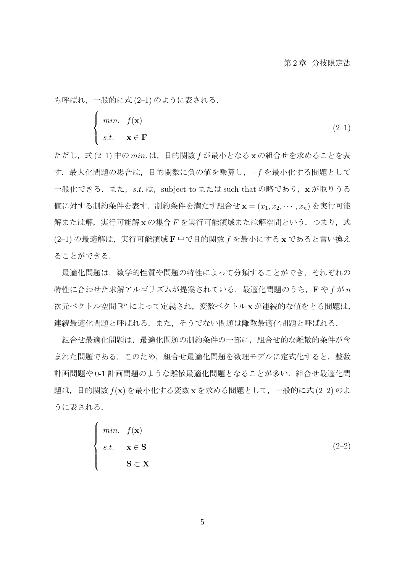も呼ばれ,一般的に式 (2–1) のように表される.

$$
\begin{cases}\n\min. & f(\mathbf{x}) \\
s.t. & \mathbf{x} \in \mathbf{F}\n\end{cases} (2-1)
$$

ただし,式 (2–1) 中の *min.* は,目的関数 *f* が最小となる **x** の組合せを求めることを表 す.最大化問題の場合は,目的関数に負の値を乗算し,*−f* を最小化する問題として 一般化できる.また,st.は,subject to または such that の略であり,xが取りうる 値に対する制約条件を表す.制約条件を満たす組合せ **x** = (*x*1*, x*2*, · · · , xn*) を実行可能 解または解,実行可能解 x の集合 F を実行可能領域または解空間という. つまり,式 (2–1) の最適解は,実行可能領域 **F** 中で目的関数 *f* を最小にする **x** であると言い換え ることができる.

最適化問題は,数学的性質や問題の特性によって分類することができ,それぞれの 特性に合わせた求解アルゴリズムが提案されている.最適化問題のうち,**F** や *f* が *n* 次元ベクトル空間 R<sup>n</sup> によって定義され, 変数ベクトル x が連続的な値をとる問題は, 連続最適化問題と呼ばれる.また,そうでない問題は離散最適化問題と呼ばれる.

組合せ最適化問題は、最適化問題の制約条件の一部に、組合せ的な離散的条件が含 まれた問題である.このため,組合せ最適化問題を数理モデルに定式化すると,整数 計画問題や 0-1 計画問題のような離散最適化問題となることが多い. 組合せ最適化問 題は,目的関数 *f*(**x**) を最小化する変数 **x** を求める問題として,一般的に式 (2–2) のよ うに表される.

$$
\begin{cases}\n\min. & f(\mathbf{x}) \\
s.t. & \mathbf{x} \in \mathbf{S} \\
& \mathbf{S} \subset \mathbf{X}\n\end{cases}
$$
\n(2-2)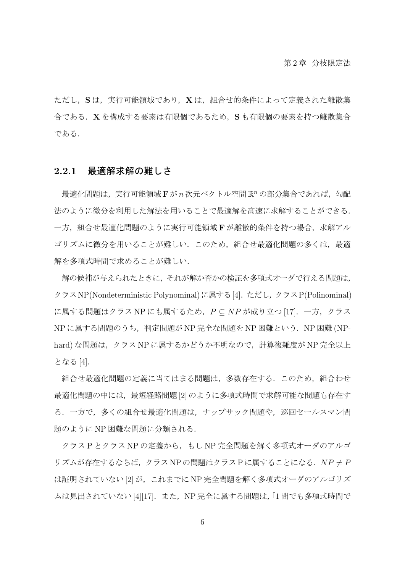ただし,**S** は,実行可能領域であり,**X** は,組合せ的条件によって定義された離散集 合である.**X** を構成する要素は有限個であるため,**S** も有限個の要素を持つ離散集合 である.

#### **2.2.1** 最適解求解の難しさ

最適化問題は,実行可能領域 **F** が *n* 次元ベクトル空間 R *<sup>n</sup>* の部分集合であれば,勾配 法のように微分を利用した解法を用いることで最適解を高速に求解することができる. 一方,組合せ最適化問題のように実行可能領域 **F** が離散的条件を持つ場合,求解アル ゴリズムに微分を用いることが難しい.このため,組合せ最適化問題の多くは,最適 解を多項式時間で求めることが難しい.

解の候補が与えられたときに,それが解か否かの検証を多項式オーダで行える問題は, クラスNP(Nondeterministic Polynominal)に属する[4].ただし、クラスP(Polinominal) に属する問題はクラス NP にも属するため,*P ⊆ NP* が成り立つ [17].一方,クラス NP に属する問題のうち,判定問題が NP 完全な問題を NP 困難という.NP 困難 (NPhard) な問題は,クラス NP に属するかどうか不明なので,計算複雑度が NP 完全以上 となる [4].

組合せ最適化問題の定義に当てはまる問題は、多数存在する. このため、組合わせ 最適化問題の中には,最短経路問題 [2] のように多項式時間で求解可能な問題も存在す る.一方で,多くの組合せ最適化問題は,ナップサック問題や,巡回セールスマン問 題のように NP 困難な問題に分類される.

クラス P とクラス NP の定義から、もし NP 完全問題を解く多項式オーダのアルゴ リズムが存在するならば,クラス NP の問題はクラス P に属することになる.*NP ̸*= *P* は証明されていない [2] が,これまでに NP 完全問題を解く多項式オーダのアルゴリズ ムは見出されていない [4][17]. また, NP 完全に属する問題は, 「1 問でも多項式時間で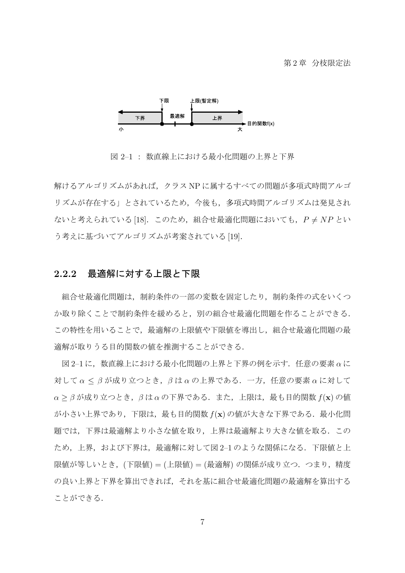

図 2–1 : 数直線上における最小化問題の上界と下界

解けるアルゴリズムがあれば,クラス NP に属するすべての問題が多項式時間アルゴ リズムが存在する」とされているため、今後も、多項式時間アルゴリズムは発見され ないと考えられている [18]. このため, 組合せ最適化問題においても,  $P ≠ NP$  とい う考えに基づいてアルゴリズムが考案されている [19].

#### **2.2.2** 最適解に対する上限と下限

組合せ最適化問題は,制約条件の一部の変数を固定したり,制約条件の式をいくつ か取り除くことで制約条件を緩めると,別の組合せ最適化問題を作ることができる. この特性を用いることで,最適解の上限値や下限値を導出し,組合せ最適化問題の最 適解が取りうる目的関数の値を推測することができる.

図 2–1 に,数直線上における最小化問題の上界と下界の例を示す.任意の要素 *α* に 対して *α ≤ β* が成り立つとき,*β* は *α* の上界である.一方,任意の要素 *α* に対して *α ≥ β* が成り立つとき,*β* は *α* の下界である.また,上限は,最も目的関数 *f*(**x**) の値 が小さい上界であり,下限は,最も目的関数 *f*(**x**) の値が大きな下界である.最小化問 題では,下界は最適解より小さな値を取り,上界は最適解より大きな値を取る.この ため、上界、および下界は、最適解に対して図 2-1 のような関係になる. 下限値と上 限値が等しいとき,(下限値) = (上限値) = (最適解) の関係が成り立つ.つまり,精度 の良い上界と下界を算出できれば,それを基に組合せ最適化問題の最適解を算出する ことができる.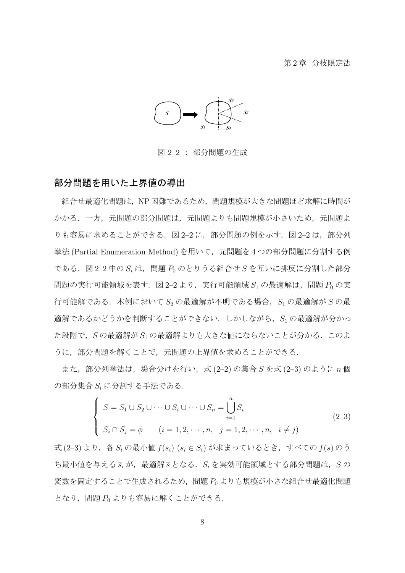#### 第2章 分枝限定法



図 2–2 : 部分問題の生成

#### 部分問題を用いた上界値の導出

組合せ最適化問題は,NP 困難であるため,問題規模が大きな問題ほど求解に時間が かかる.一方,元問題の部分問題は,元問題よりも問題規模が小さいため,元問題よ りも容易に求めることができる. 図 2-2 に, 部分問題の例を示す. 図 2-2 は, 部分列 挙法 (Partial Enumeration Method) を用いて、元問題を4つの部分問題に分割する例 である.図 2–2 中の *S<sup>i</sup>* は,問題 *P*<sup>0</sup> のとりうる組合せ *S* を互いに排反に分割した部分 問題の実行可能領域を表す. 図 2-2 より, 実行可能領域 S<sub>1</sub> の最適解は, 問題 P<sub>0</sub> の実 行可能解である.本例において *S*<sup>2</sup> の最適解が不明である場合,*S*<sup>1</sup> の最適解が *S* の最 適解であるかどうかを判断することができない.しかしながら,*S*<sup>1</sup> の最適解が分かっ た段階で,*S* の最適解が *S*<sup>1</sup> の最適解よりも大きな値にならないことが分かる.このよ うに,部分問題を解くことで,元問題の上界値を求めることができる.

また,部分列挙法は,場合分けを行い,式 (2–2) の集合 *S* を式 (2–3) のように *n* 個 の部分集合 *S<sup>i</sup>* に分割する手法である.

$$
\begin{cases}\nS = S_1 \cup S_2 \cup \dots \cup S_i \cup \dots \cup S_n = \bigcup_{i=1}^n S_i \\
S_i \cap S_j = \phi \quad (i = 1, 2, \dots, n, \ j = 1, 2, \dots, n, \ i \neq j)\n\end{cases} (2-3)
$$

式 (2–3) より,各 *S<sup>i</sup>* の最小値 *f*(*si*) (*s<sup>i</sup> ∈ Si*) が求まっているとき,すべての *f*(*s*) のう ち最小値を与える *s<sup>i</sup>* が,最適解 *s* となる.*S<sup>i</sup>* を実効可能領域とする部分問題は,*S* の 変数を固定することで生成されるため,問題 *P*<sup>0</sup> よりも規模が小さな組合せ最適化問題 となり,問題 *P*<sup>0</sup> よりも容易に解くことができる.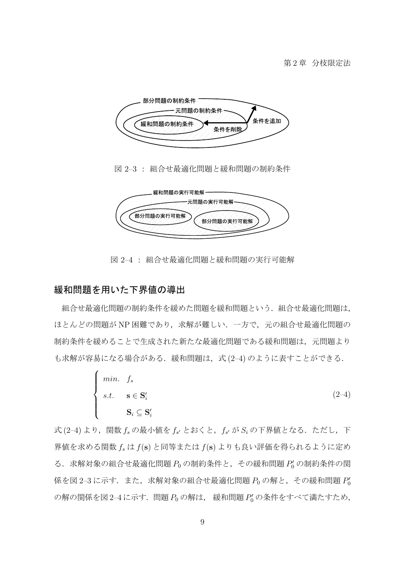

図 2–3 : 組合せ最適化問題と緩和問題の制約条件



図 2–4 : 組合せ最適化問題と緩和問題の実行可能解

#### 緩和問題を用いた下界値の導出

組合せ最適化問題の制約条件を緩めた問題を緩和問題という.組合せ最適化問題は, ほとんどの問題が NP 困難であり、求解が難しい、一方で、元の組合せ最適化問題の 制約条件を緩めることで生成された新たな最適化問題である緩和問題は,元問題より も求解が容易になる場合がある. 緩和問題は、式(2-4)のように表すことができる.

$$
\begin{cases}\n\min. & f_s \\
s.t. & s \in \mathbf{S}'_i \\
& \mathbf{S}_i \subseteq \mathbf{S}'_i\n\end{cases}
$$
\n(2-4)

式 (2–4) より,関数 *f<sup>s</sup>* の最小値を *f<sup>s</sup> ′* とおくと,*f<sup>s</sup> ′* が *S<sup>i</sup>* の下界値となる.ただし,下 界値を求める関数 *f<sup>s</sup>* は *f*(**s**) と同等または *f*(**s**) よりも良い評価を得られるように定め る.求解対象の組合せ最適化問題 *P*<sup>0</sup> の制約条件と,その緩和問題 *P ′* <sup>0</sup> の制約条件の関 係を図 2–3 に示す.また,求解対象の組合せ最適化問題  $P_0$  の解と,その緩和問題  $P_0^\prime$ の解の関係を図 2−4に示す. 問題  $P_0$  の解は, 緩和問題  $P_0'$  の条件をすべて満たすため,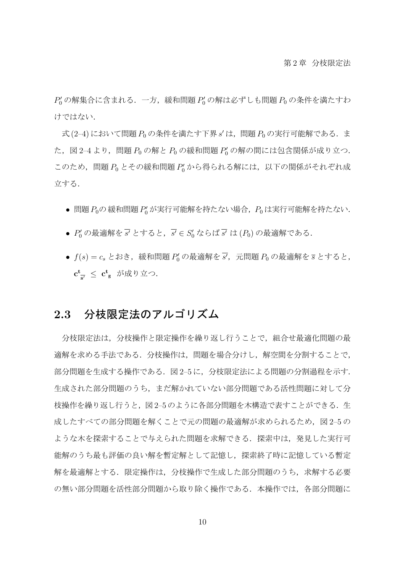$P'_0$ の解集合に含まれる.一方,緩和問題  $P'_0$ の解は必ずしも問題  $P_0$ の条件を満たすわ けではない.

式 (2–4) において問題 *P*<sup>0</sup> の条件を満たす下界 *s ′* は,問題 *P*<sup>0</sup> の実行可能解である.ま た,図 2–4 より,問題 *P*<sup>0</sup> の解と *P*<sup>0</sup> の緩和問題 *P ′* <sup>0</sup> の解の間には包含関係が成り立つ. このため,問題 *P*<sup>0</sup> とその緩和問題 *P ′* <sup>0</sup> から得られる解には,以下の関係がそれぞれ成 立する.

- *•* 問題*P*0の緩和問題*P ′* <sup>0</sup> が実行可能解を持たない場合,*P*<sup>0</sup> は実行可能解を持たない.
- *P*' の最適解を *s'* とすると, *s'* ∈ *S*' ならば *s'* は (*P*<sub>0</sub>) の最適解である.
- $f(s) = c_s$ とおき,緩和問題  $P'_0$ の最適解を  $\overline{s'}$ ,元問題  $P_0$  の最適解を  $\overline{s}$  とすると, **c t s** *′ ≤* **c t <sup>s</sup>** が成り立つ.

#### **2.3** 分枝限定法のアルゴリズム

分枝限定法は,分枝操作と限定操作を繰り返し行うことで,組合せ最適化問題の最 適解を求める手法である.分枝操作は,問題を場合分けし,解空間を分割することで, 部分問題を生成する操作である. 図 2–5 に、分枝限定法による問題の分割過程を示す. 生成された部分問題のうち,まだ解かれていない部分問題である活性問題に対して分 枝操作を繰り返し行うと,図2–5 のように各部分問題を木構造で表すことができる.生 成したすべての部分問題を解くことで元の問題の最適解が求められるため、図 2-5 の ような木を探索することで与えられた問題を求解できる. 探索中は、発見した実行可 能解のうち最も評価の良い解を暫定解として記憶し,探索終了時に記憶している暫定 解を最適解とする.限定操作は、分枝操作で生成した部分問題のうち、求解する必要 の無い部分問題を活性部分問題から取り除く操作である.本操作では、各部分問題に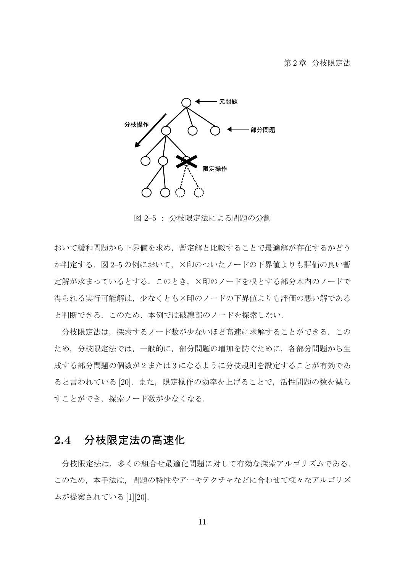

図 2–5 : 分枝限定法による問題の分割

おいて緩和問題から下界値を求め,暫定解と比較することで最適解が存在するかどう か判定する.図 2–5 の例において,×印のついたノードの下界値よりも評価の良い暫 定解が求まっているとする.このとき,×印のノードを根とする部分木内のノードで 得られる実行可能解は,少なくとも×印のノードの下界値よりも評価の悪い解である と判断できる.このため,本例では破線部のノードを探索しない.

分枝限定法は,探索するノード数が少ないほど高速に求解することができる.この ため,分枝限定法では,一般的に,部分問題の増加を防ぐために,各部分問題から生 成する部分問題の個数が 2 または 3 になるように分枝規則を設定することが有効であ ると言われている[20].また,限定操作の効率を上げることで,活性問題の数を減ら すことができ,探索ノード数が少なくなる.

#### **2.4** 分枝限定法の高速化

分枝限定法は,多くの組合せ最適化問題に対して有効な探索アルゴリズムである. このため、本手法は、問題の特性やアーキテクチャなどに合わせて様々なアルゴリズ ムが提案されている [1][20].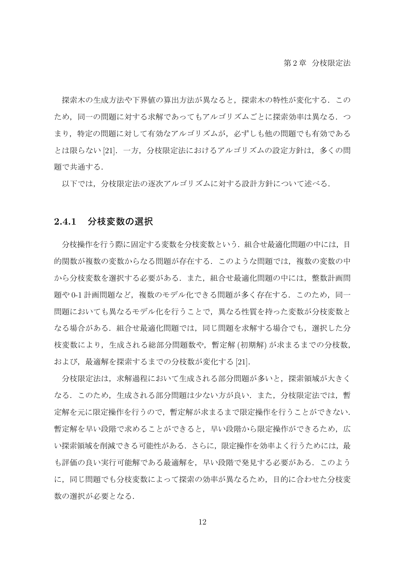探索木の生成方法や下界値の算出方法が異なると,探索木の特性が変化する.この ため,同一の問題に対する求解であってもアルゴリズムごとに探索効率は異なる.つ まり,特定の問題に対して有効なアルゴリズムが,必ずしも他の問題でも有効である とは限らない [21].一方,分枝限定法におけるアルゴリズムの設定方針は,多くの問 題で共通する.

以下では,分枝限定法の逐次アルゴリズムに対する設計方針について述べる.

#### **2.4.1** 分枝変数の選択

分枝操作を行う際に固定する変数を分枝変数という.組合せ最適化問題の中には,目 的関数が複数の変数からなる問題が存在する.このような問題では,複数の変数の中 から分枝変数を選択する必要がある。また、組合せ最適化問題の中には、整数計画問 題や 0-1 計画問題など、複数のモデル化できる問題が多く存在する.このため,同一 問題においても異なるモデル化を行うことで,異なる性質を持った変数が分枝変数と なる場合がある. 組合せ最適化問題では、同じ問題を求解する場合でも,選択した分 枝変数により,生成される総部分問題数や,暫定解 (初期解) が求まるまでの分枝数, および、最適解を探索するまでの分枝数が変化する [21].

分枝限定法は,求解過程において生成される部分問題が多いと,探索領域が大きく なる.このため,生成される部分問題は少ない方が良い.また,分枝限定法では,暫 定解を元に限定操作を行うので,暫定解が求まるまで限定操作を行うことができない. 暫定解を早い段階で求めることができると,早い段階から限定操作ができるため,広 い探索領域を削減できる可能性がある.さらに,限定操作を効率よく行うためには,最 も評価の良い実行可能解である最適解を,早い段階で発見する必要がある.このよう に,同じ問題でも分枝変数によって探索の効率が異なるため,目的に合わせた分枝変 数の選択が必要となる.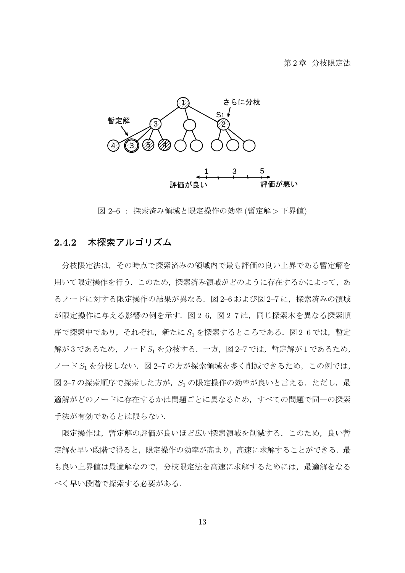

図 2–6 : 探索済み領域と限定操作の効率 (暫定解 *>* 下界値)

#### **2.4.2** 木探索アルゴリズム

分枝限定法は,その時点で探索済みの領域内で最も評価の良い上界である暫定解を 用いて限定操作を行う. このため,探索済み領域がどのように存在するかによって, あ るノードに対する限定操作の結果が異なる. 図 2-6 および図 2-7 に、探索済みの領域 が限定操作に与える影響の例を示す.図 2–6,図 2–7 は,同じ探索木を異なる探索順 序で探索中であり,それぞれ,新たに *S*<sup>1</sup> を探索するところである.図 2–6 では,暫定 解が3であるため, ノード S1 を分枝する. 一方, 図 2-7 では, 暫定解が1 であるため, ノード *S*<sup>1</sup> を分枝しない.図 2–7 の方が探索領域を多く削減できるため,この例では, 図 2-7 の探索順序で探索した方が, S<sub>1</sub> の限定操作の効率が良いと言える. ただし, 最 適解がどのノードに存在するかは問題ごとに異なるため,すべての問題で同一の探索 手法が有効であるとは限らない.

限定操作は,暫定解の評価が良いほど広い探索領域を削減する.このため,良い暫 定解を早い段階で得ると,限定操作の効率が高まり,高速に求解することができる.最 も良い上界値は最適解なので,分枝限定法を高速に求解するためには,最適解をなる べく早い段階で探索する必要がある.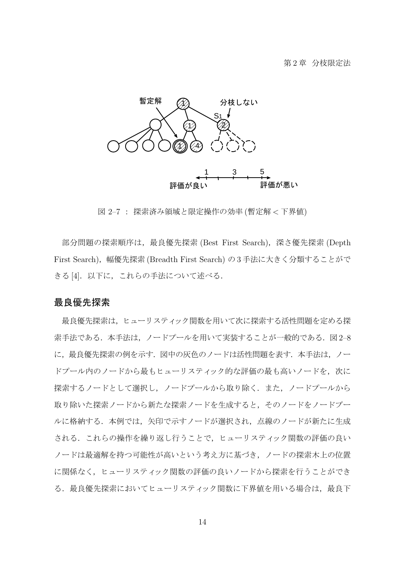

図 2–7 : 探索済み領域と限定操作の効率 (暫定解 *<* 下界値)

部分問題の探索順序は、最良優先探索 (Best First Search), 深さ優先探索 (Depth First Search),幅優先探索 (Breadth First Search) の 3 手法に大きく分類することがで きる[4]. 以下に、これらの手法について述べる.

#### 最良優先探索

最良優先探索は,ヒューリスティック関数を用いて次に探索する活性問題を定める探 索手法である.本手法は、ノードプールを用いて実装することが一般的である.図 2-8 に、最良優先探索の例を示す. 図中の灰色のノードは活性問題を表す. 本手法は、ノー ドプール内のノードから最もヒューリスティック的な評価の最も高いノードを、次に 探索するノードとして選択し,ノードプールから取り除く.また,ノードプールから 取り除いた探索ノードから新たな探索ノードを生成すると,そのノードをノードプー ルに格納する.本例では,矢印で示すノードが選択され,点線のノードが新たに生成 される.これらの操作を繰り返し行うことで,ヒューリスティック関数の評価の良い ノードは最適解を持つ可能性が高いという考え方に基づき,ノードの探索木上の位置 に関係なく,ヒューリスティック関数の評価の良いノードから探索を行うことができ る. 最良優先探索においてヒューリスティック関数に下界値を用いる場合は、最良下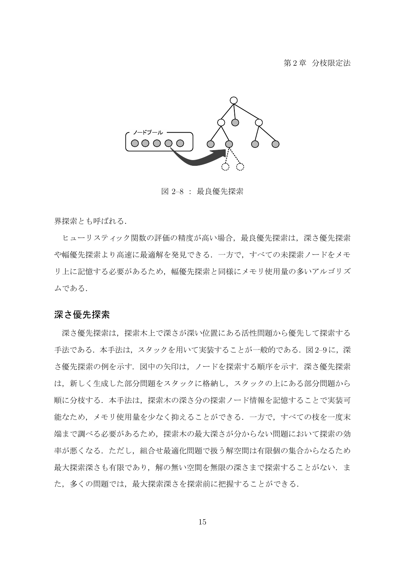

図 2–8 : 最良優先探索

界探索とも呼ばれる.

ヒューリスティック関数の評価の精度が高い場合,最良優先探索は,深さ優先探索 や幅優先探索より高速に最適解を発見できる.一方で,すべての未探索ノードをメモ リ上に記憶する必要があるため,幅優先探索と同様にメモリ使用量の多いアルゴリズ ムである.

#### 深さ優先探索

深さ優先探索は,探索木上で深さが深い位置にある活性問題から優先して探索する 手法である.本手法は、スタックを用いて実装することが一般的である.図 2-9に、深 さ優先探索の例を示す.図中の矢印は,ノードを探索する順序を示す.深さ優先探索 は,新しく生成した部分問題をスタックに格納し,スタックの上にある部分問題から 順に分枝する.本手法は,探索木の深さ分の探索ノード情報を記憶することで実装可 能なため,メモリ使用量を少なく抑えることができる.一方で,すべての枝を一度末 端まで調べる必要があるため,探索木の最大深さが分からない問題において探索の効 率が悪くなる.ただし,組合せ最適化問題で扱う解空間は有限個の集合からなるため 最大探索深さも有限であり, 解の無い空間を無限の深さまで探索することがない. ま た、多くの問題では、最大探索深さを探索前に把握することができる.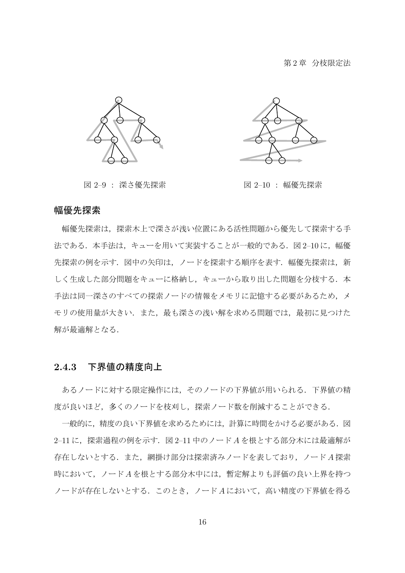

図 2–9 : 深さ優先探索 インスコン マンクリン 図 2–10 : 幅優先探索



#### 幅優先探索

幅優先探索は,探索木上で深さが浅い位置にある活性問題から優先して探索する手 法である. 本手法は、キューを用いて実装することが一般的である. 図 2-10 に, 幅優 先探索の例を示す. 図中の矢印は、ノードを探索する順序を表す. 幅優先探索は、新 しく生成した部分問題をキューに格納し、キューから取り出した問題を分枝する. 本 手法は同一深さのすべての探索ノードの情報をメモリに記憶する必要があるため,メ モリの使用量が大きい.また、最も深さの浅い解を求める問題では、最初に見つけた 解が最適解となる.

#### **2.4.3** 下界値の精度向上

あるノードに対する限定操作には,そのノードの下界値が用いられる.下界値の精 度が良いほど、多くのノードを枝刈し、探索ノード数を削減することができる.

一般的に,精度の良い下界値を求めるためには,計算に時間をかける必要がある.図 2–11 に,探索過程の例を示す.図 2–11 中のノード *A* を根とする部分木には最適解が 存在しないとする.また,網掛け部分は探索済みノードを表しており,ノード *A* 探索 時において,ノード *A* を根とする部分木中には,暫定解よりも評価の良い上界を持つ ノードが存在しないとする.このとき,ノード *A* において,高い精度の下界値を得る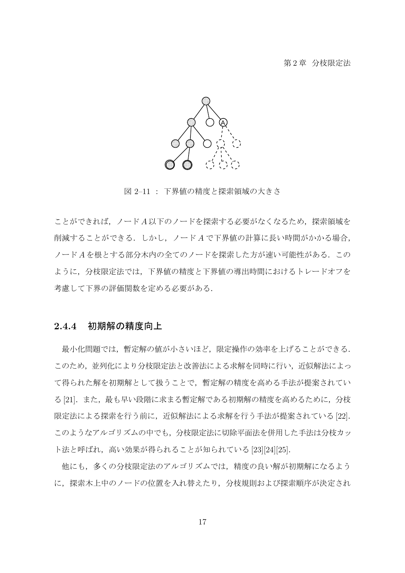#### 第2章 分枝限定法



図 2–11 : 下界値の精度と探索領域の大きさ

ことができれば,ノード *A* 以下のノードを探索する必要がなくなるため,探索領域を 削減することができる.しかし,ノード *A* で下界値の計算に長い時間がかかる場合, ノード *A* を根とする部分木内の全てのノードを探索した方が速い可能性がある.この ように,分枝限定法では,下界値の精度と下界値の導出時間におけるトレードオフを 考慮して下界の評価関数を定める必要がある.

#### **2.4.4** 初期解の精度向上

最小化問題では,暫定解の値が小さいほど,限定操作の効率を上げることができる. このため,並列化により分枝限定法と改善法による求解を同時に行い,近似解法によっ て得られた解を初期解として扱うことで,暫定解の精度を高める手法が提案されてい る [21].また,最も早い段階に求まる暫定解である初期解の精度を高めるために,分枝 限定法による探索を行う前に,近似解法による求解を行う手法が提案されている [22]. このようなアルゴリズムの中でも、分枝限定法に切除平面法を併用した手法は分枝カッ ト法と呼ばれ,高い効果が得られることが知られている [23][24][25].

他にも,多くの分枝限定法のアルゴリズムでは,精度の良い解が初期解になるよう に,探索木上中のノードの位置を入れ替えたり,分枝規則および探索順序が決定され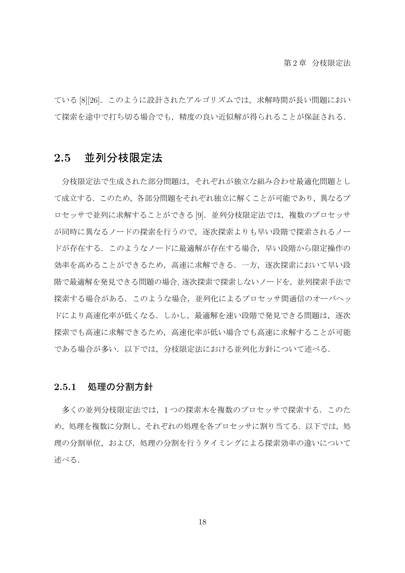ている [8][26]. このように設計されたアルゴリズムでは、求解時間が長い問題におい て探索を途中で打ち切る場合でも,精度の良い近似解が得られることが保証される.

#### **2.5** 並列分枝限定法

分枝限定法で生成された部分問題は,それぞれが独立な組み合わせ最適化問題とし て成立する.このため,各部分問題をそれぞれ独立に解くことが可能であり,異なるプ ロセッサで並列に求解することができる [9]. 並列分枝限定法では、複数のプロセッサ が同時に異なるノードの探索を行うので,逐次探索よりも早い段階で探索されるノー ドが存在する.このようなノードに最適解が存在する場合,早い段階から限定操作の 効率を高めることができるため,高速に求解できる.一方,逐次探索において早い段 階で最適解を発見できる問題の場合, 逐次探索で探索しないノードを,並列探索手法で 探索する場合がある.このような場合,並列化によるプロセッサ間通信のオーバヘッ ドにより高速化率が低くなる.しかし、最適解を速い段階で発見できる問題は、逐次 探索でも高速に求解できるため,高速化率が低い場合でも高速に求解することが可能 である場合が多い.以下では,分枝限定法における並列化方針について述べる.

#### **2.5.1** 処理の分割方針

多くの並列分枝限定法では,1 つの探索木を複数のプロセッサで探索する.このた め、処理を複数に分割し、それぞれの処理を各プロセッサに割り当てる. 以下では、処 理の分割単位,および,処理の分割を行うタイミングによる探索効率の違いについて 述べる.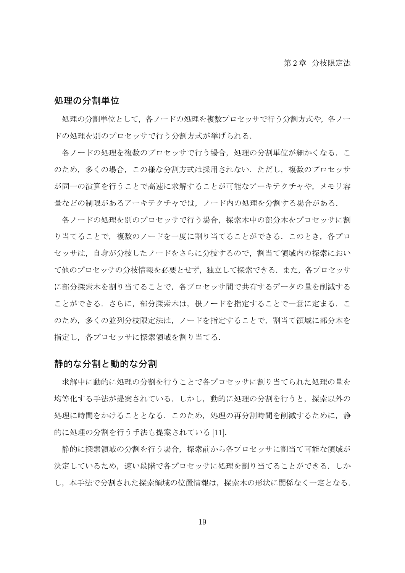#### 処理の分割単位

処理の分割単位として,各ノードの処理を複数プロセッサで行う分割方式や,各ノー ドの処理を別のプロセッサで行う分割方式が挙げられる.

各ノードの処理を複数のプロセッサで行う場合,処理の分割単位が細かくなる.こ のため,多くの場合,この様な分割方式は採用されない.ただし,複数のプロセッサ が同一の演算を行うことで高速に求解することが可能なアーキテクチャや,メモリ容 量などの制限があるアーキテクチャでは,ノード内の処理を分割する場合がある.

各ノードの処理を別のプロセッサで行う場合,探索木中の部分木をプロセッサに割 り当てることで,複数のノードを一度に割り当てることができる. このとき, 各プロ セッサは,自身が分枝したノードをさらに分枝するので,割当て領域内の探索におい て他のプロセッサの分枝情報を必要とせず、独立して探索できる.また、各プロセッサ に部分探索木を割り当てることで,各プロセッサ間で共有するデータの量を削減する ことができる.さらに,部分探索木は,根ノードを指定することで一意に定まる.こ のため,多くの並列分枝限定法は,ノードを指定することで,割当て領域に部分木を 指定し,各プロセッサに探索領域を割り当てる.

#### 静的な分割と動的な分割

求解中に動的に処理の分割を行うことで各プロセッサに割り当てられた処理の量を 均等化する手法が提案されている.しかし,動的に処理の分割を行うと,探索以外の 処理に時間をかけることとなる.このため,処理の再分割時間を削減するために,静 的に処理の分割を行う手法も提案されている [11].

静的に探索領域の分割を行う場合,探索前から各プロセッサに割当て可能な領域が 決定しているため,速い段階で各プロセッサに処理を割り当てることができる.しか し,本手法で分割された探索領域の位置情報は,探索木の形状に関係なく一定となる.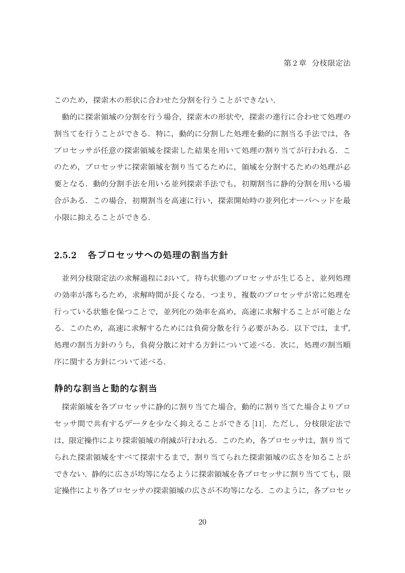このため,探索木の形状に合わせた分割を行うことができない.

動的に探索領域の分割を行う場合,探索木の形状や,探索の進行に合わせて処理の 割当てを行うことができる.特に,動的に分割した処理を動的に割当る手法では,各 プロセッサが任意の探索領域を探索した結果を用いて処理の割り当てが行われる.こ のため,プロセッサに探索領域を割り当てるために,領域を分割するための処理が必 要となる.動的分割手法を用いる並列探索手法でも,初期割当に静的分割を用いる場 合がある.この場合,初期割当を高速に行い,探索開始時の並列化オーバヘッドを最 小限に抑えることができる.

#### **2.5.2** 各プロセッサへの処理の割当方針

並列分枝限定法の求解過程において,待ち状態のプロセッサが生じると,並列処理 の効率が落ちるため、求解時間が長くなる. つまり、複数のプロセッサが常に処理を 行っている状態を保つことで,並列化の効率を高め,高速に求解することが可能とな る.このため,高速に求解するためには負荷分散を行う必要がある.以下では,まず, 処理の割当方針のうち,負荷分散に対する方針について述べる.次に,処理の割当順 序に関する方針について述べる.

#### 静的な割当と動的な割当

探索領域を各プロセッサに静的に割り当てた場合、動的に割り当てた場合よりプロ セッサ間で共有するデータを少なく抑えることができる [11]. ただし、分枝限定法で は,限定操作により探索領域の削減が行われる.このため,各プロセッサは,割り当て られた探索領域をすべて探索するまで,割り当てられた探索領域の広さを知ることが できない、静的に広さが均等になるように探索領域を各プロセッサに割り当てても、限 定操作により各プロセッサの探索領域の広さが不均等になる.このように,各プロセッ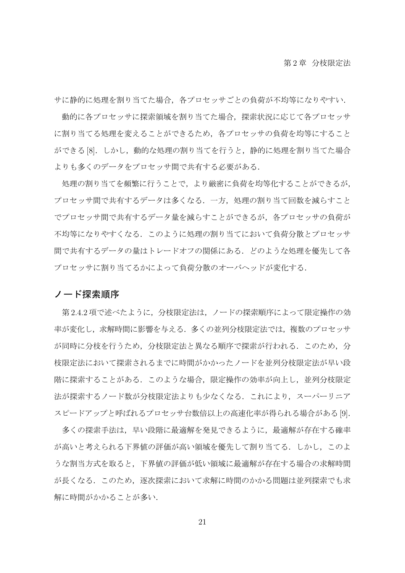サに静的に処理を割り当てた場合,各プロセッサごとの負荷が不均等になりやすい.

動的に各プロセッサに探索領域を割り当てた場合,探索状況に応じて各プロセッサ に割り当てる処理を変えることができるため、各プロセッサの負荷を均等にすること ができる [8]. しかし,動的な処理の割り当てを行うと,静的に処理を割り当てた場合 よりも多くのデータをプロセッサ間で共有する必要がある.

処理の割り当てを頻繁に行うことで,より厳密に負荷を均等化することができるが, プロセッサ間で共有するデータは多くなる.一方,処理の割り当て回数を減らすこと でプロセッサ間で共有するデータ量を減らすことができるが,各プロセッサの負荷が 不均等になりやすくなる.このように処理の割り当てにおいて負荷分散とプロセッサ 間で共有するデータの量はトレードオフの関係にある.どのような処理を優先して各 プロセッサに割り当てるかによって負荷分散のオーバヘッドが変化する.

#### ノード探索順序

第 2.4.2 項で述べたように,分枝限定法は,ノードの探索順序によって限定操作の効 率が変化し,求解時間に影響を与える.多くの並列分枝限定法では,複数のプロセッサ が同時に分枝を行うため,分枝限定法と異なる順序で探索が行われる.このため,分 枝限定法において探索されるまでに時間がかかったノードを並列分枝限定法が早い段 階に探索することがある.このような場合,限定操作の効率が向上し,並列分枝限定 法が探索するノード数が分枝限定法よりも少なくなる. これにより, スーパーリニア スピードアップと呼ばれるプロセッサ台数倍以上の高速化率が得られる場合がある [9].

多くの探索手法は,早い段階に最適解を発見できるように,最適解が存在する確率 が高いと考えられる下界値の評価が高い領域を優先して割り当てる.しかし,このよ うな割当方式を取ると,下界値の評価が低い領域に最適解が存在する場合の求解時間 が長くなる.このため,逐次探索において求解に時間のかかる問題は並列探索でも求 解に時間がかかることが多い.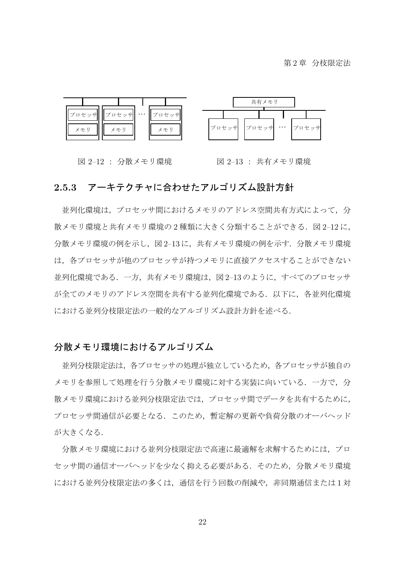第2章 分枝限定法



図 2–12 : 分散メモリ環境

図 2–13 : 共有メモリ環境

#### **2.5.3** アーキテクチャに合わせたアルゴリズム設計方針

並列化環境は,プロセッサ間におけるメモリのアドレス空間共有方式によって,分 散メモリ環境と共有メモリ環境の2種類に大きく分類することができる. 図 2-12 に, 分散メモリ環境の例を示し、図 2-13 に、共有メモリ環境の例を示す. 分散メモリ環境 は,各プロセッサが他のプロセッサが持つメモリに直接アクセスすることができない 並列化環境である.一方,共有メモリ環境は,図 2–13 のように,すべてのプロセッサ が全てのメモリのアドレス空間を共有する並列化環境である.以下に,各並列化環境 における並列分枝限定法の一般的なアルゴリズム設計方針を述べる.

## 分散メモリ環境におけるアルゴリズム

並列分枝限定法は,各プロセッサの処理が独立しているため,各プロセッサが独自の メモリを参照して処理を行う分散メモリ環境に対する実装に向いている.一方で,分 散メモリ環境における並列分枝限定法では,プロセッサ間でデータを共有するために, プロセッサ間通信が必要となる.このため,暫定解の更新や負荷分散のオーバヘッド が大きくなる.

分散メモリ環境における並列分枝限定法で高速に最適解を求解するためには,プロ セッサ間の通信オーバヘッドを少なく抑える必要がある.そのため,分散メモリ環境 における並列分枝限定法の多くは,通信を行う回数の削減や,非同期通信または 1 対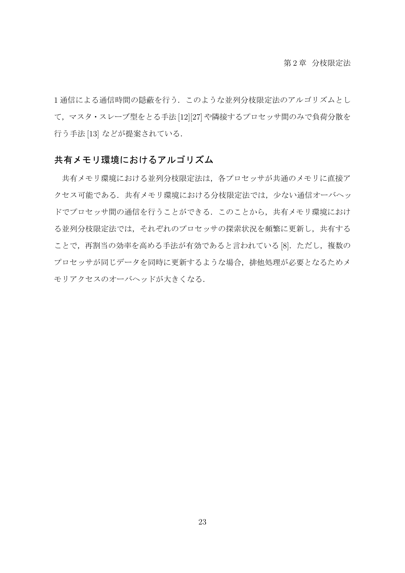1 通信による通信時間の隠蔽を行う.このような並列分枝限定法のアルゴリズムとし て,マスタ・スレーブ型をとる手法 [12][27] や隣接するプロセッサ間のみで負荷分散を 行う手法 [13] などが提案されている.

## 共有メモリ環境におけるアルゴリズム

共有メモリ環境における並列分枝限定法は,各プロセッサが共通のメモリに直接ア クセス可能である.共有メモリ環境における分枝限定法では,少ない通信オーバヘッ ドでプロセッサ間の通信を行うことができる.このことから,共有メモリ環境におけ る並列分枝限定法では,それぞれのプロセッサの探索状況を頻繁に更新し,共有する ことで、再割当の効率を高める手法が有効であると言われている [8]. ただし、複数の プロセッサが同じデータを同時に更新するような場合,排他処理が必要となるためメ モリアクセスのオーバヘッドが大きくなる.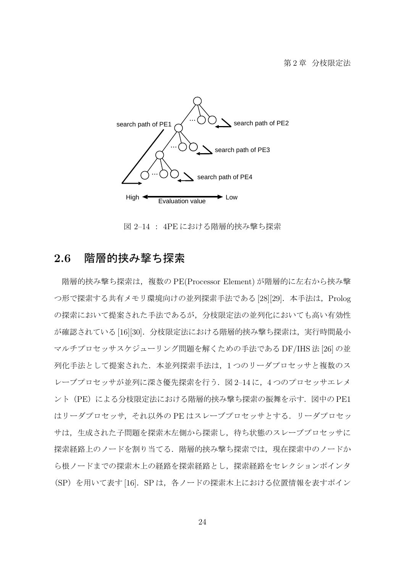

図 2–14 : 4PE における階層的挟み撃ち探索

## **2.6** 階層的挟み撃ち探索

階層的挟み撃ち探索は,複数の PE(Processor Element) が階層的に左右から挟み撃 つ形で探索する共有メモリ環境向けの並列探索手法である [28][29]. 本手法は, Prolog の探索において提案された手法であるが,分枝限定法の並列化においても高い有効性 が確認されている [16][30]. 分枝限定法における階層的挟み撃ち探索は、実行時間最小 マルチプロセッサスケジューリング問題を解くための手法である DF/IHS 法 [26] の並 列化手法として提案された. 本並列探索手法は、1つのリーダプロセッサと複数のス レーブプロセッサが並列に深さ優先探索を行う.図 2–14 に,4 つのプロセッサエレメ ント (PE)による分枝限定法における階層的挟み撃ち探索の振舞を示す. 図中の PE1 はリーダプロセッサ,それ以外の PE はスレーブプロセッサとする.リーダプロセッ サは,生成された子問題を探索木左側から探索し,待ち状態のスレーブプロセッサに 探索経路上のノードを割り当てる.階層的挟み撃ち探索では,現在探索中のノードか ら根ノードまでの探索木上の経路を探索経路とし,探索経路をセレクションポインタ (SP)を用いて表す [16].SP は,各ノードの探索木上における位置情報を表すポイン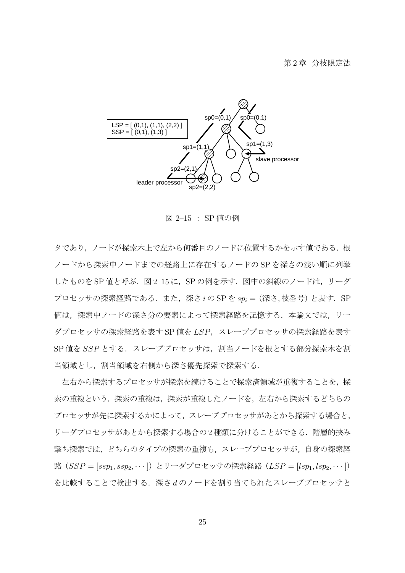

図 2–15 : SP 値の例

タであり,ノードが探索木上で左から何番目のノードに位置するかを示す値である.根 ノードから探索中ノードまでの経路上に存在するノードの SP を深さの浅い順に列挙 したものを SP 値と呼ぶ. 図 2-15 に, SP の例を示す. 図中の斜線のノードは, リーダ プロセッサの探索経路である.また,深さ *i* の SP を *sp<sup>i</sup>* =(深さ*,* 枝番号)と表す.SP 値は、探索中ノードの深さ分の要素によって探索経路を記憶する.本論文では、リー ダプロセッサの探索経路を表す SP 値を *LSP*,スレーブプロセッサの探索経路を表す SP 値を SSP とする. スレーブプロセッサは、割当ノードを根とする部分探索木を割 当領域とし,割当領域を右側から深さ優先探索で探索する.

左右から探索するプロセッサが探索を続けることで探索済領域が重複することを,探 索の重複という.探索の重複は,探索が重複したノードを,左右から探索するどちらの プロセッサが先に探索するかによって,スレーブプロセッサがあとから探索する場合と, リーダプロセッサがあとから探索する場合の2種類に分けることができる. 階層的挟み 撃ち探索では,どちらのタイプの探索の重複も,スレーブプロセッサが,自身の探索経 路(*SSP* = [ $ssp_1, ssp_2, \cdots$ ])とリーダプロセッサの探索経路(*LSP* = [ $lsp_1, lsp_2, \cdots$ ]) を比較することで検出する.深さ *d* のノードを割り当てられたスレーブプロセッサと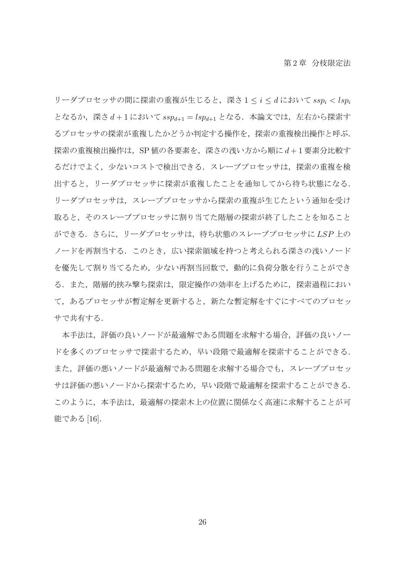リーダプロセッサの間に探索の重複が生じると,深さ 1 *≤ i ≤ d* において *ssp<sup>i</sup> < lsp<sup>i</sup>* となるか,深さ *d* + 1 において *sspd*+1 = *lspd*+1 となる.本論文では,左右から探索す るプロセッサの探索が重複したかどうか判定する操作を,探索の重複検出操作と呼ぶ. 探索の重複検出操作は,SP 値の各要素を,深さの浅い方から順に *d* + 1 要素分比較す るだけでよく,少ないコストで検出できる.スレーブプロセッサは,探索の重複を検 出すると,リーダプロセッサに探索が重複したことを通知してから待ち状態になる. リーダプロセッサは,スレーブプロセッサから探索の重複が生じたという通知を受け 取ると,そのスレーブプロセッサに割り当てた階層の探索が終了したことを知ること ができる.さらに,リーダプロセッサは,待ち状態のスレーブプロセッサに *LSP* 上の ノードを再割当する.このとき,広い探索領域を持つと考えられる深さの浅いノード を優先して割り当てるため,少ない再割当回数で,動的に負荷分散を行うことができ る.また,階層的挟み撃ち探索は,限定操作の効率を上げるために,探索過程におい て,あるプロセッサが暫定解を更新すると,新たな暫定解をすぐにすべてのプロセッ サで共有する.

本手法は,評価の良いノードが最適解である問題を求解する場合,評価の良いノー ドを多くのプロセッサで探索するため,早い段階で最適解を探索することができる. また,評価の悪いノードが最適解である問題を求解する場合でも,スレーブプロセッ サは評価の悪いノードから探索するため,早い段階で最適解を探索することができる. このように,本手法は,最適解の探索木上の位置に関係なく高速に求解することが可 能である [16].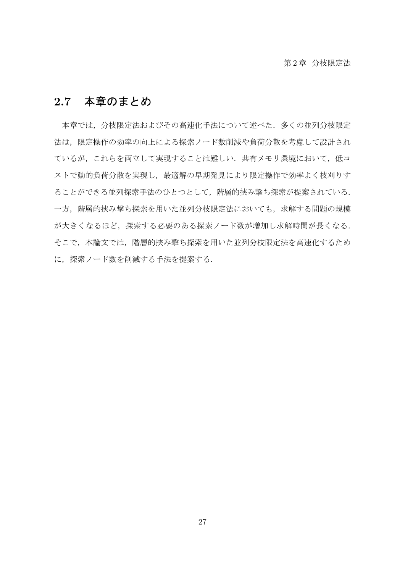## **2.7** 本章のまとめ

本章では,分枝限定法およびその高速化手法について述べた.多くの並列分枝限定 法は,限定操作の効率の向上による探索ノード数削減や負荷分散を考慮して設計され ているが、これらを両立して実現することは難しい.共有メモリ環境において、低コ ストで動的負荷分散を実現し、最適解の早期発見により限定操作で効率よく枝刈りす ることができる並列探索手法のひとつとして,階層的挟み撃ち探索が提案されている. 一方,階層的挟み撃ち探索を用いた並列分枝限定法においても,求解する問題の規模 が大きくなるほど,探索する必要のある探索ノード数が増加し求解時間が長くなる. そこで、本論文では、階層的挟み撃ち探索を用いた並列分枝限定法を高速化するため に,探索ノード数を削減する手法を提案する.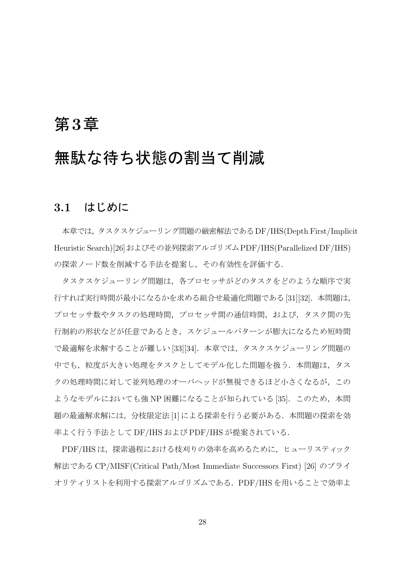## 第**3**章

# 無駄な待ち状態の割当て削減

## **3.1** はじめに

本章では,タスクスケジューリング問題の厳密解法であるDF/IHS(Depth First/Implicit Heuristic Search)[26]およびその並列探索アルゴリズムPDF/IHS(Parallelized DF/IHS) の探索ノード数を削減する手法を提案し,その有効性を評価する.

タスクスケジューリング問題は,各プロセッサがどのタスクをどのような順序で実 行すれば実行時間が最小になるかを求める組合せ最適化問題である [31][32].本問題は, プロセッサ数やタスクの処理時間,プロセッサ間の通信時間,および,タスク間の先 行制約の形状などが任意であるとき,スケジュールパターンが膨大になるため短時間 で最適解を求解することが難しい [33][34].本章では,タスクスケジューリング問題の 中でも、粒度が大きい処理をタスクとしてモデル化した問題を扱う. 本問題は、タス クの処理時間に対して並列処理のオーバヘッドが無視できるほど小さくなるが,この ようなモデルにおいても強 NP 困難になることが知られている [35]. このため, 本問 題の最適解求解には、分枝限定法 [1] による探索を行う必要がある. 本問題の探索を効 率よく行う手法として DF/IHS および PDF/IHS が提案されている.

PDF/IHS は,探索過程における枝刈りの効率を高めるために,ヒューリスティック 解法である CP/MISF(Critical Path/Most Immediate Successors First) [26] のプライ オリティリストを利用する探索アルゴリズムである.PDF/IHS を用いることで効率よ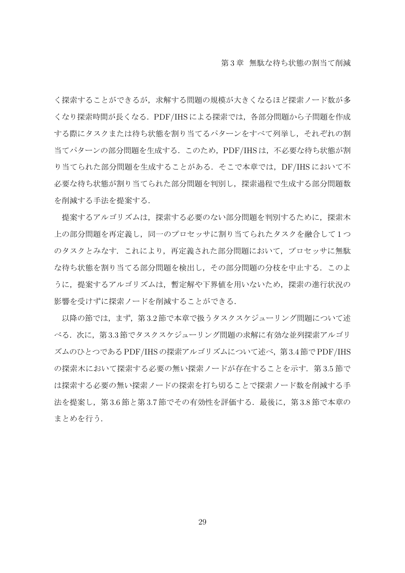く探索することができるが,求解する問題の規模が大きくなるほど探索ノード数が多 くなり探索時間が長くなる.PDF/IHS による探索では,各部分問題から子問題を作成 する際にタスクまたは待ち状態を割り当てるパターンをすべて列挙し,それぞれの割 当てパターンの部分問題を生成する.このため,PDF/IHS は,不必要な待ち状態が割 り当てられた部分問題を生成することがある. そこで本章では、DF/IHS において不 必要な待ち状態が割り当てられた部分問題を判別し,探索過程で生成する部分問題数 を削減する手法を提案する.

提案するアルゴリズムは、探索する必要のない部分問題を判別するために、探索木 上の部分問題を再定義し,同一のプロセッサに割り当てられたタスクを融合して 1 つ のタスクとみなす. これにより、再定義された部分問題において、プロセッサに無駄 な待ち状態を割り当てる部分問題を検出し,その部分問題の分枝を中止する.このよ うに、提案するアルゴリズムは、暫定解や下界値を用いないため、探索の進行状況の 影響を受けずに探索ノードを削減することができる.

以降の節では、まず、第3.2 節で本章で扱うタスクスケジューリング問題について述 べる. 次に、第3.3節でタスクスケジューリング問題の求解に有効な並列探索アルゴリ ズムのひとつであるPDF/IHSの探索アルゴリズムについて述べ,第3.4節でPDF/IHS の探索木において探索する必要の無い探索ノードが存在することを示す. 第 3.5 節で は探索する必要の無い探索ノードの探索を打ち切ることで探索ノード数を削減する手 法を提案し,第3.6節と第3.7節でその有効性を評価する.最後に,第3.8節で本章の まとめを行う.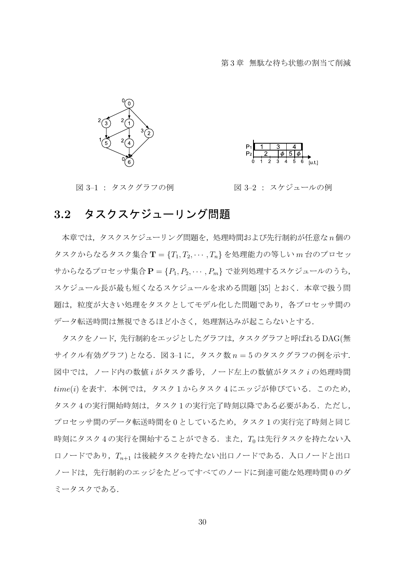



図 3–1 : タスクグラフの例 図 3–2 : スケジュールの例

## **3.2** タスクスケジューリング問題

本章では,タスクスケジューリング問題を,処理時間および先行制約が任意な *n* 個の タスクからなるタスク集合 **T** = *{T*1*, T*2*, · · · , Tn}* を処理能力の等しい *m* 台のプロセッ サからなるプロセッサ集合 **P** = *{P*1*, P*2*, · · · , Pm}* で並列処理するスケジュールのうち, スケジュール長が最も短くなるスケジュールを求める問題 [35] とおく. 本章で扱う問 題は,粒度が大きい処理をタスクとしてモデル化した問題であり,各プロセッサ間の データ転送時間は無視できるほど小さく,処理割込みが起こらないとする.

タスクをノード,先行制約をエッジとしたグラフは,タスクグラフと呼ばれるDAG(無 サイクル有効グラフ) となる.図 3–1 に,タスク数 *n* = 5 のタスクグラフの例を示す. 図中では,ノード内の数値 *i* がタスク番号,ノード左上の数値がタスク *i* の処理時間 *time*(*i*) を表す.本例では,タスク 1 からタスク 4 にエッジが伸びている.このため, タスク 4 の実行開始時刻は,タスク 1 の実行完了時刻以降である必要がある.ただし, プロセッサ間のデータ転送時間を0としているため、タスク1の実行完了時刻と同じ 時刻にタスク4の実行を開始することができる.また、Toは先行タスクを持たない入 口ノードであり,*Tn*+1 は後続タスクを持たない出口ノードである.入口ノードと出口 ノードは,先行制約のエッジをたどってすべてのノードに到達可能な処理時間 0 のダ ミータスクである.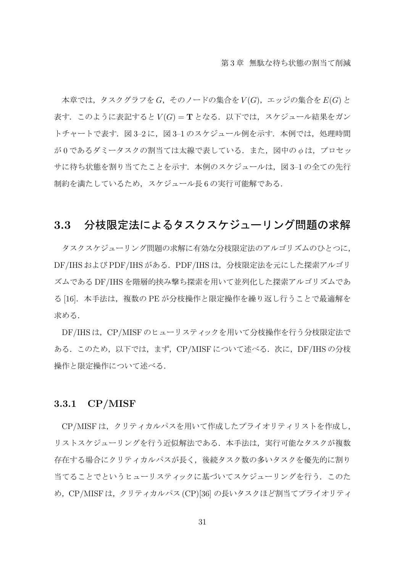本章では,タスクグラフを *G*,そのノードの集合を *V* (*G*),エッジの集合を *E*(*G*) と 表す.このように表記すると *V* (*G*) = **T** となる.以下では,スケジュール結果をガン トチャートで表す. 図 3-2 に、図 3-1 のスケジュール例を示す. 本例では、処理時間 が 0 であるダミータスクの割当ては太線で表している.また,図中の *ϕ* は,プロセッ サに待ち状態を割り当てたことを示す. 本例のスケジュールは、図 3-1 の全ての先行 制約を満たしているため,スケジュール長 6 の実行可能解である.

## **3.3** 分枝限定法によるタスクスケジューリング問題の求解

タスクスケジューリング問題の求解に有効な分枝限定法のアルゴリズムのひとつに, DF/IHS および PDF/IHS がある.PDF/IHS は,分枝限定法を元にした探索アルゴリ ズムである DF/IHS を階層的挟み撃ち探索を用いて並列化した探索アルゴリズムであ る [16].本手法は,複数の PE が分枝操作と限定操作を繰り返し行うことで最適解を 求める.

DF/IHSは、CP/MISF のヒューリスティックを用いて分枝操作を行う分枝限定法で ある.このため,以下では,まず,CP/MISF について述べる.次に,DF/IHS の分枝 操作と限定操作について述べる.

#### **3.3.1 CP/MISF**

CP/MISF は,クリティカルパスを用いて作成したプライオリティリストを作成し, リストスケジューリングを行う近似解法である. 本手法は、実行可能なタスクが複数 存在する場合にクリティカルパスが長く,後続タスク数の多いタスクを優先的に割り 当てることでというヒューリスティックに基づいてスケジューリングを行う. このた め,CP/MISF は,クリティカルパス (CP)[36] の長いタスクほど割当てプライオリティ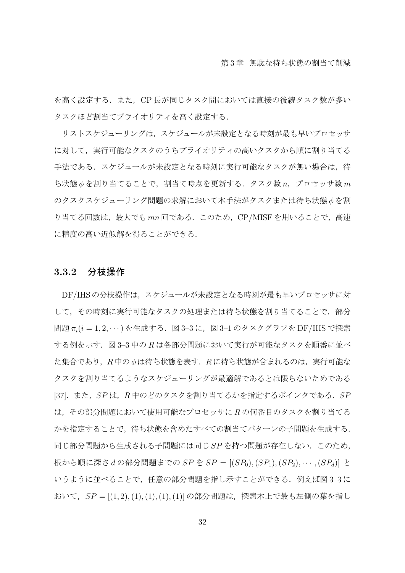を高く設定する. また、CP 長が同じタスク間においては直接の後続タスク数が多い タスクほど割当てプライオリティを高く設定する.

リストスケジューリングは,スケジュールが未設定となる時刻が最も早いプロセッサ に対して、実行可能なタスクのうちプライオリティの高いタスクから順に割り当てる 手法である. スケジュールが未設定となる時刻に実行可能なタスクが無い場合は、待 ち状態 *ϕ* を割り当てることで,割当て時点を更新する.タスク数 *n*,プロセッサ数 *m* のタスクスケジューリング問題の求解において本手法がタスクまたは待ち状態 *ϕ* を割 り当てる回数は,最大でも *mn* 回である.このため,CP/MISF を用いることで,高速 に精度の高い近似解を得ることができる.

#### **3.3.2** 分枝操作

DF/IHS の分枝操作は,スケジュールが未設定となる時刻が最も早いプロセッサに対 して,その時刻に実行可能なタスクの処理または待ち状態を割り当てることで,部分 問題  $\pi_i$ (i = 1, 2, ··· ) を生成する. 図 3-3 に, 図 3-1 のタスクグラフを DF/IHS で探索 する例を示す.図 3–3 中の *R* は各部分問題において実行が可能なタスクを順番に並べ た集合であり、R中の *b* は待ち状態を表す. R に待ち状態が含まれるのは、実行可能な タスクを割り当てるようなスケジューリングが最適解であるとは限らないためである [37].また,*SP* は,*R* 中のどのタスクを割り当てるかを指定するポインタである.*SP* は,その部分問題において使用可能なプロセッサに *R* の何番目のタスクを割り当てる かを指定することで,待ち状態を含めたすべての割当てパターンの子問題を生成する. 同じ部分問題から生成される子問題には同じ *SP* を持つ問題が存在しない.このため, 根から順に深さ *d* の部分問題までの *SP* を *SP* = [(*SP*0)*,*(*SP*1)*,*(*SP*2)*, · · · ,*(*SPd*)] と いうように並べることで,任意の部分問題を指し示すことができる.例えば図 3-3に おいて,*SP* = [(1*,* 2)*,*(1)*,*(1)*,*(1)*,*(1)] の部分問題は,探索木上で最も左側の葉を指し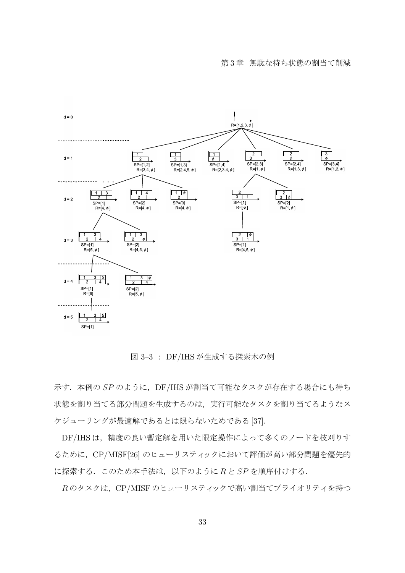

図 3–3 : DF/IHS が生成する探索木の例

示す. 本例の SP のように, DF/IHS が割当て可能なタスクが存在する場合にも待ち 状態を割り当てる部分問題を生成するのは、実行可能なタスクを割り当てるようなス ケジューリングが最適解であるとは限らないためである [37].

DF/IHS は,精度の良い暫定解を用いた限定操作によって多くのノードを枝刈りす るために、CP/MISF[26] のヒューリスティックにおいて評価が高い部分問題を優先的 に探索する.このため本手法は,以下のように *R* と *SP* を順序付けする.

*R* のタスクは,CP/MISF のヒューリスティックで高い割当てプライオリティを持つ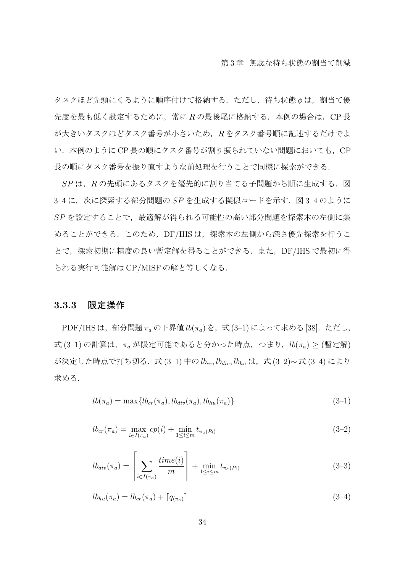タスクほど先頭にくるように順序付けて格納する.ただし,待ち状態 *ϕ* は,割当て優 先度を最も低く設定するために、常にRの最後尾に格納する. 本例の場合は、CP長 が大きいタスクほどタスク番号が小さいため,*R* をタスク番号順に記述するだけでよ い. 本例のように CP 長の順にタスク番号が割り振られていない問題においても、CP 長の順にタスク番号を振り直すような前処理を行うことで同様に探索ができる.

*SP* は,*R* の先頭にあるタスクを優先的に割り当てる子問題から順に生成する.図 3-4 に,次に探索する部分問題の SP を生成する擬似コードを示す. 図 3-4 のように *SP* を設定することで,最適解が得られる可能性の高い部分問題を探索木の左側に集 めることができる. このため, DF/IHS は, 探索木の左側から深さ優先探索を行うこ とで,探索初期に精度の良い暫定解を得ることができる.また,DF/IHS で最初に得 られる実行可能解は CP/MISF の解と等しくなる.

#### **3.3.3** 限定操作

PDF/IHS は,部分問題 π<sub>a</sub> の下界値 *lb*(π<sub>a</sub>) を,式 (3-1) によって求める [38]. ただし, 式 (3–1) の計算は,*π<sup>a</sup>* が限定可能であると分かった時点,つまり,*lb*(*πa*) *≥* (暫定解) が決定した時点で打ち切る.式 (3–1) 中の *lbcr, lbdiv, lbhu* は,式 (3–2)*∼* 式 (3–4) により 求める.

$$
lb(\pi_a) = \max\{lb_{cr}(\pi_a), lb_{div}(\pi_a), lb_{hu}(\pi_a)\}\tag{3-1}
$$

$$
lb_{cr}(\pi_a) = \max_{i \in I(\pi_a)} cp(i) + \min_{1 \le i \le m} t_{\pi_a(P_i)}
$$
(3-2)

$$
lb_{div}(\pi_a) = \left[ \sum_{i \in I(\pi_a)} \frac{time(i)}{m} \right] + \min_{1 \le i \le m} t_{\pi_a(P_i)}
$$
(3-3)

$$
lb_{hu}(\pi_a) = lb_{cr}(\pi_a) + \lceil q_{(\pi_a)} \rceil \tag{3-4}
$$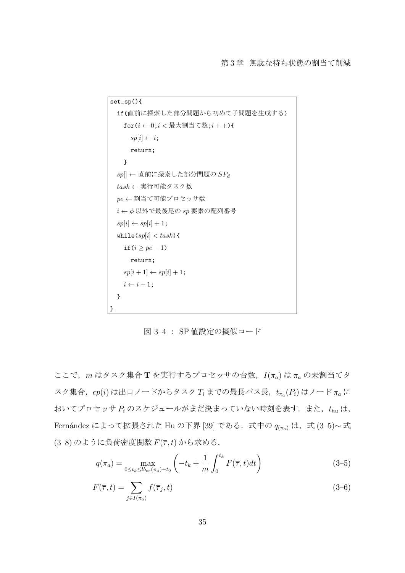```
set_sp(){
  if(直前に探索した部分問題から初めて子問題を生成する)
    for(i \leftarrow 0; i < \frac{1}{2}大割当て数;i + +){
      sp[i] \leftarrow i;
      return;
    }
  sp[] ← 直前に探索した部分問題の SPd
  task ← 実行可能タスク数
  pe ← 割当て可能プロセッサ数
  i \leftarrow \phi 以外で最後尾の sp 要素の配列番号
  spi[i] \leftarrow sp[i] + 1;while(sp[i] < task){
    if(i ≥ pe − 1)
      return;
    sp[i+1] \leftarrow sp[i]+1;i \leftarrow i + 1;
  }
}
```
図 3–4 : SP 値設定の擬似コード

ここで,*m* はタスク集合 **T** を実行するプロセッサの台数,*I*(*πa*) は *π<sup>a</sup>* の未割当てタ スク集合,*cp*(*i*) は出口ノードからタスク *T<sup>i</sup>* までの最長パス長,*t<sup>π</sup><sup>a</sup>* (*Pi*) はノード *π<sup>a</sup>* に おいてプロセッサ *P<sup>i</sup>* のスケジュールがまだ決まっていない時刻を表す.また,*thu* は, Fernández によって拡張された Hu の下界 [39] である. 式中の  $q_{(\pi_a)}$  は, 式 (3–5)∼ 式 (3–8) のように負荷密度関数 *F*(*τ , t*) から求める.

$$
q(\pi_a) = \max_{0 \le t_k \le l b_{cr}(\pi_a) - t_0} \left( -t_k + \frac{1}{m} \int_0^{t_k} F(\overline{\tau}, t) dt \right)
$$
(3-5)

$$
F(\overline{\tau},t) = \sum_{j \in I(\pi_a)} f(\overline{\tau}_j,t)
$$
\n(3-6)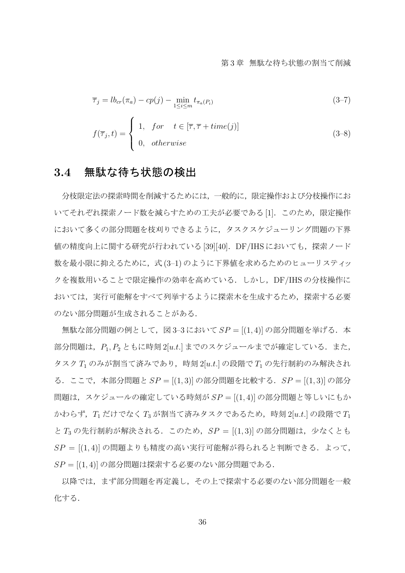$$
\overline{\tau}_j = l b_{cr} (\pi_a) - c p(j) - \min_{1 \le i \le m} t_{\pi_a(P_i)}
$$
(3-7)

$$
f(\overline{\tau}_j, t) = \begin{cases} 1, & \text{for } t \in [\overline{\tau}, \overline{\tau} + time(j)] \\ 0, & \text{otherwise} \end{cases}
$$
 (3–8)

## **3.4** 無駄な待ち状態の検出

分枝限定法の探索時間を削減するためには,一般的に,限定操作および分枝操作にお いてそれぞれ探索ノード数を減らすための工夫が必要である[1].このため、限定操作 において多くの部分問題を枝刈りできるように,タスクスケジューリング問題の下界 値の精度向上に関する研究が行われている [39][40].DF/IHS においても,探索ノード 数を最小限に抑えるために、式(3-1)のように下界値を求めるためのヒューリスティッ クを複数用いることで限定操作の効率を高めている.しかし,DF/IHS の分枝操作に おいては,実行可能解をすべて列挙するように探索木を生成するため,探索する必要 のない部分問題が生成されることがある.

無駄な部分問題の例として,図 3-3 において SP = [(1,4)] の部分問題を挙げる. 本 部分問題は,  $P_1, P_2$ ともに時刻 2[*u.t.*] までのスケジュールまでが確定している. また, タスク *T*<sup>1</sup> のみが割当て済みであり,時刻 2[*u.t.*] の段階で *T*<sup>1</sup> の先行制約のみ解決され る.ここで,本部分問題と *SP* = [(1*,* 3)] の部分問題を比較する.*SP* = [(1*,* 3)] の部分 問題は,スケジュールの確定している時刻が *SP* = [(1*,* 4)] の部分問題と等しいにもか かわらず,*T*<sup>1</sup> だけでなく *T*<sup>3</sup> が割当て済みタスクであるため,時刻 2[*u.t.*] の段階で *T*<sup>1</sup> と *T*<sup>3</sup> の先行制約が解決される.このため,*SP* = [(1*,* 3)] の部分問題は,少なくとも *SP* = [(1*,* 4)] の問題よりも精度の高い実行可能解が得られると判断できる.よって, *SP* = [(1*,* 4)] の部分問題は探索する必要のない部分問題である.

以降では,まず部分問題を再定義し,その上で探索する必要のない部分問題を一般 化する.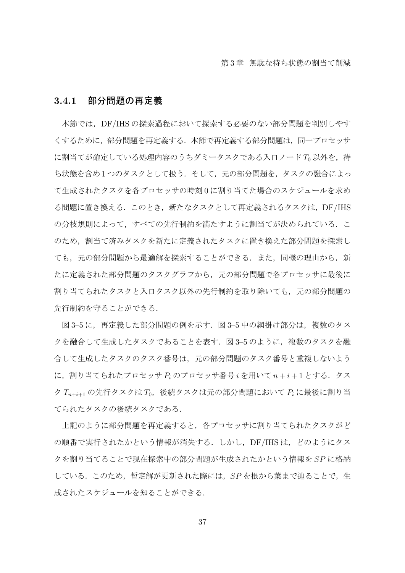#### **3.4.1** 部分問題の再定義

本節では,DF/IHS の探索過程において探索する必要のない部分問題を判別しやす くするために,部分問題を再定義する.本節で再定義する部分問題は,同一プロセッサ に割当てが確定している処理内容のうちダミータスクである入口ノード To 以外を, 待 ち状態を含め1つのタスクとして扱う. そして, 元の部分問題を, タスクの融合によっ て生成されたタスクを各プロセッサの時刻 0 に割り当てた場合のスケジュールを求め る問題に置き換える.このとき,新たなタスクとして再定義されるタスクは,DF/IHS の分枝規則によって、すべての先行制約を満たすように割当てが決められている. こ のため、割当て済みタスクを新たに定義されたタスクに置き換えた部分問題を探索し ても,元の部分問題から最適解を探索することができる.また,同様の理由から,新 たに定義された部分問題のタスクグラフから,元の部分問題で各プロセッサに最後に 割り当てられたタスクと入口タスク以外の先行制約を取り除いても,元の部分問題の 先行制約を守ることができる.

図 3-5 に、再定義した部分問題の例を示す. 図 3-5 中の網掛け部分は、複数のタス クを融合して生成したタスクであることを表す. 図 3-5 のように、複数のタスクを融 合して生成したタスクのタスク番号は,元の部分問題のタスク番号と重複しないよう に,割り当てられたプロセッサ *P<sup>i</sup>* のプロセッサ番号 *i* を用いて *n* + *i* + 1 とする.タス ク *Tn*+*i*+1 の先行タスクは *T*0,後続タスクは元の部分問題において *P<sup>i</sup>* に最後に割り当 てられたタスクの後続タスクである.

上記のように部分問題を再定義すると,各プロセッサに割り当てられたタスクがど の順番で実行されたかという情報が消失する. しかし、DF/IHS は、どのようにタス クを割り当てることで現在探索中の部分問題が生成されたかという情報を *SP* に格納 している.このため,暫定解が更新された際には,*SP* を根から葉まで辿ることで,生 成されたスケジュールを知ることができる.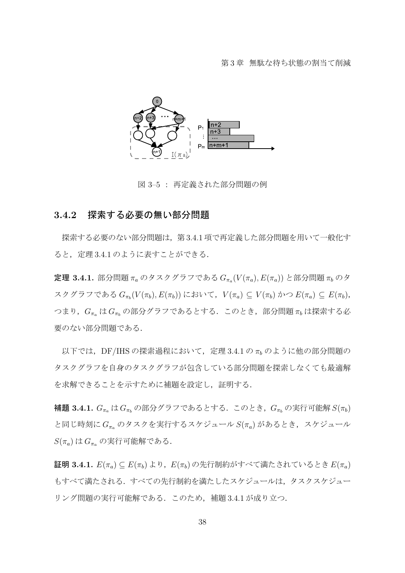

図 3–5 : 再定義された部分問題の例

## **3.4.2** 探索する必要の無い部分問題

探索する必要のない部分問題は,第 3.4.1 項で再定義した部分問題を用いて一般化す ると,定理 3.4.1 のように表すことができる.

定理 **3.4.1.** 部分問題 *π<sup>a</sup>* のタスクグラフである *G<sup>π</sup><sup>a</sup>* (*V* (*πa*)*, E*(*πa*)) と部分問題 *π<sup>b</sup>* のタ スクグラフである  $G_{\pi_b}(V(\pi_b), E(\pi_b))$ において, $V(\pi_a) \subseteq V(\pi_b)$ かつ $E(\pi_a) \subseteq E(\pi_b)$ , つまり,*G<sup>π</sup><sup>a</sup>* は *G<sup>π</sup><sup>b</sup>* の部分グラフであるとする.このとき,部分問題 *π<sup>b</sup>* は探索する必 要のない部分問題である.

以下では,DF/IHS の探索過程において,定理 3.4.1 の *π<sup>b</sup>* のように他の部分問題の タスクグラフを自身のタスクグラフが包含している部分問題を探索しなくても最適解 を求解できることを示すために補題を設定し、証明する.

 $\mathbf{A}$  **超 3.4.1.**  $G_{\pi_a}$  は  $G_{\pi_b}$  の部分グラフであるとする. このとき,  $G_{\pi_b}$  の実行可能解  $S(\pi_b)$ と同じ時刻に *G<sup>π</sup><sup>a</sup>* のタスクを実行するスケジュール *S*(*πa*) があるとき,スケジュール *S*(*πa*) は *G<sup>π</sup><sup>a</sup>* の実行可能解である.

証明 **3.4.1.** *E*(*πa*) *⊆ E*(*πb*)より,*E*(*πb*)の先行制約がすべて満たされているとき*E*(*πa*) もすべて満たされる.すべての先行制約を満たしたスケジュールは,タスクスケジュー リング問題の実行可能解である.このため,補題 3.4.1 が成り立つ.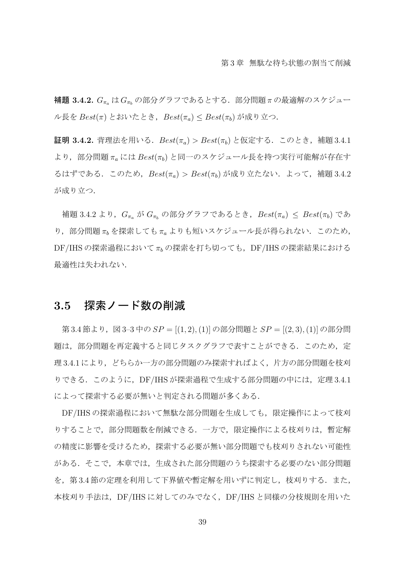補題 **3.4.2.** *G<sup>π</sup><sup>a</sup>* は *G<sup>π</sup><sup>b</sup>* の部分グラフであるとする.部分問題 *π* の最適解のスケジュー ル長を *Best*(*π*) とおいたとき,*Best*(*πa*) *≤ Best*(*πb*) が成り立つ.

証明 **3.4.2.** 背理法を用いる.*Best*(*πa*) *> Best*(*πb*) と仮定する.このとき,補題 3.4.1 より,部分問題 *π<sup>a</sup>* には *Best*(*πb*) と同一のスケジュール長を持つ実行可能解が存在す るはずである.このため,*Best*(*πa*) *> Best*(*πb*) が成り立たない.よって,補題 3.4.2 が成り立つ.

補題 3.4.2 より,*G<sup>π</sup><sup>a</sup>* が *G<sup>π</sup><sup>b</sup>* の部分グラフであるとき,*Best*(*πa*) *≤ Best*(*πb*) であ り,部分問題 *π<sup>b</sup>* を探索しても *π<sup>a</sup>* よりも短いスケジュール長が得られない.このため, DF/IHS の探索過程において π<sub>b</sub> の探索を打ち切っても, DF/IHS の探索結果における 最適性は失われない.

## **3.5** 探索ノード数の削減

第 3.4 節より,図 3–3 中の *SP* = [(1*,* 2)*,*(1)] の部分問題と *SP* = [(2*,* 3)*,*(1)] の部分問 題は、部分問題を再定義すると同じタスクグラフで表すことができる.このため、定 理 3.4.1 により,どちらか一方の部分問題のみ探索すればよく,片方の部分問題を枝刈 りできる. このように, DF/IHS が探索過程で生成する部分問題の中には, 定理 3.4.1 によって探索する必要が無いと判定される問題が多くある.

DF/IHS の探索過程において無駄な部分問題を生成しても、限定操作によって枝刈 りすることで,部分問題数を削減できる.一方で,限定操作による枝刈りは,暫定解 の精度に影響を受けるため,探索する必要が無い部分問題でも枝刈りされない可能性 がある.そこで,本章では,生成された部分問題のうち探索する必要のない部分問題 を、第3.4節の定理を利用して下界値や暫定解を用いずに判定し、枝刈りする.また, 本枝刈り手法は,DF/IHS に対してのみでなく,DF/IHS と同様の分枝規則を用いた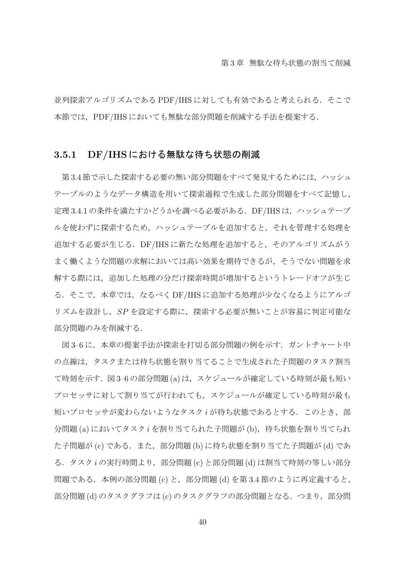並列探索アルゴリズムである PDF/IHS に対しても有効であると考えられる. そこで 本節では,PDF/IHS においても無駄な部分問題を削減する手法を提案する.

## **3.5.1 DF/IHS** における無駄な待ち状態の削減

第3.4節で示した探索する必要の無い部分問題をすべて発見するためには、ハッシュ テーブルのようなデータ構造を用いて探索過程で生成した部分問題をすべて記憶し, 定理 3.4.1 の条件を満たすかどうかを調べる必要がある. DF/IHS は、ハッシュテーブ ルを使わずに探索するため,ハッシュテーブルを追加すると,それを管理する処理を 追加する必要が生じる.DF/IHS に新たな処理を追加すると,そのアルゴリズムがう まく働くような問題の求解においては高い効果を期待できるが,そうでない問題を求 解する際には、追加した処理の分だけ探索時間が増加するというトレードオフが生じ る. そこで、本章では、なるべく DF/IHS に追加する処理が少なくなるようにアルゴ リズムを設計し,*SP* を設定する際に,探索する必要が無いことが容易に判定可能な 部分問題のみを削減する.

図3-6に、本章の提案手法が探索を打切る部分問題の例を示す. ガントチャート中 の点線は、タスクまたは待ち状態を割り当てることで生成された子問題のタスク割当 て時刻を示す. 図 3-6 の部分問題 (a) は、スケジュールが確定している時刻が最も短い プロセッサに対して割り当てが行われても,スケジュールが確定している時刻が最も **短いプロセッサが変わらないようなタスク** *i* **が待ち状態であるとする. このとき, 部** 分問題 (a) においてタスク *i* を割り当てられた子問題が (b), 待ち状態を割り当てられ た子問題が (c) である. また、部分問題 (b) に待ち状態を割り当てた子問題が (d) であ る.タスク *i* の実行時間より,部分問題 (c) と部分問題 (d) は割当て時刻の等しい部分 問題である. 本例の部分問題 (c) と, 部分問題 (d) を第 3.4 節のように再定義すると, 部分問題 (d) のタスクグラフは (c) のタスクグラフの部分問題となる. つまり, 部分問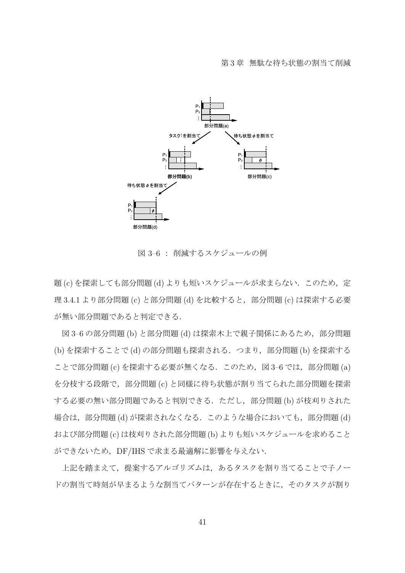

図 3–6 : 削減するスケジュールの例

題 (c) を探索しても部分問題 (d) よりも短いスケジュールが求まらない. このため, 定 理 3.4.1 より部分問題 (c) と部分問題 (d) を比較すると, 部分問題 (c) は探索する必要 が無い部分問題であると判定できる.

図 3-6 の部分問題 (b) と部分問題 (d) は探索木上で親子関係にあるため, 部分問題 (b) を探索することで (d) の部分問題も探索される.つまり,部分問題 (b) を探索する ことで部分問題 (c) を探索する必要が無くなる. このため, 図 3-6 では, 部分問題 (a) を分枝する段階で,部分問題 (c) と同様に待ち状態が割り当てられた部分問題を探索 する必要の無い部分問題であると判別できる.ただし,部分問題 (b) が枝刈りされた 場合は,部分問題 (d) が探索されなくなる. このような場合においても,部分問題 (d) および部分問題 (c) は枝刈りされた部分問題 (b) よりも短いスケジュールを求めること ができないため,DF/IHS で求まる最適解に影響を与えない.

上記を踏まえて,提案するアルゴリズムは,あるタスクを割り当てることで子ノー ドの割当て時刻が早まるような割当てパターンが存在するときに,そのタスクが割り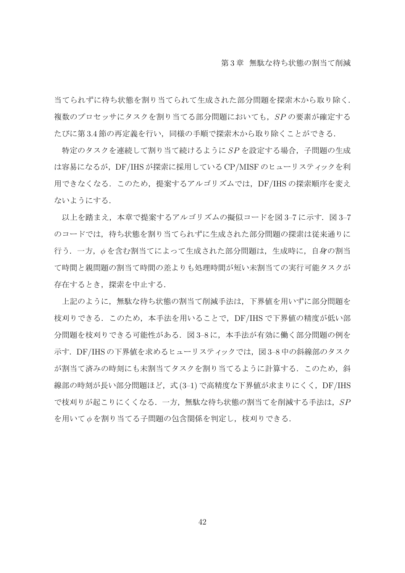当てられずに待ち状態を割り当てられて生成された部分問題を探索木から取り除く. 複数のプロセッサにタスクを割り当てる部分問題においても,*SP* の要素が確定する たびに第 3.4 節の再定義を行い,同様の手順で探索木から取り除くことができる.

特定のタスクを連続して割り当て続けるように *SP* を設定する場合,子問題の生成 は容易になるが,DF/IHS が探索に採用している CP/MISF のヒューリスティックを利 用できなくなる.このため,提案するアルゴリズムでは,DF/IHS の探索順序を変え ないようにする.

以上を踏まえ,本章で提案するアルゴリズムの擬似コードを図 3-7 に示す. 図 3-7 のコードでは、待ち状態を割り当てられずに生成された部分問題の探索は従来通りに 行う.一方,*ϕ* を含む割当てによって生成された部分問題は,生成時に,自身の割当 て時間と親問題の割当て時間の差よりも処理時間が短い未割当ての実行可能タスクが 存在するとき,探索を中止する.

上記のように,無駄な待ち状態の割当て削減手法は,下界値を用いずに部分問題を 枝刈りできる.このため,本手法を用いることで,DF/IHS で下界値の精度が低い部 分問題を枝刈りできる可能性がある. 図 3-8 に、本手法が有効に働く部分問題の例を 示す. DF/IHS の下界値を求めるヒューリスティックでは、図 3-8 中の斜線部のタスク が割当て済みの時刻にも未割当てタスクを割り当てるように計算する. このため、斜 線部の時刻が長い部分問題ほど,式 (3-1) で高精度な下界値が求まりにくく,DF/IHS で枝刈りが起こりにくくなる.一方,無駄な待ち状態の割当てを削減する手法は,*SP* を用いて *ϕ* を割り当てる子問題の包含関係を判定し,枝刈りできる.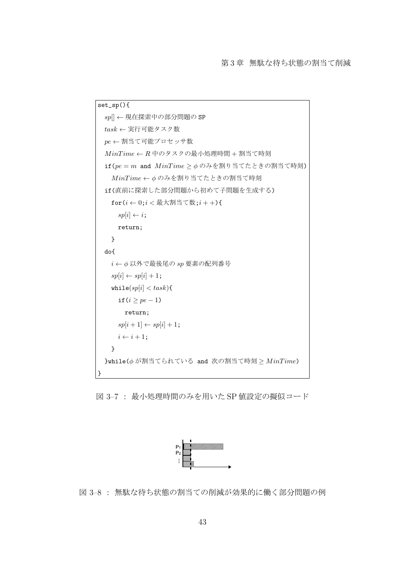```
set_sp(){
 sp[] ← 現在探索中の部分問題の SP
 task ← 実行可能タスク数
 pe ← 割当て可能プロセッサ数
 MinT ime ← R 中のタスクの最小処理時間 + 割当て時刻
 if(pe = m and M inT ime ≥ ϕ のみを割り当てたときの割当て時刻)
   M inT ime ← ϕ のみを割り当てたときの割当て時刻
 if(直前に探索した部分問題から初めて子問題を生成する)
   for(i ← 0;i < 最大割当て数;i + +){
    sp[i] \leftarrow i;
    return;
   }
 do{
   i \leftarrow Φ 以外で最後尾の sp 要素の配列番号
   sp[i] \leftarrow sp[i] + 1;while(sp[i] < task){
     if(i ≥ pe − 1)
      return;
     sp[i+1] \leftarrow sp[i] + 1;i \leftarrow i + 1;}
 }while(ϕ が割当てられている and 次の割当て時刻 ≥ M inT ime)
}
```
図 3–7 : 最小処理時間のみを用いた SP 値設定の擬似コード



図 3–8 : 無駄な待ち状態の割当ての削減が効果的に働く部分問題の例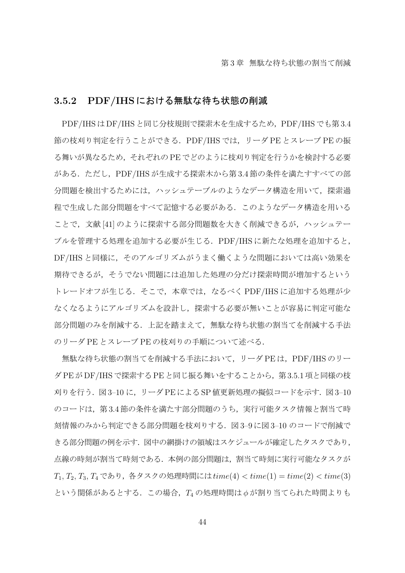## **3.5.2 PDF/IHS** における無駄な待ち状態の削減

PDF/IHS は DF/IHS と同じ分枝規則で探索木を生成するため, PDF/IHS でも第 3.4 節の枝刈り判定を行うことができる.PDF/IHS では,リーダ PE とスレーブ PE の振 る舞いが異なるため,それぞれの PE でどのように枝刈り判定を行うかを検討する必要 がある.ただし,PDF/IHS が生成する探索木から第 3.4 節の条件を満たすすべての部 分問題を検出するためには,ハッシュテーブルのようなデータ構造を用いて,探索過 程で生成した部分問題をすべて記憶する必要がある.このようなデータ構造を用いる ことで、文献 [41] のように探索する部分問題数を大きく削減できるが、ハッシュテー ブルを管理する処理を追加する必要が生じる.PDF/IHS に新たな処理を追加すると, DF/IHS と同様に,そのアルゴリズムがうまく働くような問題においては高い効果を 期待できるが,そうでない問題には追加した処理の分だけ探索時間が増加するという トレードオフが生じる. そこで、本章では、なるべく PDF/IHS に追加する処理が少 なくなるようにアルゴリズムを設計し,探索する必要が無いことが容易に判定可能な 部分問題のみを削減する.上記を踏まえて,無駄な待ち状態の割当てを削減する手法 のリーダ PE とスレーブ PE の枝刈りの手順について述べる.

無駄な待ち状態の割当てを削減する手法において、リーダ PE は、PDF/IHS のリー ダPEがDF/IHSで探索するPEと同じ振る舞いをすることから,第3.5.1項と同様の枝 刈りを行う. 図3-10 に、リーダ PE による SP 値更新処理の擬似コードを示す. 図3-10 のコードは、第3.4節の条件を満たす部分問題のうち、実行可能タスク情報と割当て時 刻情報のみから判定できる部分問題を枝刈りする.図 3–9 に図 3–10 のコードで削減で きる部分問題の例を示す.図中の網掛けの領域はスケジュールが確定したタスクであり, 点線の時刻が割当て時刻である.本例の部分問題は,割当て時刻に実行可能なタスクが *T*1, *T*2, *T*3, *T*<sup>4</sup> であり,各タスクの処理時間には*time*(4) *< time*(1) = *time*(2) *< time*(3) という関係があるとする.この場合,*T*<sup>4</sup> の処理時間は *ϕ* が割り当てられた時間よりも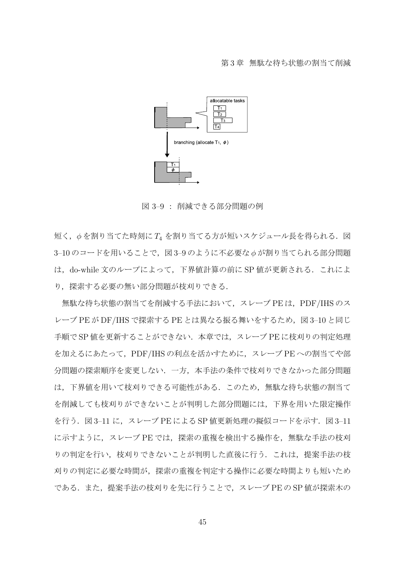

図 3–9 : 削減できる部分問題の例

短く, φを割り当てた時刻に T4 を割り当てる方が短いスケジュール長を得られる. 図 3-10のコードを用いることで, 図 3-9のように不必要な *ϕ* が割り当てられる部分問題 は,do-while 文のループによって,下界値計算の前に SP 値が更新される.これによ り,探索する必要の無い部分問題が枝刈りできる.

無駄な待ち状態の割当てを削減する手法において、スレーブ PE は、PDF/IHS のス レーブ PE が DF/IHS で探索する PE とは異なる振る舞いをするため, 図 3-10 と同じ 手順で SP 値を更新することができない. 本章では、スレーブ PE に枝刈りの判定処理 を加えるにあたって,PDF/IHS の利点を活かすために,スレーブ PE への割当てや部 分問題の探索順序を変更しない.一方,本手法の条件で枝刈りできなかった部分問題 は,下界値を用いて枝刈りできる可能性がある.このため,無駄な待ち状態の割当て を削減しても枝刈りができないことが判明した部分問題には,下界を用いた限定操作 を行う. 図 3-11 に、スレーブ PE による SP 値更新処理の擬似コードを示す. 図 3-11 に示すように,スレーブ PE では,探索の重複を検出する操作を,無駄な手法の枝刈 りの判定を行い、枝刈りできないことが判明した直後に行う. これは、提案手法の枝 刈りの判定に必要な時間が,探索の重複を判定する操作に必要な時間よりも短いため である.また,提案手法の枝刈りを先に行うことで,スレーブ PE の SP 値が探索木の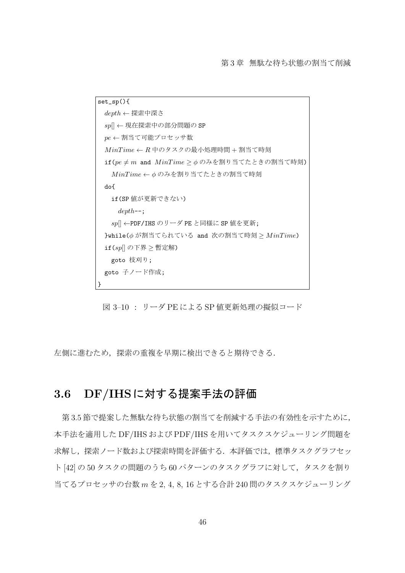```
set_sp(){
 depth ← 探索中深さ
 sp[] ← 現在探索中の部分問題の SP
 pe ← 割当て可能プロセッサ数
 MinT ime ← R 中のタスクの最小処理時間 + 割当て時刻
 if(pe ̸= m and M inT ime ≥ ϕ のみを割り当てたときの割当て時刻)
  M inT ime ← ϕ のみを割り当てたときの割当て時刻
 do{
  if(SP 値が更新できない)
    depth--;
  sp[] ←PDF/IHS のリーダ PE と同様に SP 値を更新;
 }while(ϕ が割当てられている and 次の割当て時刻 ≥ M inT ime)
 if(sp[] の下界 ≥ 暫定解)
  goto 枝刈り;
 goto 子ノード作成;
}
```
図 3–10 : リーダ PE による SP 値更新処理の擬似コード

左側に進むため,探索の重複を早期に検出できると期待できる.

## **3.6 DF/IHS**に対する提案手法の評価

第 3.5 節で提案した無駄な待ち状態の割当てを削減する手法の有効性を示すために, 本手法を適用した DF/IHS および PDF/IHS を用いてタスクスケジューリング問題を 求解し、探索ノード数および探索時間を評価する. 本評価では、標準タスクグラフセッ ト [42] の 50 タスクの問題のうち 60 パターンのタスクグラフに対して、タスクを割り 当てるプロセッサの台数 *m* を 2, 4, 8, 16 とする合計 240 問のタスクスケジューリング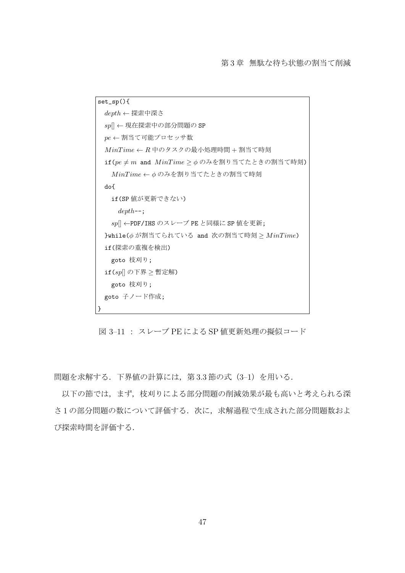```
set_sp(){
 depth ← 探索中深さ
 sp[] ← 現在探索中の部分問題の SP
 pe ← 割当て可能プロセッサ数
 MinT ime ← R 中のタスクの最小処理時間 + 割当て時刻
 if(pe \neq m and MinTime > \phiのみを割り当てたときの割当て時刻)
  M inT ime ← ϕ のみを割り当てたときの割当て時刻
 do{
  if(SP 値が更新できない)
    depth--;
  sp[] ←PDF/IHS のスレーブ PE と同様に SP 値を更新;
 }while(ϕ が割当てられている and 次の割当て時刻 ≥ M inT ime)
 if(探索の重複を検出)
  goto 枝刈り;
 if(sp[] の下界 ≥ 暫定解)
  goto 枝刈り;
 goto 子ノード作成;
}
```
図 3–11 : スレーブ PE による SP 値更新処理の擬似コード

問題を求解する. 下界値の計算には、第3.3節の式 (3-1) を用いる.

以下の節では,まず,枝刈りによる部分問題の削減効果が最も高いと考えられる深 さ 1 の部分問題の数について評価する.次に,求解過程で生成された部分問題数およ び探索時間を評価する.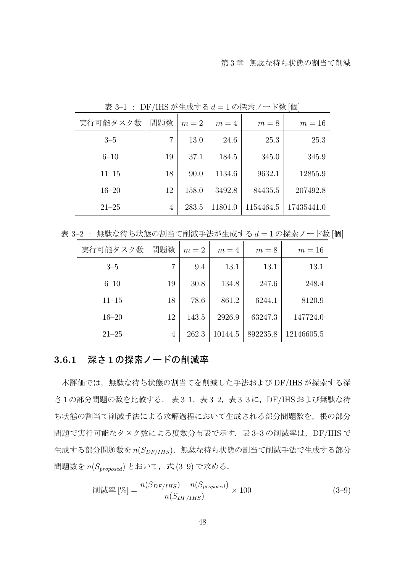| 実行可能タスク数  | 問題数 | $m=2$ | $m=4$   | $m=8$     | $m=16$     |
|-----------|-----|-------|---------|-----------|------------|
| $3 - 5$   | 7   | 13.0  | 24.6    | 25.3      | 25.3       |
| $6 - 10$  | 19  | 37.1  | 184.5   | 345.0     | 345.9      |
| $11 - 15$ | 18  | 90.0  | 1134.6  | 9632.1    | 12855.9    |
| $16 - 20$ | 12  | 158.0 | 3492.8  | 84435.5   | 207492.8   |
| $21 - 25$ | 4   | 283.5 | 11801.0 | 1154464.5 | 17435441.0 |

表 3–1 : DF/IHS が生成する *d* = 1 の探索ノード数 [個]

表 3-2 : 無駄な待ち状態の割当て削減手法が生成する  $d = 1$ の探索ノード数 [個]

| 実行可能タスク数  | 問題数 | $m=2$ | $m=4$   | $m=8$    | $m=16$     |
|-----------|-----|-------|---------|----------|------------|
| $3 - 5$   | 7   | 9.4   | 13.1    | 13.1     | 13.1       |
| $6 - 10$  | 19  | 30.8  | 134.8   | 247.6    | 248.4      |
| $11 - 15$ | 18  | 78.6  | 861.2   | 6244.1   | 8120.9     |
| $16 - 20$ | 12  | 143.5 | 2926.9  | 63247.3  | 147724.0   |
| $21 - 25$ | 4   | 262.3 | 10144.5 | 892235.8 | 12146605.5 |

## **3.6.1** 深さ **1** の探索ノードの削減率

本評価では,無駄な待ち状態の割当てを削減した手法および DF/IHS が探索する深 さ1の部分問題の数を比較する. 表 3-1,表 3-2,表 3-3に,DF/IHS および無駄な待 ち状態の割当て削減手法による求解過程において生成される部分問題数を、根の部分 問題で実行可能なタスク数による度数分布表で示す. 表 3-3 の削減率は、DF/IHS で 生成する部分問題数を *n*(*SDF/IHS*),無駄な待ち状態の割当て削減手法で生成する部分 問題数を  $n(S_{proposed})$  とおいて, 式 (3-9) で求める.

$$
\text{ale} \left[ \% \right] = \frac{n(S_{DF/IHS}) - n(S_{proposed})}{n(S_{DF/IHS})} \times 100 \tag{3-9}
$$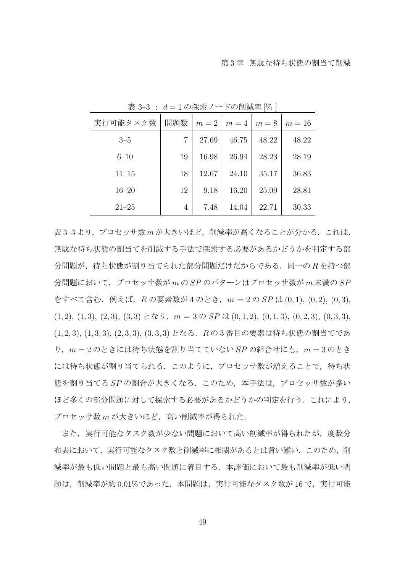| 実行可能タスク数  | 問題数 | $m=2$ | $m=4$ | $m=8$ | $m=16$ |
|-----------|-----|-------|-------|-------|--------|
| $3 - 5$   | 7   | 27.69 | 46.75 | 48.22 | 48.22  |
| $6 - 10$  | 19  | 16.98 | 26.94 | 28.23 | 28.19  |
| $11 - 15$ | 18  | 12.67 | 24.10 | 35.17 | 36.83  |
| $16 - 20$ | 12  | 9.18  | 16.20 | 25.09 | 28.81  |
| $21 - 25$ | 4   | 7.48  | 14.04 | 22.71 | 30.33  |

表 3–3 : *d* = 1 の探索ノードの削減率 [% ]

表 3-3 より, プロセッサ数 m が大きいほど, 削減率が高くなることが分かる. これは, 無駄な待ち状態の割当てを削減する手法で探索する必要があるかどうかを判定する部 分問題が,待ち状態が割り当てられた部分問題だけだからである.同一の *R* を持つ部 分問題において,プロセッサ数が *m* の *SP* のパターンはプロセッサ数が *m* 未満の *SP* をすべて含む.例えば,*R* の要素数が 4 のとき,*m* = 2 の *SP* は (0*,* 1), (0*,* 2), (0*,* 3), (1*,* 2), (1*,* 3), (2*,* 3), (3*,* 3) となり,*m* = 3 の *SP* は (0*,* 1*,* 2), (0*,* 1*,* 3), (0*,* 2*,* 3), (0*,* 3*,* 3), (1*,* 2*,* 3), (1*,* 3*,* 3), (2*,* 3*,* 3), (3*,* 3*,* 3) となる.*R* の 3 番目の要素は待ち状態の割当てであ り,*m* = 2 のときには待ち状態を割り当てていない *SP* の組合せにも,*m* = 3 のとき には待ち状態が割り当てられる.このように,プロセッサ数が増えることで,待ち状 態を割り当てる *SP* の割合が大きくなる.このため,本手法は,プロセッサ数が多い ほど多くの部分問題に対して探索する必要があるかどうかの判定を行う.これにより, プロセッサ数 m が大きいほど, 高い削減率が得られた.

また,実行可能なタスク数がない問題において高い削減率が得られたが,度数分 布表において,実行可能なタスク数と削減率に相関があるとは言い難い.このため,削 減率が最も低い問題と最も高い問題に着目する.本評価において最も削減率が低い問 題は、削減率が約 0.01%であった. 本問題は、実行可能なタスク数が 16 で、実行可能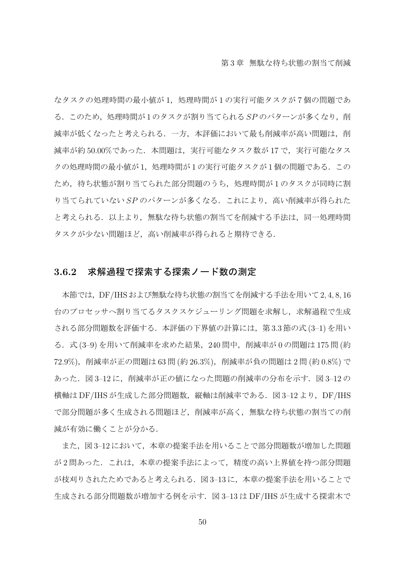なタスクの処理時間の最小値が1,処理時間が1の実行可能タスクが7個の問題であ る.このため,処理時間が 1 のタスクが割り当てられる *SP* のパターンが多くなり,削 減率が低くなったと考えられる.一方,本評価において最も削減率が高い問題は,削 減率が約 50.00%であった. 本問題は、実行可能なタスク数が 17 で、実行可能なタス クの処理時間の最小値が1,処理時間が1の実行可能タスクが1個の問題である.この ため,待ち状態が割り当てられた部分問題のうち,処理時間が 1 のタスクが同時に割 り当てられていない SP のパターンが多くなる. これにより, 高い削減率が得られた と考えられる.以上より,無駄な待ち状態の割当てを削減する手法は,同一処理時間 タスクが少ない問題ほど,高い削減率が得られると期待できる.

#### **3.6.2** 求解過程で探索する探索ノード数の測定

本節では,DF/IHSおよび無駄な待ち状態の割当てを削減する手法を用いて2*,* 4*,* 8*,* 16 台のプロセッサへ割り当てるタスクスケジューリング問題を求解し、求解過程で生成 される部分問題数を評価する.本評価の下界値の計算には,第 3.3 節の式 (3–1) を用い る.式 (3–9) を用いて削減率を求めた結果,240 問中,削減率が 0 の問題は 175 問 (約 72*.*9%),削減率が正の問題は 63 問 (約 26*.*3%),削減率が負の問題は 2 問 (約 0*.*8%) で あった.図 3–12 に,削減率が正の値になった問題の削減率の分布を示す.図 3–12 の 横軸は DF/IHS が生成した部分問題数,縦軸は削減率である. 図 3-12 より, DF/IHS で部分問題が多く生成される問題ほど,削減率が高く,無駄な待ち状態の割当ての削 減が有効に働くことが分かる.

また、図 3-12 において、本章の提案手法を用いることで部分問題数が増加した問題 が 2 問あった.これは,本章の提案手法によって,精度の高い上界値を持つ部分問題 が枝刈りされたためであると考えられる.図 3–13 に,本章の提案手法を用いることで 生成される部分問題数が増加する例を示す. 図 3-13 は DF/IHS が生成する探索木で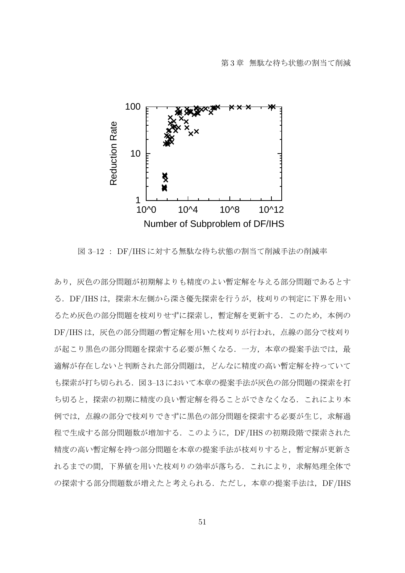

図 3–12 : DF/IHS に対する無駄な待ち状態の割当て削減手法の削減率

あり,灰色の部分問題が初期解よりも精度のよい暫定解を与える部分問題であるとす る.DF/IHS は,探索木左側から深さ優先探索を行うが,枝刈りの判定に下界を用い るため灰色の部分問題を枝刈りせずに探索し,暫定解を更新する.このため,本例の DF/IHSは、灰色の部分問題の暫定解を用いた枝刈りが行われ、点線の部分で枝刈り が起こり黒色の部分問題を探索する必要が無くなる.一方,本章の提案手法では,最 適解が存在しないと判断された部分問題は,どんなに精度の高い暫定解を持っていて も探索が打ち切られる.図 3–13 において本章の提案手法が灰色の部分問題の探索を打 ち切ると,探索の初期に精度の良い暫定解を得ることができなくなる.これにより本 例では,点線の部分で枝刈りできずに黒色の部分問題を探索する必要が生じ,求解過 程で生成する部分問題数が増加する.このように,DF/IHS の初期段階で探索された 精度の高い暫定解を持つ部分問題を本章の提案手法が枝刈りすると,暫定解が更新さ れるまでの間,下界値を用いた枝刈りの効率が落ちる.これにより,求解処理全体で の探索する部分問題数が増えたと考えられる.ただし、本章の提案手法は、DF/IHS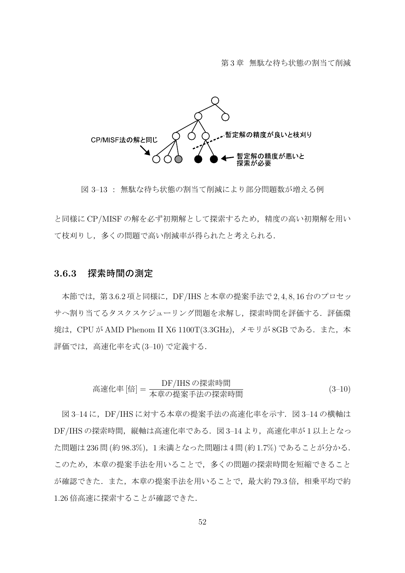

図 3–13 : 無駄な待ち状態の割当て削減により部分問題数が増える例

と同様に CP/MISF の解を必ず初期解として探索するため,精度の高い初期解を用い て枝刈りし,多くの問題で高い削減率が得られたと考えられる.

#### **3.6.3** 探索時間の測定

本節では,第 3.6.2 項と同様に,DF/IHS と本章の提案手法で 2*,* 4*,* 8*,* 16 台のプロセッ サへ割り当てるタスクスケジューリング問題を求解し,探索時間を評価する.評価環 境は, CPU が AMD Phenom II X6 1100T(3.3GHz), メモリが 8GB である.また, 本 評価では,高速化率を式 (3–10) で定義する.

高ע化率 [倍] = 
$$
\frac{DF/IHS \, O\{\text{R}^k\}}{\text{# 1} \times \text{# 2} \times \text{# 3} \times \text{# 5} \times \text{# 6} \times \text{# 7} \times \text{# 8} \times \text{# 8} \times \text{# 8} \times \text{# 1} \times \text{# 1} \times \text{# 1} \times \text{# 1} \times \text{# 1} \times \text{# 1} \times \text{# 1} \times \text{# 1} \times \text{# 1} \times \text{# 1} \times \text{# 1} \times \text{# 1} \times \text{# 1} \times \text{# 1} \times \text{# 1} \times \text{# 1} \times \text{# 1} \times \text{# 1} \times \text{# 1} \times \text{# 1} \times \text{# 1} \times \text{# 1} \times \text{# 1} \times \text{# 1} \times \text{# 1} \times \text{# 1} \times \text{# 1} \times \text{# 1} \times \text{# 1} \times \text{# 1} \times \text{# 1} \times \text{# 1} \times \text{# 1} \times \text{# 1} \times \text{# 1} \times \text{# 1} \times \text{# 1} \times \text{# 1} \times \text{# 1} \times \text{# 1} \times \text{# 1} \times \text{# 1} \times \text{# 1} \times \text{# 1} \times \text{# 1} \times \text{# 1} \times \text{# 1} \times \text{# 1} \times \text{# 1} \times \text{# 1} \times \text{# 1} \times \text{# 1} \times \text{# 1} \times \text{# 1} \times \text{# 1} \times \text{# 1} \times \text{# 1} \times \text{# 1} \times \text{# 1} \times \text{# 1} \times \text{# 1} \times \text{# 1} \times \text{# 1} \times \text{# 1} \times \text{# 1} \times \text{# 1} \times \text{# 1} \times \text{# 1} \times \text{# 1} \times \text{# 1} \times \text{# 1} \times \text{# 1} \times \
$$

図 3-14 に、DF/IHS に対する本章の提案手法の高速化率を示す. 図 3-14 の横軸は DF/IHS の探索時間,縦軸は高速化率である. 図 3-14 より,高速化率が1以上となっ た問題は 236 問 (約 98*.*3%),1 未満となった問題は 4 問 (約 1*.*7%) であることが分かる. このため,本章の提案手法を用いることで,多くの問題の探索時間を短縮できること が確認できた.また、本章の提案手法を用いることで、最大約 79.3 倍、相乗平均で約 1.26 倍高速に探索することが確認できた.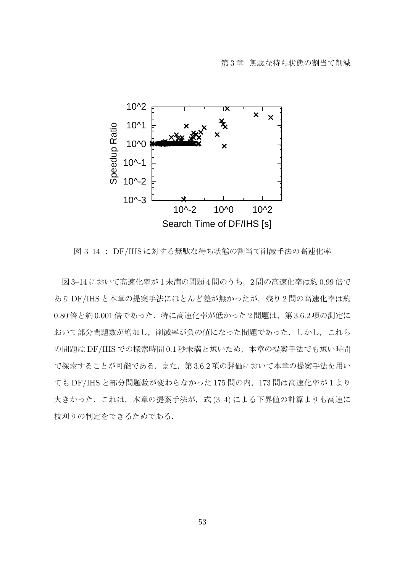

図 3–14 : DF/IHS に対する無駄な待ち状態の割当て削減手法の高速化率

図 3–14 において高速化率が 1 未満の問題 4 問のうち,2 問の高速化率は約 0.99 倍で あり DF/IHS と本章の提案手法にほとんど差が無かったが、残り2問の高速化率は約 0.80 倍と約 0.001 倍であった. 特に高速化率が低かった 2 問題は、第 3.6.2 項の測定に おいて部分問題数が増加し,削減率が負の値になった問題であった.しかし,これら の問題は DF/IHS での探索時間 0*.*1 秒未満と短いため,本章の提案手法でも短い時間 で探索することが可能である.また,第 3.6.2 項の評価において本章の提案手法を用い ても DF/IHS と部分問題数が変わらなかった 175 問の内,173 問は高速化率が 1 より 大きかった.これは,本章の提案手法が,式 (3–4) による下界値の計算よりも高速に 枝刈りの判定をできるためである.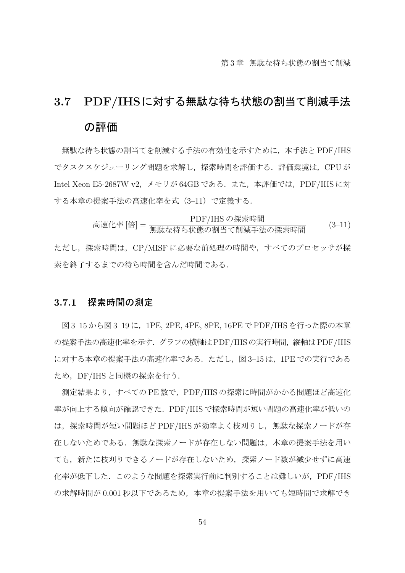# **3.7 PDF/IHS**に対する無駄な待ち状態の割当て削減手法 の評価

無駄な待ち状態の割当てを削減する手法の有効性を示すために,本手法と PDF/IHS でタスクスケジューリング問題を求解し,探索時間を評価する.評価環境は,CPU が Intel Xeon E5-2687W v2,メモリが 64GB である.また,本評価では,PDF/IHS に対 する本章の提案手法の高速化率を式(3–11)で定義する.

\n**高ע化率 [ Ú] = \n 
$$
\frac{PDF/IHS \, \text{の採素時間}}{P\#K \, \text{な特ち状態の割当で制減手法の採素時間
$$
\n**

ただし,探索時間は,CP/MISF に必要な前処理の時間や,すべてのプロセッサが探 索を終了するまでの待ち時間を含んだ時間である.

## **3.7.1** 探索時間の測定

図 3–15 から図 3–19 に,1PE, 2PE, 4PE, 8PE, 16PE で PDF/IHS を行った際の本章 の提案手法の高速化率を示す. グラフの横軸は PDF/IHSの実行時間,縦軸は PDF/IHS に対する本章の提案手法の高速化率である. ただし、図 3-15 は、1PE での実行である ため,DF/IHS と同様の探索を行う.

測定結果より,すべての PE 数で,PDF/IHS の探索に時間がかかる問題ほど高速化 率が向上する傾向が確認できた.PDF/IHS で探索時間が短い問題の高速化率が低いの は,探索時間が短い問題ほど PDF/IHS が効率よく枝刈りし,無駄な探索ノードが存 在しないためである.無駄な探索ノードが存在しない問題は,本章の提案手法を用い ても,新たに枝刈りできるノードが存在しないため,探索ノード数が減少せずに高速 化率が低下した.このような問題を探索実行前に判別することは難しいが,PDF/IHS の求解時間が 0.001 秒以下であるため、本章の提案手法を用いても短時間で求解でき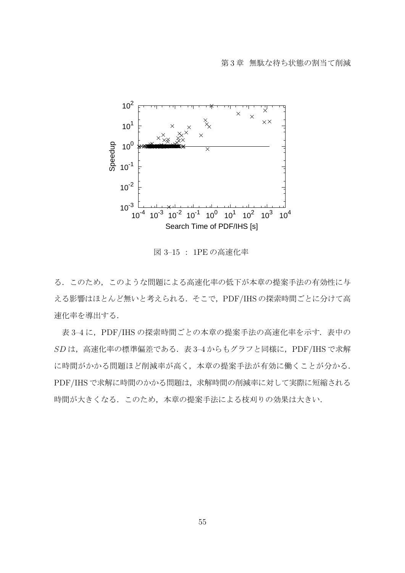

図 3–15 : 1PE の高速化率

る.このため,このような問題による高速化率の低下が本章の提案手法の有効性に与 える影響はほとんど無いと考えられる. そこで, PDF/IHS の探索時間ごとに分けて高 速化率を導出する.

表 3-4 に, PDF/IHS の探索時間ごとの本章の提案手法の高速化率を示す. 表中の *SD* は,高速化率の標準偏差である.表 3–4 からもグラフと同様に,PDF/IHS で求解 に時間がかかる問題ほど削減率が高く,本章の提案手法が有効に働くことが分かる. PDF/IHS で求解に時間のかかる問題は,求解時間の削減率に対して実際に短縮される 時間が大きくなる. このため、本章の提案手法による枝刈りの効果は大きい.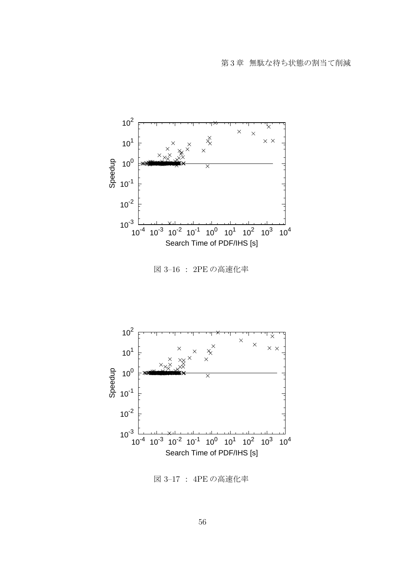

図 3–17 : 4PE の高速化率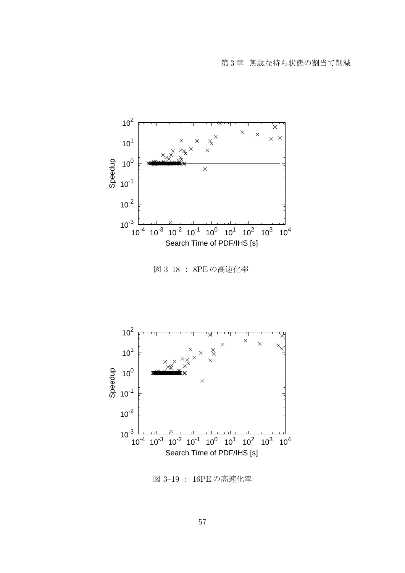

図 3–19 : 16PE の高速化率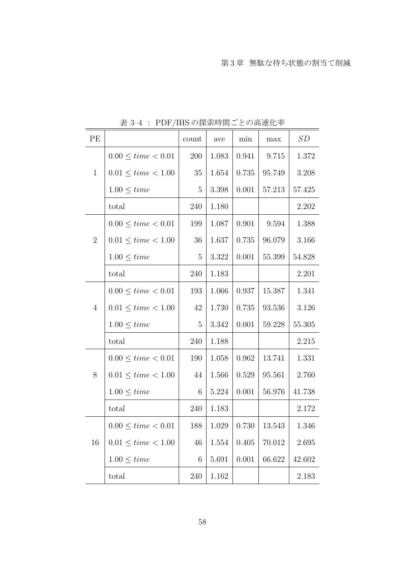| PE             | $\mathcal{L}$              | count          | ave       | min       | $\max$ | SD     |
|----------------|----------------------------|----------------|-----------|-----------|--------|--------|
|                | $0.00 \leq time < 0.01$    | 200            | 1.083     | 0.941     | 9.715  | 1.372  |
| $\mathbf{1}$   | $0.01 \leq time \leq 1.00$ | 35             | 1.654     | 0.735     | 95.749 | 3.208  |
|                | $1.00 \leq time$           | $\overline{5}$ | 3.398     | $0.001\,$ | 57.213 | 57.425 |
|                | total                      | 240            | $1.180\,$ |           |        | 2.202  |
|                | $0.00 \leq time < 0.01$    | 199            | 1.087     | 0.901     | 9.594  | 1.388  |
| $\overline{2}$ | $0.01 \leq time < 1.00$    | 36             | 1.637     | 0.735     | 96.079 | 3.166  |
|                | $1.00 \leq time$           | $\overline{5}$ | 3.322     | 0.001     | 55.399 | 54.828 |
|                | total                      | 240            | 1.183     |           |        | 2.201  |
|                | $0.00 \leq time < 0.01$    | 193            | 1.066     | 0.937     | 15.387 | 1.341  |
| $\overline{4}$ | $0.01 \leq time < 1.00$    | 42             | 1.730     | 0.735     | 93.536 | 3.126  |
|                | $1.00 \leq time$           | $\overline{5}$ | 3.342     | 0.001     | 59.228 | 55.305 |
|                | total                      | 240            | 1.188     |           |        | 2.215  |
|                | $0.00 \leq time < 0.01$    | 190            | 1.058     | 0.962     | 13.741 | 1.331  |
| 8              | $0.01 \leq time < 1.00$    | 44             | 1.566     | 0.529     | 95.561 | 2.760  |
|                | $1.00 \leq time$           | 6              | 5.224     | 0.001     | 56.976 | 41.738 |
|                | total                      | 240            | 1.183     |           |        | 2.172  |
|                | $0.00 \leq time \leq 0.01$ | 188            | 1.029     | 0.730     | 13.543 | 1.346  |
| 16             | $0.01 \leq time < 1.00$    | 46             | 1.554     | 0.405     | 70.012 | 2.695  |
|                | $1.00 \leq time$           | 6              | 5.691     | $0.001\,$ | 66.622 | 42.602 |
|                | total                      | 240            | 1.162     |           |        | 2.183  |

表 3–4 : PDF/IHS の探索時間ごとの高速化率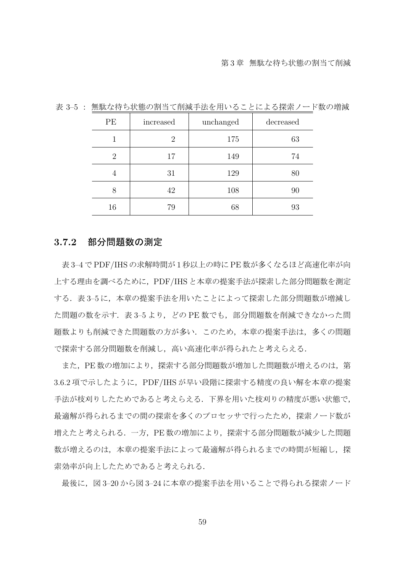| PE | increased      | unchanged | decreased |
|----|----------------|-----------|-----------|
|    | $\overline{2}$ | 175       | 63        |
| 2  | 17             | 149       | 74        |
|    | 31             | 129       | 80        |
| 8  | 42             | 108       | 90        |
| 16 | 79             | 68        | 93        |

表 3–5 : 無駄な待ち状態の割当て削減手法を用いることによる探索ノード数の増減

### **3.7.2** 部分問題数の測定

表 3–4 で PDF/IHS の求解時間が 1 秒以上の時に PE 数が多くなるほど高速化率が向 上する理由を調べるために,PDF/IHS と本章の提案手法が探索した部分問題数を測定 する. 表 3-5 に,本章の提案手法を用いたことによって探索した部分問題数が増減し た問題の数を示す. 表 3–5 より, どの PE 数でも, 部分問題数を削減できなかった問 題数よりも削減できた問題数の方が多い.このため,本章の提案手法は,多くの問題 で探索する部分問題数を削減し,高い高速化率が得られたと考えらえる.

また, PE 数の増加により, 探索する部分問題数が増加した問題数が増えるのは, 第 3.6.2 項で示したように, PDF/IHS が早い段階に探索する精度の良い解を本章の提案 手法が枝刈りしたためであると考えらえる.下界を用いた枝刈りの精度が悪い状態で, 最適解が得られるまでの間の探索を多くのプロセッサで行ったため,探索ノード数が 増えたと考えられる.一方,PE 数の増加により,探索する部分問題数が減少した問題 数が増えるのは,本章の提案手法によって最適解が得られるまでの時間が短縮し,探 索効率が向上したためであると考えられる.

最後に,図 3–20 から図 3–24 に本章の提案手法を用いることで得られる探索ノード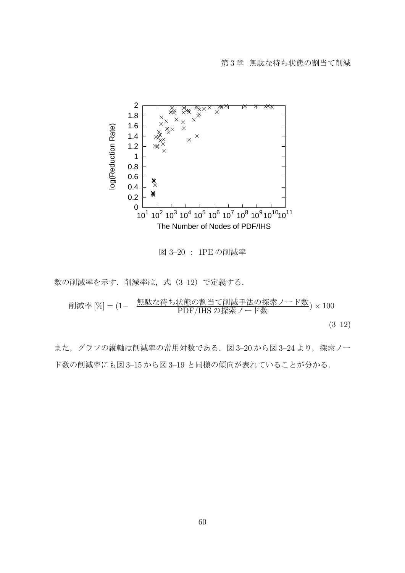

図 3–20 : 1PE の削減率

数の削減率を示す.削減率は,式(3–12)で定義する.

削減率 [%] = (1*<sup>−</sup>* 無駄な待ち状態の割当て削減手法の探索ノード数 PDF/IHS の探索ノード数 ) *<sup>×</sup>* <sup>100</sup>  $(3-12)$ 

また、グラフの縦軸は削減率の常用対数である. 図 3-20 から図 3-24 より、探索ノー ド数の削減率にも図 3–15 から図 3–19 と同様の傾向が表れていることが分かる.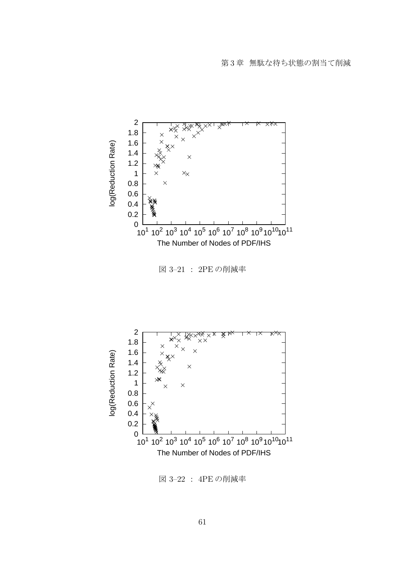



図 3–21 : 2PE の削減率

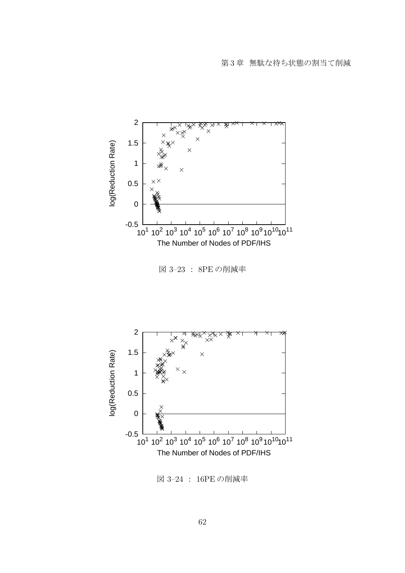

図 3–23 : 8PE の削減率



第 3 章 無駄な待ち状態の割当て削減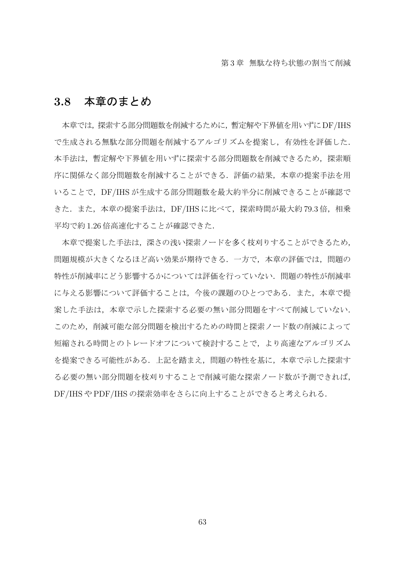## **3.8** 本章のまとめ

本章では,探索する部分問題数を削減するために,暫定解や下界値を用いずにDF/IHS で生成される無駄な部分問題を削減するアルゴリズムを提案し,有効性を評価した. 本手法は,暫定解や下界値を用いずに探索する部分問題数を削減できるため,探索順 序に関係なく部分問題数を削減することができる.評価の結果,本章の提案手法を用 いることで,DF/IHS が生成する部分問題数を最大約半分に削減できることが確認で きた. また,本章の提案手法は,DF/IHS に比べて,探索時間が最大約 79.3 倍,相乗 平均で約 1.26 倍高速化することが確認できた.

本章で提案した手法は,深さの浅い探索ノードを多く枝刈りすることができるため, 問題規模が大きくなるほど高い効果が期待できる.一方で,本章の評価では,問題の 特性が削減率にどう影響するかについては評価を行っていない.問題の特性が削減率 に与える影響について評価することは、今後の課題のひとつである.また、本章で提 案した手法は,本章で示した探索する必要の無い部分問題をすべて削減していない. このため,削減可能な部分問題を検出するための時間と探索ノード数の削減によって 短縮される時間とのトレードオフについて検討することで,より高速なアルゴリズム を提案できる可能性がある.上記を踏まえ,問題の特性を基に,本章で示した探索す る必要の無い部分問題を枝刈りすることで削減可能な探索ノード数が予測できれば, DF/IHS や PDF/IHS の探索効率をさらに向上することができると考えられる.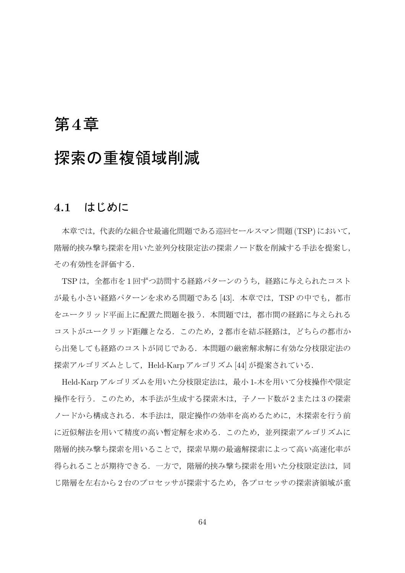# 第**4**章

# 探索の重複領域削減

## **4.1** はじめに

本章では,代表的な組合せ最適化問題である巡回セールスマン問題 (TSP) において, 階層的挟み撃ち探索を用いた並列分枝限定法の探索ノード数を削減する手法を提案し, その有効性を評価する.

TSP は、全都市を1回ずつ訪問する経路パターンのうち、経路に与えられたコスト が最も小さい経路パターンを求める問題である [43]. 本章では, TSP の中でも, 都市 をユークリッド平面上に配置た問題を扱う.本問題では,都市間の経路に与えられる コストがユークリッド距離となる.このため,2 都市を結ぶ経路は,どちらの都市か ら出発しても経路のコストが同じである.本問題の厳密解求解に有効な分枝限定法の 探索アルゴリズムとして, Held-Karp アルゴリズム [44] が提案されている.

Held-Karp アルゴリズムを用いた分枝限定法は,最小 1-木を用いて分枝操作や限定 操作を行う.このため,本手法が生成する探索木は,子ノード数が 2 または 3 の探索 ノードから構成される. 本手法は、限定操作の効率を高めるために、木探索を行う前 に近似解法を用いて精度の高い暫定解を求める.このため,並列探索アルゴリズムに 階層的挟み撃ち探索を用いることで,探索早期の最適解探索によって高い高速化率が 得られることが期待できる.一方で,階層的挟み撃ち探索を用いた分枝限定法は,同 じ階層を左右から2台のプロセッサが探索するため、各プロセッサの探索済領域が重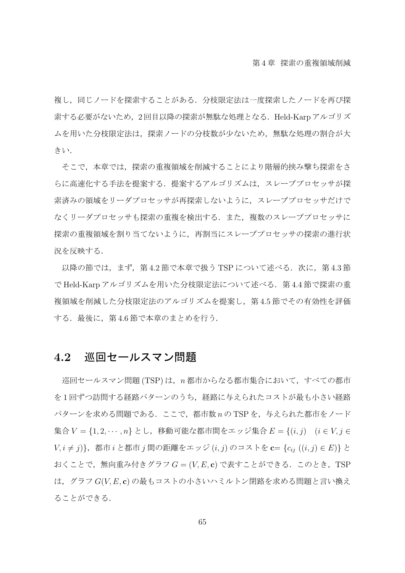複し,同じノードを探索することがある.分枝限定法は一度探索したノードを再び探 索する必要がないため,2 回目以降の探索が無駄な処理となる.Held-Karp アルゴリズ ムを用いた分枝限定法は,探索ノードの分枝数が少ないため,無駄な処理の割合が大 きい.

そこで,本章では,探索の重複領域を削減することにより階層的挟み撃ち探索をさ らに高速化する手法を提案する.提案するアルゴリズムは、スレーブプロセッサが探 索済みの領域をリーダプロセッサが再探索しないように,スレーブプロセッサだけで なくリーダプロセッサも探索の重複を検出する.また,複数のスレーブプロセッサに 探索の重複領域を割り当てないように,再割当にスレーブプロセッサの探索の進行状 況を反映する.

以降の節では、まず、第4.2 節で本章で扱う TSP について述べる. 次に, 第4.3 節 で Held-Karp アルゴリズムを用いた分枝限定法について述べる.第 4.4 節で探索の重 複領域を削減した分枝限定法のアルゴリズムを提案し,第 4.5 節でその有効性を評価 する. 最後に、第4.6 節で本章のまとめを行う.

### **4.2** 巡回セールスマン問題

巡回セールスマン問題 (TSP) は,*n* 都市からなる都市集合において,すべての都市 を 1 回ずつ訪問する経路パターンのうち,経路に与えられたコストが最も小さい経路 パターンを求める問題である. ここで, 都市数 *n* の TSP を, 与えられた都市をノード 集合 *V* = *{*1*,* 2*, · · · , n}* とし,移動可能な都市間をエッジ集合 *E* = *{*(*i, j*) (*i ∈ V, j ∈ V, i ̸*= *j*)*}*,都市 *i* と都市 *j* 間の距離をエッジ (*i, j*) のコストを **c**= *{cij* ((*i, j*) *∈ E*)*}* と おくことで,無向重み付きグラフ *G* = (*V, E,* **c**) で表すことができる.このとき,TSP は,グラフ *G*(*V, E,* **c**) の最もコストの小さいハミルトン閉路を求める問題と言い換え ることができる.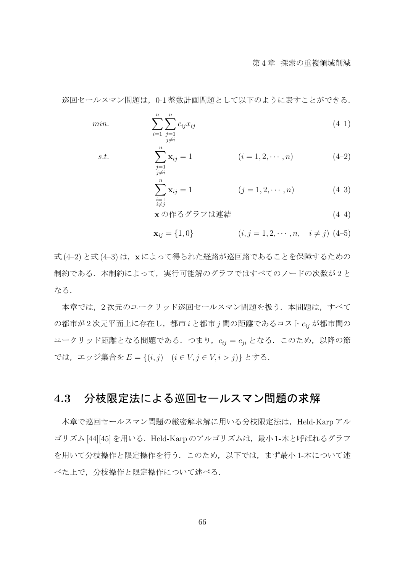巡回セールスマン問題は、0-1 整数計画問題として以下のように表すことができる.

min. 
$$
\sum_{i=1}^{n} \sum_{\substack{j=1 \ j \neq i}}^{n} c_{ij} x_{ij}
$$
 (4-1)

s.t. 
$$
\sum_{\substack{j=1 \ j \neq i}}^{n} \mathbf{x}_{ij} = 1 \qquad (i = 1, 2, \cdots, n) \qquad (4-2)
$$

$$
\sum_{\substack{i=1 \ i \neq j}}^{n} \mathbf{x}_{ij} = 1 \qquad (j = 1, 2, \cdots, n) \qquad (4-3)
$$

$$
\mathbf{x} \, \mathcal{O} \, \mathsf{f}^2 \mathsf{f} \, \mathsf{d}^2 \mathsf{f} \mathsf{f} \mathsf{f}^2 \mathsf{f}^2 \mathsf{f}^2 \mathsf{f}^3 \mathsf{f}^4 \mathsf{f}^3 \mathsf{f}^4 \mathsf{f}^3 \mathsf{f}^4 \mathsf{f}^4 \mathsf{f}^5 \mathsf{f}^3 \mathsf{f}^4 \mathsf{f}^3 \mathsf{f}^4 \mathsf{f}^3 \mathsf{f}^3 \mathsf{f}^4 \mathsf{f}^3 \mathsf{f}^4 \mathsf{f}^3 \mathsf{f}^4 \mathsf{f}^3 \mathsf{f}^4 \mathsf{f}^3 \mathsf{f}^4 \mathsf{f}^3 \mathsf{f}^4 \mathsf{f}^3 \mathsf{f}^4 \mathsf{f}^4 \mathsf{f}^3 \mathsf{f}^4 \mathsf{f}^3 \mathsf{f}^4 \mathsf{f}^4 \mathsf{f}^3 \mathsf{f}^4 \mathsf{f}^3 \mathsf{f}^4 \mathsf{f}^4 \mathsf{f}^3 \mathsf{f}^4 \mathsf{f}^3 \mathsf{f}^4 \mathsf{f}^4 \mathsf{f}^4 \mathsf{f}^3 \mathsf{f}^4 \mathsf{f}^3 \mathsf{f}^4 \mathsf{f}^4 \mathsf{f}^4 \mathsf{f}^4 \mathsf{f}^3 \mathsf{f}^4 \mathsf{f}^4 \mathsf{f}^3 \mathsf{f}^4 \mathsf{f}^4 \mathsf{f}^4 \mathsf{f}^4 \mathsf{f}^3 \mathsf{f}^4 \mathsf{f}^4 \mathsf{f}^4 \mathsf{f}^4 \mathsf{f}^4 \mathsf{f}^4 \mathsf{f}^4 \mathsf{f}^4 \mathsf{f}^4 \mathsf{f}^4 \mathsf{f}^4 \mathsf{f}^4 \mathsf{f}^4 \mathsf{f}^4 \mathsf{f}^4 \mathsf{f}^4 \mathsf{f}^4 \mathsf{f}^4 \mathsf{f}^4 \mathsf{f}^4 \mathsf{f}^4 \mathsf{f}^4 \mathsf{f}^4 \mathsf{f}^4 \mathsf{f}^4 \mathsf
$$

$$
\mathbf{x}_{ij} = \{1, 0\} \qquad (i, j = 1, 2, \cdots, n, \quad i \neq j) \tag{4-5}
$$

式 (4–2) と式 (4–3) は,**x** によって得られた経路が巡回路であることを保障するための 制約である.本制約によって,実行可能解のグラフではすべてのノードの次数が 2 と なる.

本章では、2次元のユークリッド巡回セールスマン問題を扱う. 本問題は、すべて の都市が 2 次元平面上に存在し,都市 *i* と都市 *j* 間の距離であるコスト *cij* が都市間の ユークリッド距離となる問題である.つまり,*cij* = *cji* となる.このため,以降の節 では,エッジ集合を *E* = *{*(*i, j*) (*i ∈ V, j ∈ V, i > j*)*}* とする.

## **4.3** 分枝限定法による巡回セールスマン問題の求解

本章で巡回セールスマン問題の厳密解求解に用いる分枝限定法は、Held-Karp アル ゴリズム [44][45] を用いる.Held-Karp のアルゴリズムは,最小 1-木と呼ばれるグラフ を用いて分枝操作と限定操作を行う.このため,以下では,まず最小 1-木について述 べた上で,分枝操作と限定操作について述べる.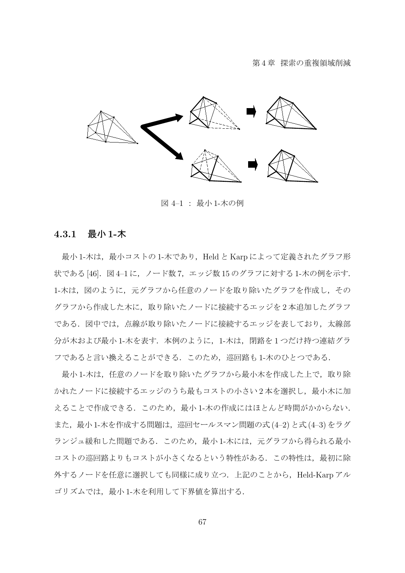

図 4–1 : 最小 1-木の例

#### **4.3.1** 最小 **1-**木

最小 1-木は、最小コストの 1-木であり, Held と Karp によって定義されたグラフ形 状である [46]. 図 4-1 に, ノード数 7, エッジ数 15 のグラフに対する 1-木の例を示す. 1-木は、図のように、元グラフから任意のノードを取り除いたグラフを作成し、その グラフから作成した木に,取り除いたノードに接続するエッジを 2 本追加したグラフ である.図中では,点線が取り除いたノードに接続するエッジを表しており,太線部 分が木および最小 1-木を表す. 本例のように、1-木は、閉路を1つだけ持つ連結グラ フであると言い換えることができる.このため,巡回路も 1-木のひとつである.

最小 1-木は、任意のノードを取り除いたグラフから最小木を作成した上で、取り除 かれたノードに接続するエッジのうち最もコストの小さい2本を選択し、最小木に加 えることで作成できる.このため、最小 1-木の作成にはほとんど時間がかからない. また,最小 1-木を作成する問題は,巡回セールスマン問題の式 (4–2) と式 (4–3) をラグ ランジュ緩和した問題である.このため,最小 1-木には,元グラフから得られる最小 コストの巡回路よりもコストが小さくなるという特性がある.この特性は,最初に除 外するノードを任意に選択しても同様に成り立つ. 上記のことから、Held-Karp アル ゴリズムでは、最小 1-木を利用して下界値を算出する.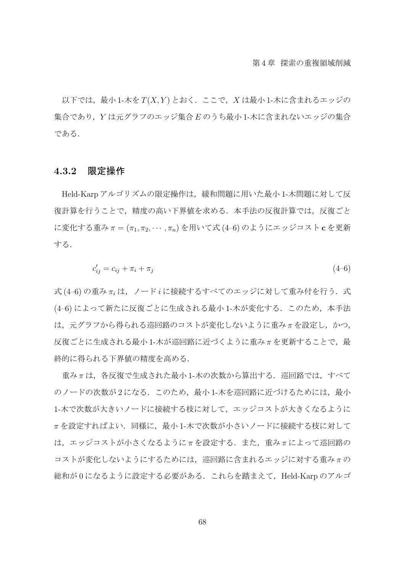以下では、最小 1-木を  $T(X, Y)$  とおく. ここで, X は最小 1-木に含まれるエッジの 集合であり,*Y* は元グラフのエッジ集合 *E* のうち最小 1-木に含まれないエッジの集合 である.

#### **4.3.2** 限定操作

Held-Karp アルゴリズムの限定操作は、緩和問題に用いた最小 1-木問題に対して反 復計算を行うことで,精度の高い下界値を求める.本手法の反復計算では,反復ごと に変化する重み *π* = (*π*1*, π*2*, · · · , πn*) を用いて式 (4–6) のようにエッジコスト **c** を更新 する.

$$
c'_{ij} = c_{ij} + \pi_i + \pi_j \tag{4-6}
$$

式 (4–6) の重み *π<sup>i</sup>* は,ノード *i* に接続するすべてのエッジに対して重み付を行う.式 (4-6) によって新たに反復ごとに生成される最小 1-木が変化する. このため、本手法 は、元グラフから得られる巡回路のコストが変化しないように重みπを設定し、かつ, 反復ごとに生成される最小 1-木が巡回路に近づくように重みπを更新することで, 最 終的に得られる下界値の精度を高める.

重み *π* は,各反復で生成された最小 1-木の次数から算出する.巡回路では,すべて のノードの次数が2になる。このため、最小1-木を巡回路に近づけるためには、最小 1-木で次数が大きいノードに接続する枝に対して、エッジコストが大きくなるように *π* を設定すればよい.同様に,最小 1-木で次数が小さいノードに接続する枝に対して は,エッジコストが小さくなるように *π* を設定する.また,重み *π* によって巡回路の コストが変化しないようにするためには,巡回路に含まれるエッジに対する重み *π* の 総和が 0 になるように設定する必要がある.これらを踏まえて,Held-Karp のアルゴ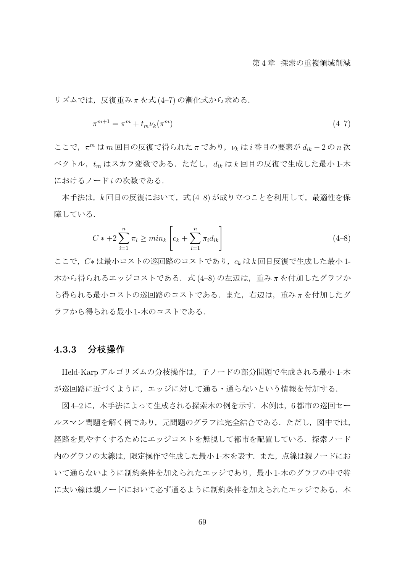リズムでは,反復重み *π* を式 (4–7) の漸化式から求める.

$$
\pi^{m+1} = \pi^m + t_m \nu_k(\pi^m) \tag{4-7}
$$

ここで,*π <sup>m</sup>* は *m* 回目の反復で得られた *π* であり,*ν<sup>k</sup>* は *i* 番目の要素が *dik −* 2 の *n* 次 ベクトル,*t<sup>m</sup>* はスカラ変数である.ただし,*dik* は *k* 回目の反復で生成した最小 1-木 におけるノード *i* の次数である.

本手法は,*k* 回目の反復において,式 (4–8) が成り立つことを利用して,最適性を保 障している.

$$
C * + 2\sum_{i=1}^{n} \pi_i \ge \min_k \left[ c_k + \sum_{i=1}^{n} \pi_i d_{ik} \right]
$$
\n(4-8)

ここで,*C∗* は最小コストの巡回路のコストであり,*c<sup>k</sup>* は *k* 回目反復で生成した最小 1- 木から得られるエッジコストである.式 (4–8) の左辺は,重み *π* を付加したグラフか ら得られる最小コストの巡回路のコストである.また,右辺は,重み *π* を付加したグ ラフから得られる最小 1-木のコストである.

#### **4.3.3** 分枝操作

Held-Karp アルゴリズムの分枝操作は,子ノードの部分問題で生成される最小 1-木 が巡回路に近づくように,エッジに対して通る・通らないという情報を付加する.

図4-2に、本手法によって生成される探索木の例を示す. 本例は、6都市の巡回セー ルスマン問題を解く例であり、元問題のグラフは完全結合である.ただし、図中では, 経路を見やすくするためにエッジコストを無視して都市を配置している.探索ノード 内のグラフの太線は,限定操作で生成した最小 1-木を表す.また,点線は親ノードにお いて通らないように制約条件を加えられたエッジであり、最小 1-木のグラフの中で特 に太い線は親ノードにおいて必ず通るように制約条件を加えられたエッジである. 本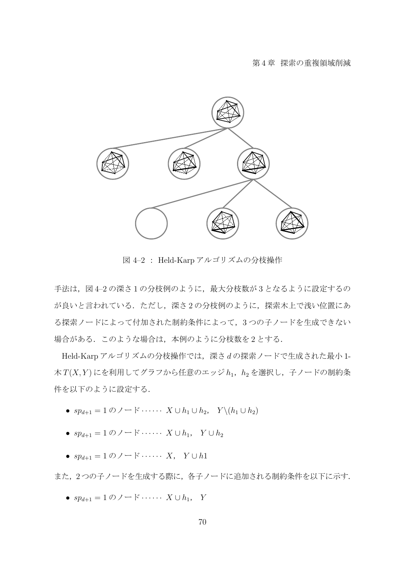

図 4–2 : Held-Karp アルゴリズムの分枝操作

手法は、図 4-2 の深さ1の分枝例のように、最大分枝数が3となるように設定するの が良いと言われている.ただし,深さ 2 の分枝例のように,探索木上で浅い位置にあ る探索ノードによって付加された制約条件によって,3 つの子ノードを生成できない 場合がある. このような場合は、本例のように分枝数を2とする.

Held-Karp アルゴリズムの分枝操作では,深さ *d* の探索ノードで生成された最小 1- 木 *T*(*X, Y* ) にを利用してグラフから任意のエッジ *h*1,*h*<sup>2</sup> を選択し,子ノードの制約条 件を以下のように設定する.

- *• spd*+1 = 1 のノード *· · · · · · X ∪ h*<sup>1</sup> *∪ h*2, *Y \*(*h*<sup>1</sup> *∪ h*2)
- *• spd*+1 = 1 のノード *· · · · · · X ∪ h*1, *Y ∪ h*<sup>2</sup>
- *• spd*+1 = 1 のノード *· · · · · · X*, *Y ∪ h*1

また,2つの子ノードを生成する際に,各子ノードに追加される制約条件を以下に示す.

*• spd*+1 = 1 のノード *· · · · · · X ∪ h*1, *Y*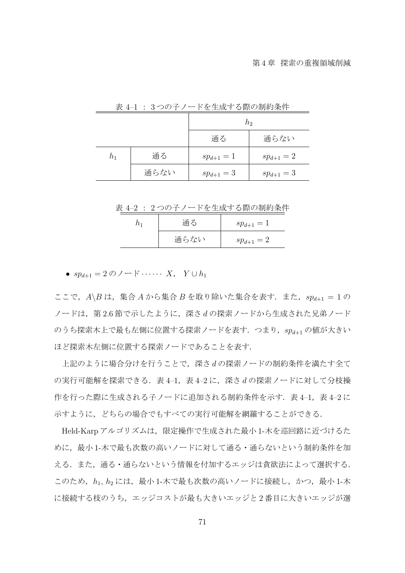|       |      | h <sub>2</sub> |              |  |
|-------|------|----------------|--------------|--|
|       |      | 通る             | 通らない         |  |
| $h_1$ | 通る   | $sp_{d+1}=1$   | $sp_{d+1}=2$ |  |
|       | 通らない | $sp_{d+1} = 3$ | $sp_{d+1}=3$ |  |

表 4–1 : 3 つの子ノードを生成する際の制約条件

表 4–2 : 2 つの子ノードを生成する際の制約条件

| 通る   | $sp_{d+1}=1$ |  |
|------|--------------|--|
| 通らない | $sp_{d+1}=2$ |  |

*• spd*+1 = 2 のノード *· · · · · · X*, *Y ∪ h*<sup>1</sup>

ここで,*A\B* は,集合 *A* から集合 *B* を取り除いた集合を表す.また,*spd*+1 = 1 の ノードは,第 2.6 節で示したように,深さ *d* の探索ノードから生成された兄弟ノード のうち探索木上で最も左側に位置する探索ノードを表す.つまり,*spd*+1 の値が大きい ほど探索木左側に位置する探索ノードであることを表す.

上記のように場合分けを行うことで,深さ *d* の探索ノードの制約条件を満たす全て の実行可能解を探索できる. 表 4−1, 表 4−2 に, 深さ d の探索ノードに対して分枝操 作を行った際に生成される子ノードに追加される制約条件を示す. 表 4-1, 表 4-2 に 示すように,どちらの場合でもすべての実行可能解を網羅することができる.

Held-Karp アルゴリズムは、限定操作で生成された最小 1-木を巡回路に近づけるた めに、最小 1-木で最も次数の高いノードに対して通る·通らないという制約条件を加 える.また,通る・通らないという情報を付加するエッジは貪欲法によって選択する. このため, h<sub>1</sub>, h<sub>2</sub> には, 最小 1-木で最も次数の高いノードに接続し, かつ, 最小 1-木 に接続する枝のうち,エッジコストが最も大きいエッジと 2 番目に大きいエッジが選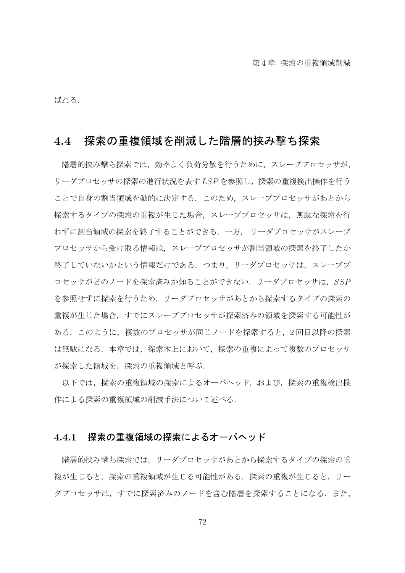ばれる.

## **4.4** 探索の重複領域を削減した階層的挟み撃ち探索

階層的挟み撃ち探索では、効率よく負荷分散を行うために、スレーブプロセッサが、 リーダプロセッサの探索の進行状況を表す *LSP* を参照し,探索の重複検出操作を行う ことで自身の割当領域を動的に決定する. このため、スレーブプロセッサがあとから 探索するタイプの探索の重複が生じた場合,スレーブプロセッサは,無駄な探索を行 わずに割当領域の探索を終了することができる.一方, リーダプロセッサがスレーブ プロセッサから受け取る情報は,スレーブプロセッサが割当領域の探索を終了したか 終了していないかという情報だけである.つまり,リーダプロセッサは,スレーブプ ロセッサがどのノードを探索済みか知ることができない.リーダプロセッサは,*SSP* を参照せずに探索を行うため,リーダプロセッサがあとから探索するタイプの探索の 重複が生じた場合,すでにスレーブプロセッサが探索済みの領域を探索する可能性が ある.このように,複数のプロセッサが同じノードを探索すると,2 回目以降の探索 は無駄になる.本章では,探索木上において,探索の重複によって複数のプロセッサ が探索した領域を,探索の重複領域と呼ぶ.

以下では,探索の重複領域の探索によるオーバヘッド,および,探索の重複検出操 作による探索の重複領域の削減手法について述べる.

#### **4.4.1** 探索の重複領域の探索によるオーバヘッド

階層的挟み撃ち探索では,リーダプロセッサがあとから探索するタイプの探索の重 複が生じると,探索の重複領域が生じる可能性がある.探索の重複が生じると,リー ダプロセッサは、すでに探索済みのノードを含む階層を探索することになる.また,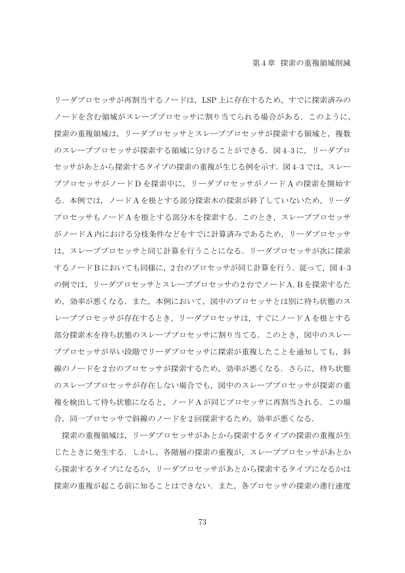リーダプロセッサが再割当するノードは,LSP 上に存在するため,すでに探索済みの ノードを含む領域がスレーブプロセッサに割り当てられる場合がある.このように, 探索の重複領域は、リーダプロセッサとスレーブプロセッサが探索する領域と、複数 のスレーブプロセッサが探索する領域に分けることができる. 図4-3に, リーダプロ セッサがあとから探索するタイプの探索の重複が生じる例を示す. 図4-3 では、スレー ブプロセッサがノード D を探索中に,リーダプロセッサがノード A の探索を開始す る.本例では,ノード A を根とする部分探索木の探索が終了していないため,リーダ プロセッサもノード A を根とする部分木を探索する.このとき,スレーブプロセッサ がノード A 内における分枝条件などをすでに計算済みであるため,リーダプロセッサ は,スレーブプロセッサと同じ計算を行うことになる.リーダプロセッサが次に探索 するノードBにおいても同様に、2台のプロセッサが同じ計算を行う. 従って、図 4-3 の例では,リーダプロセッサとスレーブプロセッサの 2 台でノード A, B を探索するた め、効率が悪くなる.また、本例において、図中のプロセッサとは別に待ち状態のス レーブプロセッサが存在するとき,リーダプロセッサは,すぐにノード A を根とする 部分探索木を待ち状態のスレーブプロセッサに割り当てる.このとき,図中のスレー ブプロセッサが早い段階でリーダプロセッサに探索が重複したことを通知しても、斜 線のノードを2台のプロセッサが探索するため,効率が悪くなる.さらに,待ち状態 のスレーブプロセッサが存在しない場合でも,図中のスレーブプロセッサが探索の重 複を検出して待ち状態になると,ノード A が同じプロセッサに再割当される.この場 合,同一プロセッサで斜線のノードを2回探索するため,効率が悪くなる.

探索の重複領域は,リーダプロセッサがあとから探索するタイプの探索の重複が生 じたときに発生する.しかし,各階層の探索の重複が,スレーブプロセッサがあとか ら探索するタイプになるか,リーダプロセッサがあとから探索するタイプになるかは 探索の重複が起こる前に知ることはできない.また,各プロセッサの探索の進行速度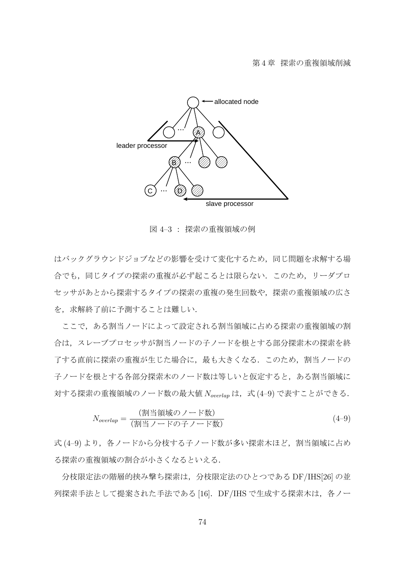

図 4–3 : 探索の重複領域の例

はバックグラウンドジョブなどの影響を受けて変化するため,同じ問題を求解する場 合でも,同じタイプの探索の重複が必ず起こるとは限らない.このため,リーダプロ セッサがあとから探索するタイプの探索の重複の発生回数や,探索の重複領域の広さ を、求解終了前に予測することは難しい.

ここで,ある割当ノードによって設定される割当領域に占める探索の重複領域の割 合は,スレーブプロセッサが割当ノードの子ノードを根とする部分探索木の探索を終 了する直前に探索の重複が生じた場合に,最も大きくなる.このため,割当ノードの 子ノードを根とする各部分探索木のノード数は等しいと仮定すると、ある割当領域に 対する探索の重複領域のノード数の最大値 *Noverlap* は,式 (4–9) で表すことができる.

$$
N_{overlap} = \frac{(\frac{1}{2} \times \frac{1}{2} \times \frac{1}{2})}{(\frac{1}{2} \times \frac{1}{2} \times \frac{1}{2}) \times \frac{1}{2} \times \frac{1}{2} \times \frac{1}{2} \times \frac{1}{2} \times \frac{1}{2} \times \frac{1}{2} \times \frac{1}{2} \times \frac{1}{2} \times \frac{1}{2} \times \frac{1}{2} \times \frac{1}{2} \times \frac{1}{2} \times \frac{1}{2} \times \frac{1}{2} \times \frac{1}{2} \times \frac{1}{2} \times \frac{1}{2} \times \frac{1}{2} \times \frac{1}{2} \times \frac{1}{2} \times \frac{1}{2} \times \frac{1}{2} \times \frac{1}{2} \times \frac{1}{2} \times \frac{1}{2} \times \frac{1}{2} \times \frac{1}{2} \times \frac{1}{2} \times \frac{1}{2} \times \frac{1}{2} \times \frac{1}{2} \times \frac{1}{2} \times \frac{1}{2} \times \frac{1}{2} \times \frac{1}{2} \times \frac{1}{2} \times \frac{1}{2} \times \frac{1}{2} \times \frac{1}{2} \times \frac{1}{2} \times \frac{1}{2} \times \frac{1}{2} \times \frac{1}{2} \times \frac{1}{2} \times \frac{1}{2} \times \frac{1}{2} \times \frac{1}{2} \times \frac{1}{2} \times \frac{1}{2} \times \frac{1}{2} \times \frac{1}{2} \times \frac{1}{2} \times \frac{1}{2} \times \frac{1}{2} \times \frac{1}{2} \times \frac{1}{2} \times \frac{1}{2} \times \frac{1}{2} \times \frac{1}{2} \times \frac{1}{2} \times \frac{1}{2} \times \frac{1}{2} \times \frac{1}{2} \times \frac{1}{2} \times \frac{1}{2} \times \frac{1}{2} \times \frac{1}{2} \times \frac{1}{2} \times \frac{1}{2} \times \frac{1}{2} \times \frac{1}{2} \times \frac{1}{2} \times \frac{1}{2} \times \frac{1}{2} \times \frac{1}{2} \times \frac{1}{2} \times \frac{1}{2} \times \frac{
$$

式(4-9) より、各ノードから分枝する子ノード数が多い探索木ほど、割当領域に占め る探索の重複領域の割合が小さくなるといえる.

分枝限定法の階層的挟み撃ち探索は,分枝限定法のひとつである DF/IHS[26] の並 列探索手法として提案された手法である [16]. DF/IHS で生成する探索木は、各ノー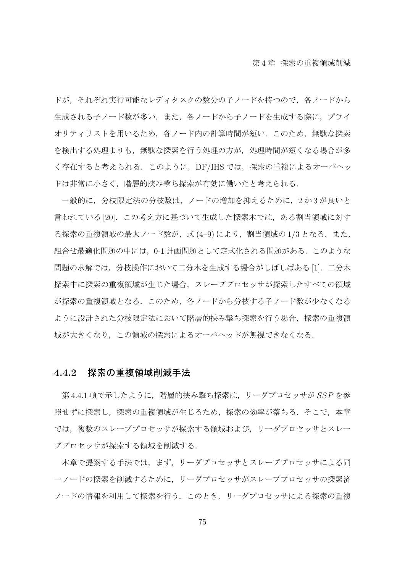ドが、それぞれ実行可能なレディタスクの数分の子ノードを持つので、各ノードから 生成される子ノード数が多い.また,各ノードから子ノードを生成する際に,プライ オリティリストを用いるため,各ノード内の計算時間が短い.このため,無駄な探索 を検出する処理よりも,無駄な探索を行う処理の方が,処理時間が短くなる場合が多 く存在すると考えられる. このように, DF/IHS では, 探索の重複によるオーバヘッ ドは非常に小さく,階層的挟み撃ち探索が有効に働いたと考えられる.

一般的に,分枝限定法の分枝数は,ノードの増加を抑えるために,2 か 3 が良いと 言われている [20]. この考え方に基づいて生成した探索木では、ある割当領域に対す る探索の重複領域の最大ノード数が,式 (4-9) により,割当領域の 1/3 となる.また, 組合せ最適化問題の中には、0-1 計画問題として定式化される問題がある.このような 問題の求解では、分枝操作において二分木を生成する場合がしばしばある [1]. 二分木 探索中に探索の重複領域が生じた場合,スレーブプロセッサが探索したすべての領域 が探索の重複領域となる.このため,各ノードから分枝する子ノード数が少なくなる ように設計された分枝限定法において階層的挟み撃ち探索を行う場合,探索の重複領 域が大きくなり,この領域の探索によるオーバヘッドが無視できなくなる.

#### **4.4.2** 探索の重複領域削減手法

第 4.4.1 項で示したように,階層的挟み撃ち探索は,リーダプロセッサが *SSP* を参 照せずに探索し,探索の重複領域が生じるため,探索の効率が落ちる.そこで,本章 では,複数のスレーブプロセッサが探索する領域および,リーダプロセッサとスレー ブプロセッサが探索する領域を削減する.

本章で提案する手法では,まず,リーダプロセッサとスレーブプロセッサによる同 一ノードの探索を削減するために,リーダプロセッサがスレーブプロセッサの探索済 ノードの情報を利用して探索を行う.このとき,リーダプロセッサによる探索の重複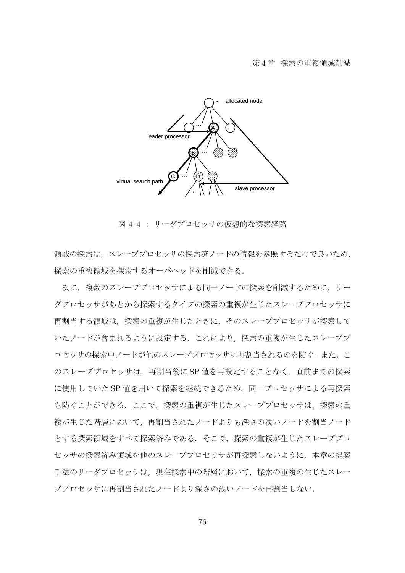

図 4–4 : リーダプロセッサの仮想的な探索経路

領域の探索は,スレーブプロセッサの探索済ノードの情報を参照するだけで良いため, 探索の重複領域を探索するオーバヘッドを削減できる.

次に,複数のスレーブプロセッサによる同一ノードの探索を削減するために,リー ダプロセッサがあとから探索するタイプの探索の重複が生じたスレーブプロセッサに 再割当する領域は,探索の重複が生じたときに,そのスレーブプロセッサが探索して いたノードが含まれるように設定する.これにより,探索の重複が生じたスレーブプ ロセッサの探索中ノードが他のスレーブプロセッサに再割当されるのを防ぐ.また、こ のスレーブプロセッサは,再割当後に SP 値を再設定することなく,直前までの探索 に使用していた SP 値を用いて探索を継続できるため、同一プロセッサによる再探索 も防ぐことができる.ここで、探索の重複が生じたスレーブプロセッサは、探索の重 複が生じた階層において,再割当されたノードよりも深さの浅いノードを割当ノード とする探索領域をすべて探索済みである.そこで,探索の重複が生じたスレーブプロ セッサの探索済み領域を他のスレーブプロセッサが再探索しないように,本章の提案 手法のリーダプロセッサは、現在探索中の階層において、探索の重複の生じたスレー ブプロセッサに再割当されたノードより深さの浅いノードを再割当しない.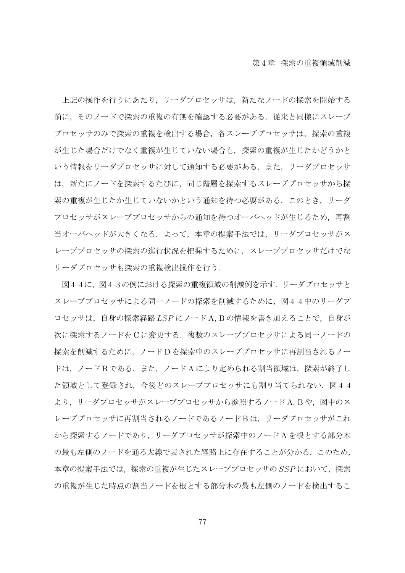上記の操作を行うにあたり,リーダプロセッサは,新たなノードの探索を開始する 前に,そのノードで探索の重複の有無を確認する必要がある.従来と同様にスレーブ プロセッサのみで探索の重複を検出する場合,各スレーブプロセッサは,探索の重複 が生じた場合だけでなく重複が生じていない場合も,探索の重複が生じたかどうかと いう情報をリーダプロセッサに対して通知する必要がある.また,リーダプロセッサ は,新たにノードを探索するたびに,同じ階層を探索するスレーブプロセッサから探 索の重複が生じたか生じていないかという通知を待つ必要がある.このとき,リーダ プロセッサがスレーブプロセッサからの通知を待つオーバヘッドが生じるため,再割 当オーバヘッドが大きくなる.よって,本章の提案手法では,リーダプロセッサがス レーブプロセッサの探索の進行状況を把握するために,スレーブプロセッサだけでな リーダプロセッサも探索の重複検出操作を行う.

図 4-4に、図 4-3の例における探索の重複領域の削減例を示す. リーダプロセッサと スレーブプロセッサによる同一ノードの探索を削減するために、図4-4 中のリーダプ ロセッサは,自身の探索経路 *LSP* にノード A, B の情報を書き加えることで,自身が 次に探索するノードを C に変更する. 複数のスレーブプロセッサによる同一ノードの 探索を削減するために,ノード D を探索中のスレーブプロセッサに再割当されるノー ドは, ノード B である. また, ノード A により定められる割当領域は, 探索が終了し た領域として登録され, 今後どのスレーブプロセッサにも割り当てられない. 図 4-4 より, リーダプロセッサがスレーブプロセッサから参照するノード A, B や, 図中のス レーブプロセッサに再割当されるノードであるノードBは, リーダプロセッサがこれ から探索するノードであり,リーダプロセッサが探索中のノード A を根とする部分木 の最も左側のノードを通る太線で表された経路上に存在することが分かる. このため, 本章の提案手法では,探索の重複が生じたスレーブプロセッサの *SSP* において,探索 の重複が生じた時点の割当ノードを根とする部分木の最も左側のノードを検出するこ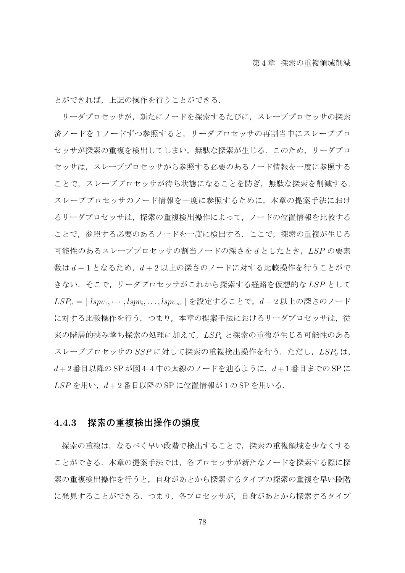とができれば,上記の操作を行うことができる.

リーダプロセッサが,新たにノードを探索するたびに,スレーブプロセッサの探索 済ノードを 1 ノードずつ参照すると,リーダプロセッサの再割当中にスレーブプロ セッサが探索の重複を検出してしまい,無駄な探索が生じる.このため,リーダプロ セッサは,スレーブプロセッサから参照する必要のあるノード情報を一度に参照する ことで,スレーブプロセッサが待ち状態になることを防ぎ,無駄な探索を削減する. スレーブプロセッサのノード情報を一度に参照するために,本章の提案手法におけ るリーダプロセッサは,探索の重複検出操作によって,ノードの位置情報を比較する ことで,参照する必要のあるノードを一度に検出する.ここで,探索の重複が生じる 可能性のあるスレーブプロセッサの割当ノードの深さを *d* としたとき,*LSP* の要素 数は *d* + 1 となるため,*d* + 2 以上の深さのノードに対する比較操作を行うことがで きない.そこで,リーダプロセッサがこれから探索する経路を仮想的な *LSP* として *LSP<sup>v</sup>* = [ *lspv*1*, · · · , lspv<sup>i</sup> , . . . , lspv<sup>∞</sup>* ] を設定することで,*d* + 2 以上の深さのノード に対する比較操作を行う. つまり,本章の提案手法におけるリーダプロセッサは,従 来の階層的挟み撃ち探索の処理に加えて,*LSP<sup>v</sup>* と探索の重複が生じる可能性のある スレーブプロセッサの SSP に対して探索の重複検出操作を行う. ただし, LSP<sub>n</sub>は, *d* + 2 番目以降の SP が図 4–4 中の太線のノードを辿るように,*d* + 1 番目までの SP に *LSP* を用い,*d* + 2 番目以降の SP に位置情報が 1 の SP を用いる.

#### **4.4.3** 探索の重複検出操作の頻度

探索の重複は,なるべく早い段階で検出することで,探索の重複領域を少なくする ことができる.本章の提案手法では,各プロセッサが新たなノードを探索する際に探 索の重複検出操作を行うと,自身があとから探索するタイプの探索の重複を早い段階 に発見することができる.つまり、各プロセッサが、自身があとから探索するタイプ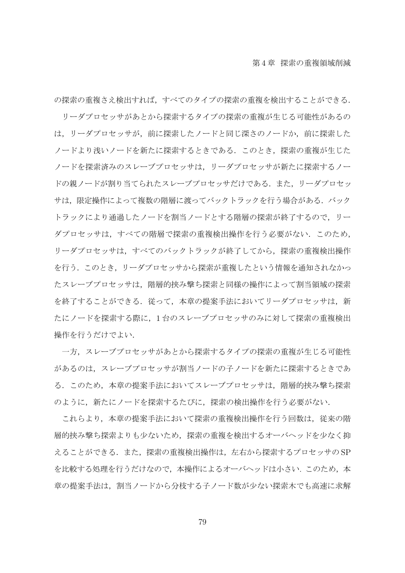の探索の重複さえ検出すれば,すべてのタイプの探索の重複を検出することができる. リーダプロセッサがあとから探索するタイプの探索の重複が生じる可能性があるの は,リーダプロセッサが,前に探索したノードと同じ深さのノードか,前に探索した ノードより浅いノードを新たに探索するときである.このとき,探索の重複が生じた ノードを探索済みのスレーブプロセッサは,リーダプロセッサが新たに探索するノー ドの親ノードが割り当てられたスレーブプロセッサだけである。また、リーダプロセッ サは, 限定操作によって複数の階層に渡ってバックトラックを行う場合がある. バック トラックにより通過したノードを割当ノードとする階層の探索が終了するので,リー ダプロセッサは,すべての階層で探索の重複検出操作を行う必要がない.このため, リーダプロセッサは,すべてのバックトラックが終了してから,探索の重複検出操作 を行う.このとき,リーダプロセッサから探索が重複したという情報を通知されなかっ たスレーブプロセッサは,階層的挟み撃ち探索と同様の操作によって割当領域の探索 を終了することができる。従って、本章の提案手法においてリーダプロセッサは、新 たにノードを探索する際に,1 台のスレーブプロセッサのみに対して探索の重複検出 操作を行うだけでよい.

一方,スレーブプロセッサがあとから探索するタイプの探索の重複が生じる可能性 があるのは,スレーブプロセッサが割当ノードの子ノードを新たに探索するときであ る.このため,本章の提案手法においてスレーブプロセッサは,階層的挟み撃ち探索 のように,新たにノードを探索するたびに,探索の検出操作を行う必要がない.

これらより,本章の提案手法において探索の重複検出操作を行う回数は,従来の階 層的挟み撃ち探索よりも少ないため、探索の重複を検出するオーバヘッドを少なく抑 えることができる.また,探索の重複検出操作は,左右から探索するプロセッサの SP を比較する処理を行うだけなので、本操作によるオーバヘッドは小さい. このため、本 章の提案手法は,割当ノードから分枝する子ノード数が少ない探索木でも高速に求解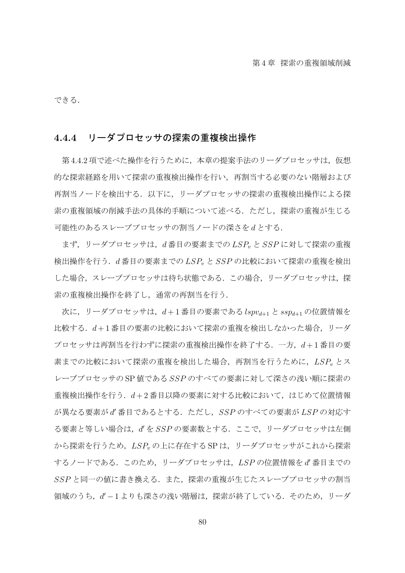できる.

### **4.4.4** リーダプロセッサの探索の重複検出操作

第4.4.2 項で述べた操作を行うために、本章の提案手法のリーダプロセッサは、仮想 的な探索経路を用いて探索の重複検出操作を行い,再割当する必要のない階層および 再割当ノードを検出する.以下に,リーダプロセッサの探索の重複検出操作による探 索の重複領域の削減手法の具体的手順について述べる.ただし,探索の重複が生じる 可能性のあるスレーブプロセッサの割当ノードの深さを *d* とする.

まず,リーダプロセッサは,*d* 番目の要素までの *LSP<sup>v</sup>* と *SSP* に対して探索の重複 検出操作を行う.*d* 番目の要素までの *LSP<sup>v</sup>* と *SSP* の比較において探索の重複を検出 した場合,スレーブプロセッサは待ち状態である.この場合,リーダプロセッサは,探 索の重複検出操作を終了し,通常の再割当を行う.

次に,リーダプロセッサは,*d* + 1 番目の要素である *lspvd*+1 と *sspd*+1 の位置情報を 比較する.*d* + 1 番目の要素の比較において探索の重複を検出しなかった場合,リーダ プロセッサは再割当を行わずに探索の重複検出操作を終了する.一方,*d* + 1 番目の要 素までの比較において探索の重複を検出した場合、再割当を行うために、LSP<sub>v</sub> とス レーブプロセッサの SP 値である *SSP* のすべての要素に対して深さの浅い順に探索の 重複検出操作を行う.*d* + 2 番目以降の要素に対する比較において,はじめて位置情報 が異なる要素が *d ′* 番目であるとする.ただし,*SSP* のすべての要素が *LSP* の対応す る要素と等しい場合は,*d ′* を *SSP* の要素数とする.ここで,リーダプロセッサは左側 から探索を行うため,*LSP<sup>v</sup>* の上に存在する SP は,リーダプロセッサがこれから探索 するノードである.このため,リーダプロセッサは,*LSP* の位置情報を *d ′* 番目までの *SSP* と同一の値に書き換える.また,探索の重複が生じたスレーブプロセッサの割当 **領域のうち, d'-1よりも深さの浅い階層は, 探索が終了している. そのため, リーダ**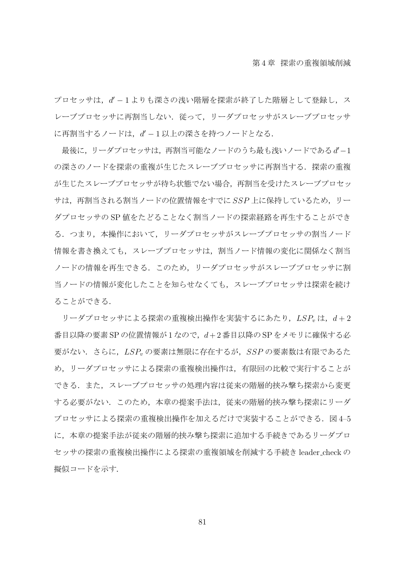プロセッサは, d'-1よりも深さの浅い階層を探索が終了した階層として登録し, ス レーブプロセッサに再割当しない.従って,リーダプロセッサがスレーブプロセッサ に再割当するノードは,*d ′ −* 1 以上の深さを持つノードとなる.

最後に,リーダプロセッサは,再割当可能なノードのうち最も浅いノードである*d ′−*1 の深さのノードを探索の重複が生じたスレーブプロセッサに再割当する. 探索の重複 が生じたスレーブプロセッサが待ち状態でない場合,再割当を受けたスレーブプロセッ サは,再割当される割当ノードの位置情報をすでに *SSP* 上に保持しているため,リー ダプロセッサの SP 値をたどることなく割当ノードの探索経路を再生することができ る.つまり,本操作において,リーダプロセッサがスレーブプロセッサの割当ノード 情報を書き換えても,スレーブプロセッサは,割当ノード情報の変化に関係なく割当 ノードの情報を再生できる.このため,リーダプロセッサがスレーブプロセッサに割 当ノードの情報が変化したことを知らせなくても,スレーブプロセッサは探索を続け ることができる.

リーダプロセッサによる探索の重複検出操作を実装するにあたり, LSP<sub>v</sub>は,  $d+2$ 番目以降の要素 SP の位置情報が 1 なので,*d*+ 2 番目以降の SP をメモリに確保する必 要がない.さらに,*LSP<sup>v</sup>* の要素は無限に存在するが,*SSP* の要素数は有限であるた め,リーダプロセッサによる探索の重複検出操作は,有限回の比較で実行することが できる.また,スレーブプロセッサの処理内容は従来の階層的挟み撃ち探索から変更 する必要がない.このため,本章の提案手法は,従来の階層的挟み撃ち探索にリーダ プロセッサによる探索の重複検出操作を加えるだけで実装することができる.図 4–5 に,本章の提案手法が従来の階層的挟み撃ち探索に追加する手続きであるリーダプロ セッサの探索の重複検出操作による探索の重複領域を削減する手続き leader check の 擬似コードを示す.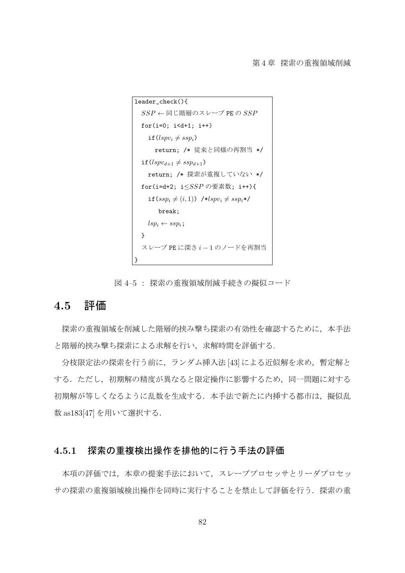

図 4–5 : 探索の重複領域削減手続きの擬似コード

### **4.5** 評価

探索の重複領域を削減した階層的挟み撃ち探索の有効性を確認するために、本手法 と階層的挟み撃ち探索による求解を行い,求解時間を評価する.

分枝限定法の探索を行う前に、ランダム挿入法 [43] による近似解を求め、暫定解と する.ただし、初期解の精度が異なると限定操作に影響するため、同一問題に対する 初期解が等しくなるように乱数を生成する. 本手法で新たに内挿する都市は、擬似乱 数 as183[47] を用いて選択する.

#### **4.5.1** 探索の重複検出操作を排他的に行う手法の評価

本項の評価では,本章の提案手法において,スレーブプロセッサとリーダプロセッ サの探索の重複領域検出操作を同時に実行することを禁止して評価を行う.探索の重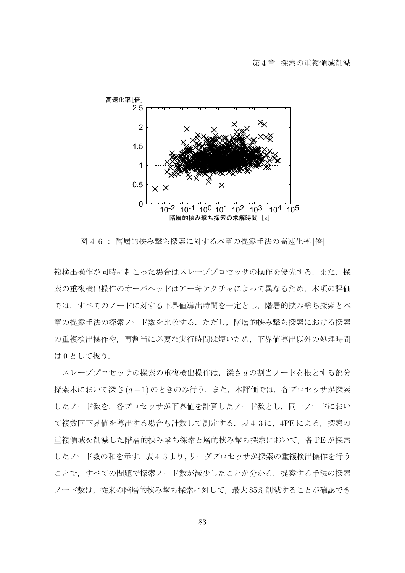

図 4–6 : 階層的挟み撃ち探索に対する本章の提案手法の高速化率 [倍]

複検出操作が同時に起こった場合はスレーブプロセッサの操作を優先する.また、探 索の重複検出操作のオーバヘッドはアーキテクチャによって異なるため,本項の評価 では,すべてのノードに対する下界値導出時間を一定とし,階層的挟み撃ち探索と本 章の提案手法の探索ノード数を比較する.ただし,階層的挟み撃ち探索における探索 の重複検出操作や、再割当に必要な実行時間は短いため、下界値導出以外の処理時間 は0として扱う.

スレーブプロセッサの探索の重複検出操作は,深さ *d* の割当ノードを根とする部分 探索木において深さ (d+1) のときのみ行う. また,本評価では, 各プロセッサが探索 したノード数を,各プロセッサが下界値を計算したノード数とし,同一ノードにおい て複数回下界値を導出する場合も計数して測定する. 表 4-3 に、4PE による, 探索の 重複領域を削減した階層的挟み撃ち探索と層的挟み撃ち探索において,各 PE が探索 したノード数の和を示す. 表4-3より、リーダプロセッサが探索の重複検出操作を行う ことで、すべての問題で探索ノード数が減少したことが分かる. 提案する手法の探索 ノード数は,従来の階層的挟み撃ち探索に対して,最大 85% 削減することが確認でき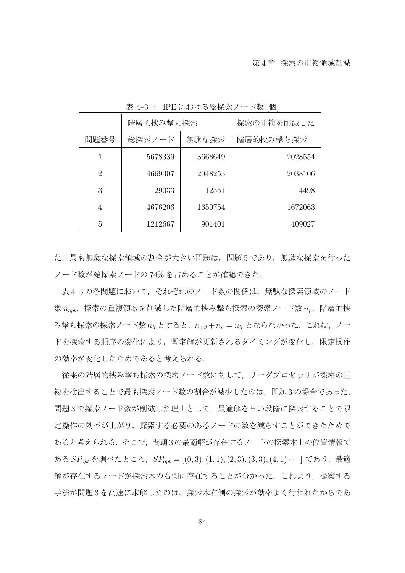|      | 階層的挟み撃ち探索       |         | 探索の重複を削減した |
|------|-----------------|---------|------------|
| 問題番号 | 無駄な探索<br>総探索ノード |         | 階層的挟み撃ち探索  |
| 1    | 5678339         | 3668649 | 2028554    |
| 2    | 4669307         | 2048253 | 2038106    |
| 3    | 29033           | 12551   | 4498       |
| 4    | 4676206         | 1650754 | 1672063    |
| 5    | 1212667         | 901401  | 409027     |

表 4–3 : 4PE における総探索ノード数 [個]

た.最も無駄な探索領域の割合が大きい問題は、問題 5 であり、無駄な探索を行った ノード数が総探索ノードの 74% を占めることが確認できた.

表 4-3の各問題において、それぞれのノード数の関係は、無駄な探索領域のノード 数  $n_{\text{out}}$ , 探索の重複領域を削減した階層的挟み撃ち探索の探索ノード数  $n_{\text{n}}$ , 階層的挟 み撃ち探索の探索ノード数 *n<sup>h</sup>* とすると,*nopt* +*n<sup>p</sup>* = *n<sup>h</sup>* とならなかった.これは,ノー ドを探索する順序の変化により,暫定解が更新されるタイミングが変化し,限定操作 の効率が変化したためであると考えられる.

従来の階層的挟み撃ち探索の探索ノード数に対して,リーダプロセッサが探索の重 複を検出することで最も探索ノード数の割合が減少したのは,問題 3 の場合であった. 問題3で探索ノード数が削減した理由として,最適解を早い段階に探索することで限 定操作の効率が上がり,探索する必要のあるノードの数を減らすことができたためで あると考えられる.そこで,問題 3 の最適解が存在するノードの探索木上の位置情報で ある *SPopt* を調べたところ,*SPopt* = [(0*,* 3)*,*(1*,* 1)*,*(2*,* 3)*,*(3*,* 3)*,*(4*,* 1)*· · ·* ] であり,最適 解が存在するノードが探索木の右側に存在することが分かった.これより,提案する 手法が問題 3 を高速に求解したのは,探索木右側の探索が効率よく行われたからであ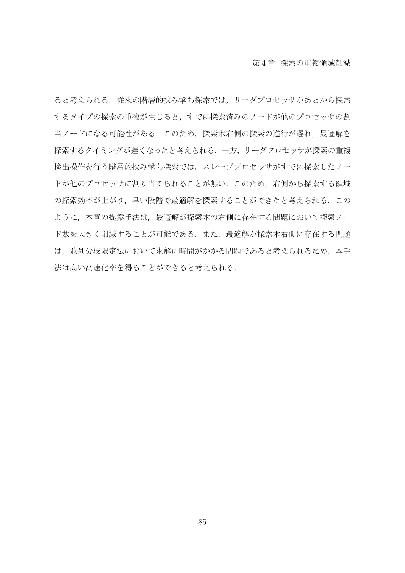ると考えられる.従来の階層的挟み撃ち探索では,リーダプロセッサがあとから探索 するタイプの探索の重複が生じると,すでに探索済みのノードが他のプロセッサの割 当ノードになる可能性がある. このため、探索木右側の探索の進行が遅れ、最適解を 探索するタイミングが遅くなったと考えられる.一方,リーダプロセッサが探索の重複 検出操作を行う階層的挟み撃ち探索では,スレーブプロセッサがすでに探索したノー ドが他のプロセッサに割り当てられることが無い.このため,右側から探索する領域 の探索効率が上がり,早い段階で最適解を探索することができたと考えられる.この ように,本章の提案手法は,最適解が探索木の右側に存在する問題において探索ノー ド数を大きく削減することが可能である.また,最適解が探索木右側に存在する問題 は,並列分枝限定法において求解に時間がかかる問題であると考えられるため,本手 法は高い高速化率を得ることができると考えられる.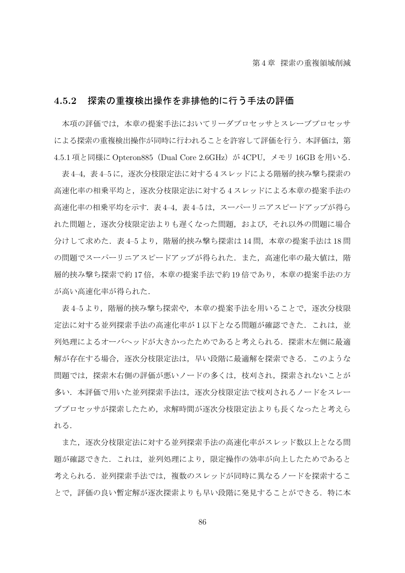#### **4.5.2** 探索の重複検出操作を非排他的に行う手法の評価

本項の評価では、本章の提案手法においてリーダプロセッサとスレーブプロセッサ による探索の重複検出操作が同時に行われることを許容して評価を行う.本評価は,第 4.5.1 項と同様に Opteron885(Dual Core 2.6GHz)が 4CPU,メモリ 16GB を用いる.

表 4–4,表 4–5 に,逐次分枝限定法に対する 4 スレッドによる階層的挟み撃ち探索の 高速化率の相乗平均と,逐次分枝限定法に対する 4 スレッドによる本章の提案手法の 高速化率の相乗平均を示す. 表 4–4, 表 4–5 は、スーパーリニアスピードアップが得ら れた問題と,逐次分枝限定法よりも遅くなった問題,および,それ以外の問題に場合 分けして求めた. 表4–5より, 階層的挟み撃ち探索は 14 問, 本章の提案手法は 18 問 の問題でスーパーリニアスピードアップが得られた.また、高速化率の最大値は、階 層的挟み撃ち探索で約17倍,本章の提案手法で約19倍であり,本章の提案手法の方 が高い高速化率が得られた.

表 4-5 より, 階層的挟み撃ち探索や,本章の提案手法を用いることで, 逐次分枝限 定法に対する並列探索手法の高速化率が1以下となる問題が確認できた. これは、並 列処理によるオーバヘッドが大きかったためであると考えられる.探索木左側に最適 解が存在する場合,逐次分枝限定法は,早い段階に最適解を探索できる.このような 問題では,探索木右側の評価が悪いノードの多くは,枝刈され,探索されないことが 多い.本評価で用いた並列探索手法は,逐次分枝限定法で枝刈されるノードをスレー ブプロセッサが探索したため,求解時間が逐次分枝限定法よりも長くなったと考えら れる.

また,逐次分枝限定法に対する並列探索手法の高速化率がスレッド数以上となる問 題が確認できた.これは,並列処理により,限定操作の効率が向上したためであると 考えられる.並列探索手法では,複数のスレッドが同時に異なるノードを探索するこ とで,評価の良い暫定解が逐次探索よりも早い段階に発見することができる.特に本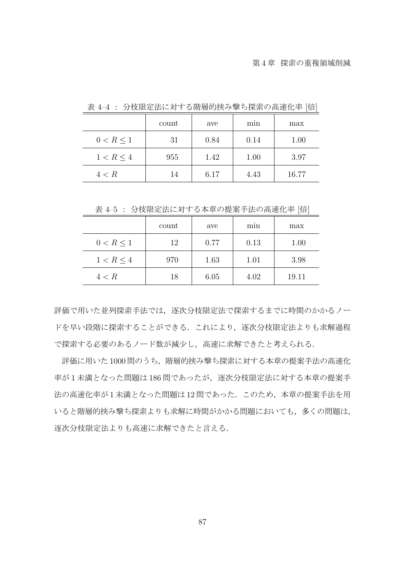|                | count | ave  | min  | max   |
|----------------|-------|------|------|-------|
| $0 < R \leq 1$ | 31    | 0.84 | 0.14 | 1.00  |
| 1 < R < 4      | 955   | 1.42 | 1.00 | 3.97  |
| 4 < R          | 14    | 6.17 | 4.43 | 16.77 |

表 4–4 : 分枝限定法に対する階層的挟み撃ち探索の高速化率 [倍]

表 4–5 : 分枝限定法に対する本章の提案手法の高速化率 [倍]

|                | count | ave  | mın  | max   |
|----------------|-------|------|------|-------|
| 0 < R < 1      | 12    | 0.77 | 0.13 | 1.00  |
| $1 < R \leq 4$ | 970   | 1.63 | 1.01 | 3.98  |
| 4 < R          | 18    | 6.05 | 4.02 | 19.11 |

評価で用いた並列探索手法では、逐次分枝限定法で探索するまでに時間のかかるノー ドを早い段階に探索することができる.これにより,逐次分枝限定法よりも求解過程 で探索する必要のあるノード数が減少し,高速に求解できたと考えられる.

評価に用いた1000問のうち、階層的挟み撃ち探索に対する本章の提案手法の高速化 率が1未満となった問題は186 間であったが、逐次分枝限定法に対する本章の提案手 法の高速化率が1未満となった問題は12問であった.このため、本章の提案手法を用 いると階層的挟み撃ち探索よりも求解に時間がかかる問題においても、多くの問題は, 逐次分枝限定法よりも高速に求解できたと言える.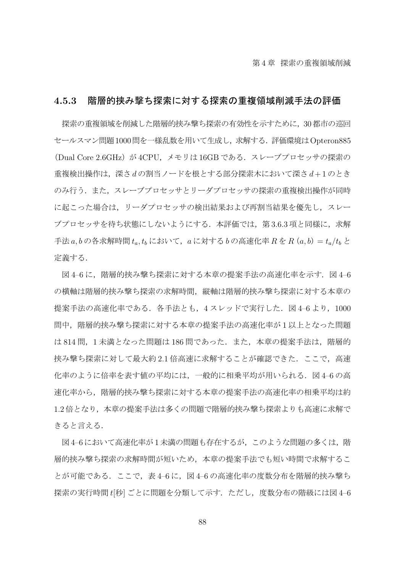#### **4.5.3** 階層的挟み撃ち探索に対する探索の重複領域削減手法の評価

探索の重複領域を削減した階層的挟み撃ち探索の有効性を示すために,30都市の巡回 セールスマン問題1000問を一様乱数を用いて生成し,求解する.評価環境はOpteron885 (Dual Core 2.6GHz) が 4CPU, メモリは 16GB である. スレーブプロセッサの探索の 重複検出操作は,深さ *d* の割当ノードを根とする部分探索木において深さ *d* + 1 のとき のみ行う.また、スレーブプロセッサとリーダプロセッサの探索の重複検出操作が同時 に起こった場合は,リーダプロセッサの検出結果および再割当結果を優先し,スレー ブプロセッサを待ち状熊にしないようにする.本評価では、第3.6.3 項と同様に、求解 手法 *a, b* の各求解時間 *ta, t<sup>b</sup>* において,*a* に対する *b* の高速化率 *R* を *R*(*a, b*)= *ta/t<sup>b</sup>* と 定義する.

図4-6に、階層的挟み撃ち探索に対する本章の提案手法の高速化率を示す. 図 4-6 の横軸は階層的挟み撃ち探索の求解時間,縦軸は階層的挟み撃ち探索に対する本章の 提案手法の高速化率である. 各手法とも, 4 スレッドで実行した. 図 4-6 より, 1000 問中,階層的挟み撃ち探索に対する本章の提案手法の高速化率が 1 以上となった問題 は 814 問, 1 未満となった問題は 186 問であった. また、本章の提案手法は、階層的 挟み撃ち探索に対して最大約 2.1 倍高速に求解することが確認できた.ここで、高速 化率のように倍率を表す値の平均には,一般的に相乗平均が用いられる.図 4–6 の高 速化率から,階層的挟み撃ち探索に対する本章の提案手法の高速化率の相乗平均は約 1.2 倍となり,本章の提案手法は多くの問題で階層的挟み撃ち探索よりも高速に求解で きると言える.

図4-6において高速化率が1未満の問題も存在するが、このような問題の多くは、階 層的挟み撃ち探索の求解時間が短いため、本章の提案手法でも短い時間で求解するこ とが可能である.ここで,表 4–6 に,図 4–6 の高速化率の度数分布を階層的挟み撃ち 探索の実行時間 *t*[秒] ごとに問題を分類して示す.ただし,度数分布の階級には図 4–6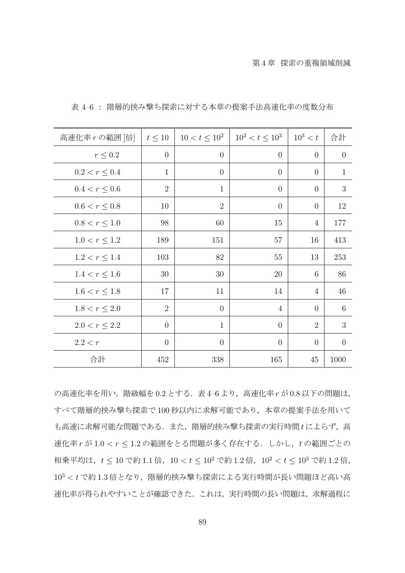| 高速化率rの範囲 [倍]       | $t \leq 10$    | $10 < t \leq 10^2$ | $10^2 < t \leq 10^3$ | $10^3 < t$     | 合計             |
|--------------------|----------------|--------------------|----------------------|----------------|----------------|
| $r \leq 0.2$       | $\overline{0}$ | $\overline{0}$     | $\theta$             | $\theta$       | $\overline{0}$ |
| $0.2 < r \leq 0.4$ | $\mathbf{1}$   | $\overline{0}$     | $\overline{0}$       | $\overline{0}$ | $\mathbf{1}$   |
| $0.4 < r \leq 0.6$ | $\overline{2}$ | $\mathbf{1}$       | $\overline{0}$       | $\overline{0}$ | 3              |
| $0.6 < r \leq 0.8$ | 10             | $\overline{2}$     | $\overline{0}$       | $\overline{0}$ | 12             |
| $0.8 < r \leq 1.0$ | 98             | 60                 | $15\,$               | $\overline{4}$ | 177            |
| $1.0 < r \leq 1.2$ | 189            | 151                | 57                   | 16             | 413            |
| $1.2 < r \leq 1.4$ | 103            | 82                 | 55                   | 13             | 253            |
| $1.4 < r \leq 1.6$ | 30             | 30                 | 20                   | 6              | 86             |
| $1.6 < r \leq 1.8$ | 17             | 11                 | 14                   | $\overline{4}$ | 46             |
| $1.8 < r \leq 2.0$ | $\overline{2}$ | $\overline{0}$     | $\overline{4}$       | $\theta$       | 6              |
| $2.0 < r \leq 2.2$ | $\theta$       | $\mathbf{1}$       | $\overline{0}$       | $\overline{2}$ | 3              |
| 2.2 < r            | $\overline{0}$ | $\overline{0}$     | $\overline{0}$       | $\overline{0}$ | $\overline{0}$ |
| 合計                 | 452            | 338                | 165                  | 45             | 1000           |

表 4–6 : 階層的挟み撃ち探索に対する本章の提案手法高速化率の度数分布

の高速化率を用い,階級幅を 0.2 とする.表 4–6 より,高速化率 *r* が 0.8 以下の問題は, すべて階層的挟み撃ち探索で 100 秒以内に求解可能であり,本章の提案手法を用いて も高速に求解可能な問題である.また,階層的挟み撃ち探索の実行時間 *t* によらず,高 速化率 *r* が 1*.*0 *< r ≤* 1*.*2 の範囲をとる問題が多く存在する.しかし,*t* の範囲ごとの 相乗平均は,*t ≤* 10 で約 1*.*1 倍,10 *< t ≤* 10<sup>2</sup> で約 1*.*2 倍,10<sup>2</sup> *< t ≤* 10<sup>3</sup> で約 1*.*2 倍, 10<sup>3</sup> < t で約1.3倍となり、階層的挟み撃ち探索による実行時間が長い問題ほど高い高 速化率が得られやすいことが確認できた. これは、実行時間の長い問題は、求解過程に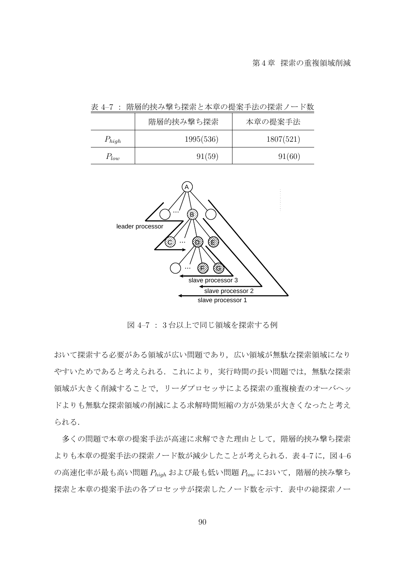|            | 階層的挟み撃ち探索 | 本章の提案手法   |
|------------|-----------|-----------|
| $P_{high}$ | 1995(536) | 1807(521) |
| $P_{low}$  | 91(59)    | 91(60)    |

表 4–7 : 階層的挟み撃ち探索と本章の提案手法の探索ノード数



図 4–7 : 3 台以上で同じ領域を探索する例

おいて探索する必要がある領域が広い問題であり,広い領域が無駄な探索領域になり やすいためであると考えられる. これにより、実行時間の長い問題では、無駄な探索 領域が大きく削減することで,リーダプロセッサによる探索の重複検査のオーバヘッ ドよりも無駄な探索領域の削減による求解時間短縮の方が効果が大きくなったと考え られる.

多くの問題で本章の提案手法が高速に求解できた理由として、階層的挟み撃ち探索 よりも本章の提案手法の探索ノード数が減少したことが考えられる. 表4-7に、図4-6  $\overline{O}$ 高速化率が最も高い問題  $P_{high}$ および最も低い問題  $P_{low}$ において,階層的挟み撃ち 探索と本章の提案手法の各プロセッサが探索したノード数を示す.表中の総探索ノー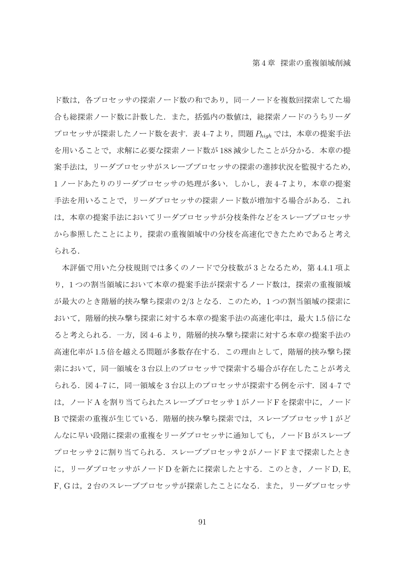ド数は,各プロセッサの探索ノード数の和であり,同一ノードを複数回探索してた場 合も総探索ノード数に計数した.また,括弧内の数値は,総探索ノードのうちリーダ プロセッサが探索したノード数を表す. 表 4-7 より, 問題  $P_{\text{hiah}}$  では, 本章の提案手法 を用いることで、求解に必要な探索ノード数が 188 減少したことが分かる. 本章の提 案手法は,リーダプロセッサがスレーブプロセッサの探索の進捗状況を監視するため, 1ノードあたりのリーダプロセッサの処理が多い. しかし、表4-7より、本章の提案 手法を用いることで, リーダプロセッサの探索ノード数が増加する場合がある. これ は,本章の提案手法においてリーダプロセッサが分枝条件などをスレーブプロセッサ から参照したことにより,探索の重複領域中の分枝を高速化できたためであると考え られる.

本評価で用いた分枝規則では多くのノードで分枝数が3となるため、第4.4.1 項よ り,1 つの割当領域において本章の提案手法が探索するノード数は,探索の重複領域 が最大のとき階層的挟み撃ち探索の 2*/*3 となる.このため,1 つの割当領域の探索に おいて,階層的挟み撃ち探索に対する本章の提案手法の高速化率は,最大 1*.*5 倍にな ると考えられる. 一方, 図4-6より, 階層的挟み撃ち探索に対する本章の提案手法の 高速化率が1.5倍を越える問題が多数存在する.この理由として、階層的挟み撃ち探 索において,同一領域を 3 台以上のプロセッサで探索する場合が存在したことが考え られる. 図4-7に,同一領域を3台以上のプロセッサが探索する例を示す. 図4-7で は,ノード A を割り当てられたスレーブプロセッサ 1 がノード F を探索中に,ノード B で探索の重複が生じている. 階層的挟み撃ち探索では, スレーブプロセッサ1がど んなに早い段階に探索の重複をリーダプロセッサに通知しても,ノード B がスレーブ プロセッサ 2 に割り当てられる.スレーブプロセッサ 2 がノード F まで探索したとき に, リーダプロセッサがノード D を新たに探索したとする. このとき, ノード D, E, F, Gは, 2台のスレーブプロセッサが探索したことになる. また, リーダプロセッサ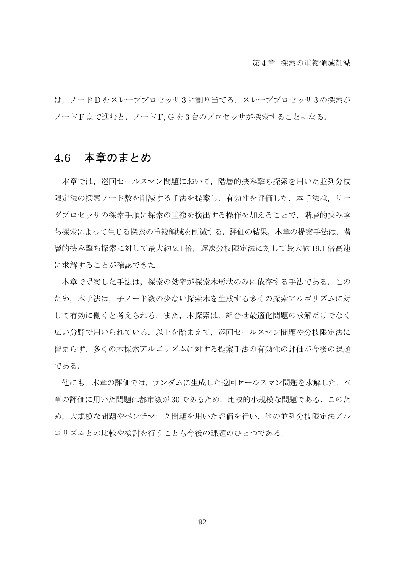は、ノードDをスレーブプロセッサ3に割り当てる. スレーブプロセッサ3の探索が ノード F まで進むと, ノード F. G を 3 台のプロセッサが探索することになる.

## **4.6** 本章のまとめ

本章では,巡回セールスマン問題において,階層的挟み撃ち探索を用いた並列分枝 限定法の探索ノード数を削減する手法を提案し、有効性を評価した.本手法は、リー ダプロセッサの探索手順に探索の重複を検出する操作を加えることで、階層的挟み撃 ち探索によって生じる探索の重複領域を削減する.評価の結果,本章の提案手法は,階 層的挟み撃ち探索に対して最大約 2.1 倍,逐次分枝限定法に対して最大約 19.1 倍高速 に求解することが確認できた.

本章で提案した手法は,探索の効率が探索木形状のみに依存する手法である.この ため,本手法は,子ノード数の少ない探索木を生成する多くの探索アルゴリズムに対 して有効に働くと考えられる.また、木探索は、組合せ最適化問題の求解だけでなく 広い分野で用いられている.以上を踏まえて,巡回セールスマン問題や分枝限定法に 留まらず,多くの木探索アルゴリズムに対する提案手法の有効性の評価が今後の課題 である.

他にも、本章の評価では、ランダムに生成した巡回セールスマン問題を求解した. 本 章の評価に用いた問題は都市数が 30 であるため,比較的小規模な問題である.このた め,大規模な問題やベンチマーク問題を用いた評価を行い,他の並列分枝限定法アル ゴリズムとの比較や検討を行うことも今後の課題のひとつである.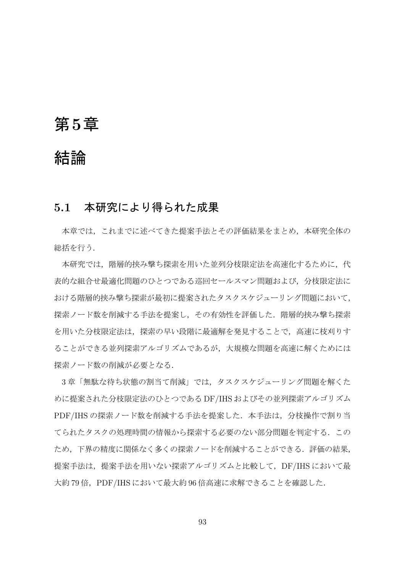# 第**5**章

# 結論

## **5.1** 本研究により得られた成果

本章では,これまでに述べてきた提案手法とその評価結果をまとめ,本研究全体の 総括を行う.

本研究では、階層的挟み撃ち探索を用いた並列分枝限定法を高速化するために、代 表的な組合せ最適化問題のひとつである巡回セールスマン問題および,分枝限定法に おける階層的挟み撃ち探索が最初に提案されたタスクスケジューリング問題において, 探索ノード数を削減する手法を提案し,その有効性を評価した.階層的挟み撃ち探索 を用いた分枝限定法は,探索の早い段階に最適解を発見することで,高速に枝刈りす ることができる並列探索アルゴリズムであるが,大規模な問題を高速に解くためには 探索ノード数の削減が必要となる.

3 章「無駄な待ち状態の割当て削減」では,タスクスケジューリング問題を解くた めに提案された分枝限定法のひとつである DF/IHS およびその並列探索アルゴリズム PDF/IHS の探索ノード数を削減する手法を提案した. 本手法は、分枝操作で割り当 てられたタスクの処理時間の情報から探索する必要のない部分問題を判定する.この ため,下界の精度に関係なく多くの探索ノードを削減することができる.評価の結果, 提案手法は、提案手法を用いない探索アルゴリズムと比較して、DF/IHS において最 大約79倍, PDF/IHS において最大約 96 倍高速に求解できることを確認した.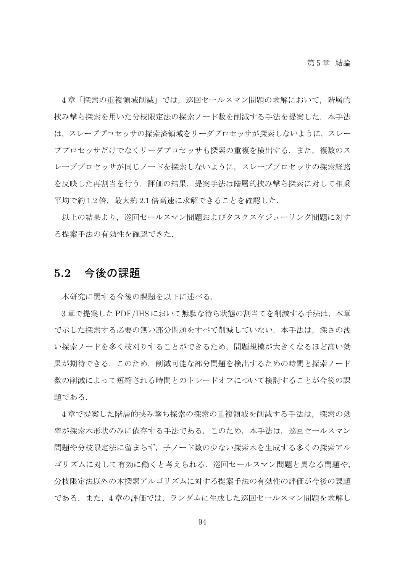4章「探索の重複領域削減」では、巡回セールスマン問題の求解において、階層的 挟み撃ち探索を用いた分枝限定法の探索ノード数を削減する手法を提案した.本手法 は,スレーブプロセッサの探索済領域をリーダプロセッサが探索しないように,スレー ブプロセッサだけでなくリーダプロセッサも探索の重複を検出する.また、複数のス レーブプロセッサが同じノードを探索しないように,スレーブプロセッサの探索経路 を反映した再割当を行う.評価の結果,提案手法は階層的挟み撃ち探索に対して相乗 平均で約1.2倍,最大約2.1倍高速に求解できることを確認した.

以上の結果より,巡回セールスマン問題およびタスクスケジューリング問題に対す る提案手法の有効性を確認できた.

#### **5.2** 今後の課題

本研究に関する今後の課題を以下に述べる.

3 章で提案した PDF/IHS において無駄な待ち状態の割当てを削減する手法は,本章 で示した探索する必要の無い部分問題をすべて削減していない.本手法は、深さの浅 い探索ノードを多く枝刈りすることができるため,問題規模が大きくなるほど高い効 果が期待できる.このため,削減可能な部分問題を検出するための時間と探索ノード 数の削減によって短縮される時間とのトレードオフについて検討することが今後の課 題である.

4 章で提案した階層的挟み撃ち探索の探索の重複領域を削減する手法は,探索の効 率が探索木形状のみに依存する手法である.このため,本手法は,巡回セールスマン 問題や分枝限定法に留まらず,子ノード数の少ない探索木を生成する多くの探索アル ゴリズムに対して有効に働くと考えられる.巡回セールスマン問題と異なる問題や, 分枝限定法以外の木探索アルゴリズムに対する提案手法の有効性の評価が今後の課題 である.また,4 章の評価では,ランダムに生成した巡回セールスマン問題を求解し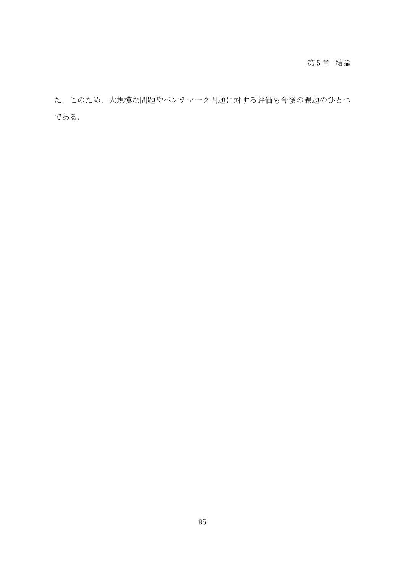#### 第 5 章 結論

た.このため,大規模な問題やベンチマーク問題に対する評価も今後の課題のひとつ である.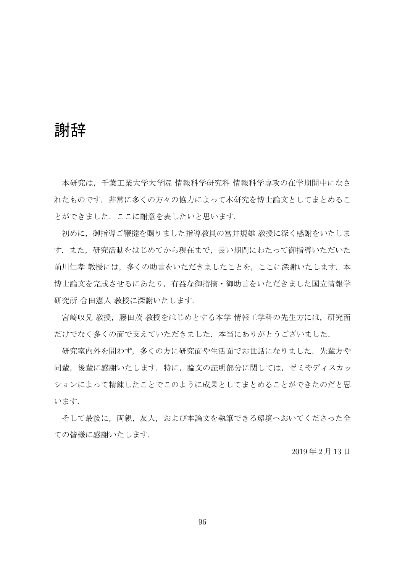# 謝辞

本研究は,千葉工業大学大学院 情報科学研究科 情報科学専攻の在学期間中になさ れたものです.非常に多くの方々の協力によって本研究を博士論文としてまとめるこ とができました.ここに謝意を表したいと思います.

初めに,御指導ご鞭撻を賜りました指導教員の富井規雄 教授に深く感謝をいたしま す.また,研究活動をはじめてから現在まで,長い期間にわたって御指導いただいた 前川仁孝教授には、多くの助言をいただきましたことを、ここに深謝いたします. 本 博士論文を完成させるにあたり,有益な御指摘・御助言をいただきました国立情報学 研究所 合田憲人 教授に深謝いたします.

宮崎収兄 教授,藤田茂 教授をはじめとする本学 情報工学科の先生方には,研究面 だけでなく多くの面で支えていただきました. 本当にありがとうございました.

研究室内外を問わず、多くの方に研究面や生活面でお世話になりました.先輩方や 同輩,後輩に感謝いたします.特に,論文の証明部分に関しては,ゼミやディスカッ ションによって精錬したことでこのように成果としてまとめることができたのだと思 います.

そして最後に、両親、友人,および本論文を執筆できる環境へおいてくださった全 ての皆様に感謝いたします.

2019 年 2 月 13 日

96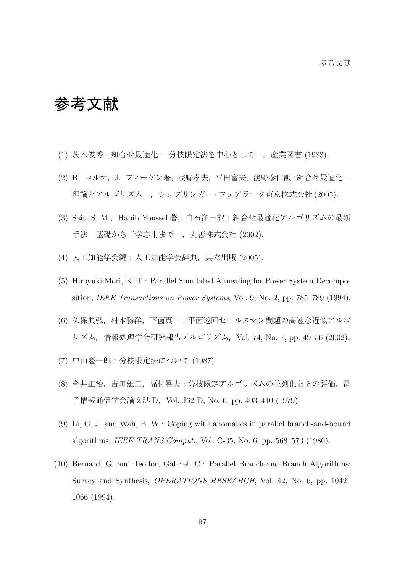# 参考文献

- (1) 茨木俊秀:組合せ最適化 —分枝限定法を中心として—,産業図書 (1983).
- (2) B.コルテ,J.フィーゲン著,浅野孝夫,平田富夫,浅野泰仁訳:組合せ最適化— 理論とアルゴリズム—,シュプリンガー *·* フェアラーク東京株式会社 (2005).
- (3) Sait, S. M.,Habib Youssef 著,白石洋一訳:組合せ最適化アルゴリズムの最新 手法––基礎から工学応用まで––、丸善株式会社 (2002).
- (4) 人工知能学会編:人工知能学会辞典,共立出版 (2005).
- (5) Hiroyuki Mori, K. T.: Parallel Simulated Annealing for Power System Decomposition, *IEEE Transactions on Power Systems*, Vol. 9, No. 2, pp. 785–789 (1994).
- (6) 久保典弘,村本勝洋,下薗真一:平面巡回セールスマン問題の高速な近似アルゴ リズム,情報処理学会研究報告アルゴリズム,Vol. 74, No. 7, pp. 49–56 (2002).
- (7) 中山慶一郎:分枝限定法について (1987).
- (8) 今井正治,吉田雄二,福村晃夫:分枝限定アルゴリズムの並列化とその評価,電 子情報通信学会論文誌 D, Vol. J62-D, No. 6, pp. 403-410 (1979).
- (9) Li, G. J. and Wah, B. W.: Coping with anomalies in parallel branch-and-bound algorithms, *IEEE TRANS.Comput.*, Vol. C-35, No. 6, pp. 568–573 (1986).
- (10) Bernard, G. and Teodor, Gabriel, C.: Parallel Branch-and-Branch Algorithms: Survey and Synthesis, *OPERATIONS RESEARCH*, Vol. 42, No. 6, pp. 1042– 1066 (1994).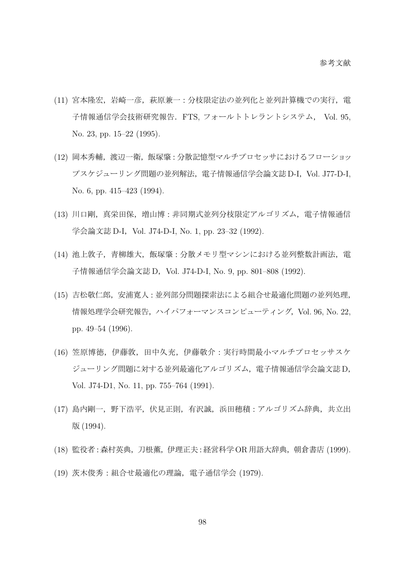- (11) 宮本隆宏,岩崎一彦,萩原兼一:分枝限定法の並列化と並列計算機での実行,電 子情報通信学会技術研究報告.FTS, フォールトトレラントシステム, Vol. 95, No. 23, pp. 15–22 (1995).
- (12) 岡本秀輔, 渡辺一衛, 飯塚肇:分散記憶型マルチプロセッサにおけるフローショッ プスケジューリング問題の並列解法,電子情報通信学会論文誌 D-I,Vol. J77-D-I, No. 6, pp. 415–423 (1994).
- (13) 川口剛,真栄田保,増山博:非同期式並列分枝限定アルゴリズム,電子情報通信 学会論文誌 D-I, Vol. J74-D-I, No. 1, pp. 23-32 (1992).
- (14) 池上敦子,青柳雄大,飯塚肇:分散メモリ型マシンにおける並列整数計画法,電 子情報通信学会論文誌 D, Vol. J74-D-I, No. 9, pp. 801-808 (1992).
- (15) 吉松敬仁郎,安浦寛人:並列部分問題探索法による組合せ最適化問題の並列処理, 情報処理学会研究報告, ハイパフォーマンスコンピューティング, Vol. 96, No. 22, pp. 49–54 (1996).
- (16) 笠原博徳,伊藤敦,田中久充,伊藤敬介:実行時間最小マルチプロセッサスケ ジューリング問題に対する並列最適化アルゴリズム,電子情報通信学会論文誌 D, Vol. J74-D1, No. 11, pp. 755–764 (1991).
- (17) 島内剛一, 野下浩平, 伏見正則, 有沢誠, 浜田穂積:アルゴリズム辞典, 共立出 版 (1994).
- (18) 監役者:森村英典,刀根薫,伊理正夫:経営科学OR用語大辞典,朝倉書店 (1999).
- (19) 茨木俊秀:組合せ最適化の理論,電子通信学会 (1979).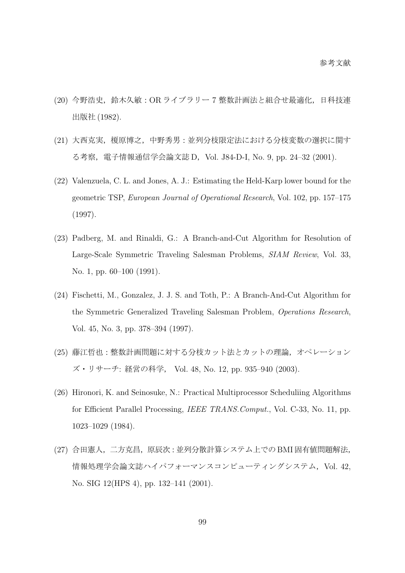- (20) 今野浩史,鈴木久敏:OR ライブラリー 7 整数計画法と組合せ最適化,日科技連 出版社 (1982).
- (21) 大西克実,榎原博之,中野秀男:並列分枝限定法における分枝変数の選択に関す る考察, 電子情報通信学会論文誌 D, Vol. J84-D-I, No. 9, pp. 24-32 (2001).
- (22) Valenzuela, C. L. and Jones, A. J.: Estimating the Held-Karp lower bound for the geometric TSP, *European Journal of Operational Research*, Vol. 102, pp. 157–175 (1997).
- (23) Padberg, M. and Rinaldi, G.: A Branch-and-Cut Algorithm for Resolution of Large-Scale Symmetric Traveling Salesman Problems, *SIAM Review*, Vol. 33, No. 1, pp. 60–100 (1991).
- (24) Fischetti, M., Gonzalez, J. J. S. and Toth, P.: A Branch-And-Cut Algorithm for the Symmetric Generalized Traveling Salesman Problem, *Operations Research*, Vol. 45, No. 3, pp. 378–394 (1997).
- (25) 藤江哲也:整数計画問題に対する分枝カット法とカットの理論,オペレーション ズ・リサーチ: 経営の科学, Vol. 48, No. 12, pp. 935–940 (2003).
- (26) Hironori, K. and Seinosuke, N.: Practical Multiprocessor Scheduliing Algorithms for Efficient Parallel Processing, *IEEE TRANS.Comput.*, Vol. C-33, No. 11, pp. 1023–1029 (1984).
- (27) 合田憲人,二方克昌,原辰次:並列分散計算システム上での BMI 固有値問題解法, 情報処理学会論文誌ハイパフォーマンスコンピューティングシステム, Vol. 42, No. SIG 12(HPS 4), pp. 132–141 (2001).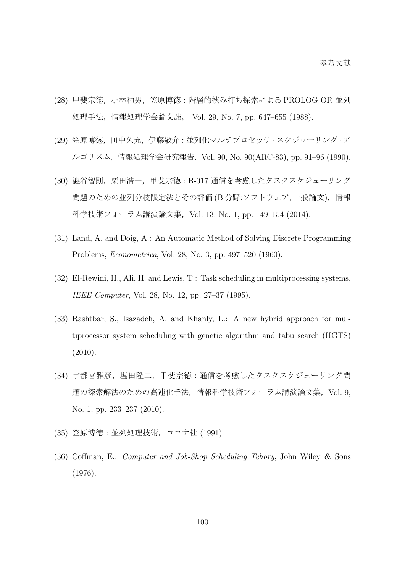- (28) 甲斐宗徳,小林和男,笠原博徳:階層的挟み打ち探索による PROLOG OR 並列 処理手法,情報処理学会論文誌, Vol. 29, No. 7, pp. 647–655 (1988).
- (29) 笠原博徳,田中久充,伊藤敬介:並列化マルチプロセッサ *·* スケジューリング *·* ア ルゴリズム,情報処理学会研究報告,Vol. 90, No. 90(ARC-83), pp. 91–96 (1990).
- (30) 澁谷智則,栗田浩一,甲斐宗徳:B-017 通信を考慮したタスクスケジューリング 問題のための並列分枝限定法とその評価 (B 分野:ソフトウェア, 一般論文),情報 科学技術フォーラム講演論文集, Vol. 13, No. 1, pp. 149-154 (2014).
- (31) Land, A. and Doig, A.: An Automatic Method of Solving Discrete Programming Problems, *Econometrica*, Vol. 28, No. 3, pp. 497–520 (1960).
- (32) El-Rewini, H., Ali, H. and Lewis, T.: Task scheduling in multiprocessing systems, *IEEE Computer*, Vol. 28, No. 12, pp. 27–37 (1995).
- (33) Rashtbar, S., Isazadeh, A. and Khanly, L.: A new hybrid approach for multiprocessor system scheduling with genetic algorithm and tabu search (HGTS) (2010).
- (34) 宇都宮雅彦,塩田隆二,甲斐宗徳:通信を考慮したタスクスケジューリング問 題の探索解法のための高速化手法,情報科学技術フォーラム講演論文集,Vol. 9, No. 1, pp. 233–237 (2010).
- (35) 笠原博徳:並列処理技術,コロナ社 (1991).
- (36) Coffman, E.: *Computer and Job-Shop Scheduling Tehory*, John Wiley & Sons (1976).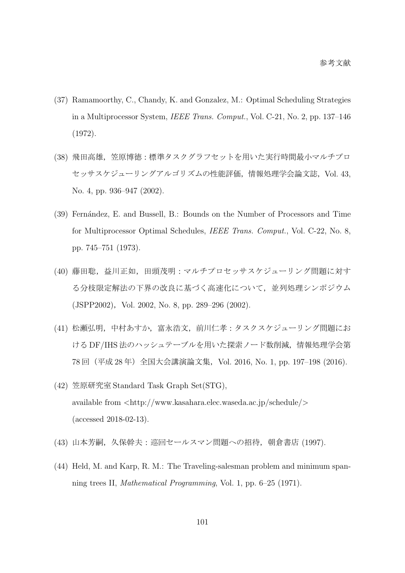- (37) Ramamoorthy, C., Chandy, K. and Gonzalez, M.: Optimal Scheduling Strategies in a Multiprocessor System, *IEEE Trans. Comput.*, Vol. C-21, No. 2, pp. 137–146 (1972).
- (38) 飛田高雄,笠原博徳:標準タスクグラフセットを用いた実行時間最小マルチプロ セッサスケジューリングアルゴリズムの性能評価,情報処理学会論文誌,Vol. 43, No. 4, pp. 936–947 (2002).
- (39) Fern´andez, E. and Bussell, B.: Bounds on the Number of Processors and Time for Multiprocessor Optimal Schedules, *IEEE Trans. Comput.*, Vol. C-22, No. 8, pp. 745–751 (1973).
- (40) 藤田聡, 益川正如, 田頭茂明: マルチプロセッサスケジューリング問題に対す る分枝限定解法の下界の改良に基づく高速化について,並列処理シンポジウム (JSPP2002), Vol. 2002, No. 8, pp. 289–296 (2002).
- (41) 松瀬弘明,中村あすか,富永浩文,前川仁孝:タスクスケジューリング問題にお ける DF/IHS 法のハッシュテーブルを用いた探索ノード数削減,情報処理学会第 78回 (平成 28年) 全国大会講演論文集, Vol. 2016, No. 1, pp. 197-198 (2016).
- (42) 笠原研究室 Standard Task Graph Set(STG), available from *<*http://www.kasahara.elec.waseda.ac.jp/schedule/*>* (accessed 2018-02-13).
- (43) 山本芳嗣,久保幹夫:巡回セールスマン問題への招待,朝倉書店 (1997).
- (44) Held, M. and Karp, R. M.: The Traveling-salesman problem and minimum spanning trees II, *Mathematical Programming*, Vol. 1, pp. 6–25 (1971).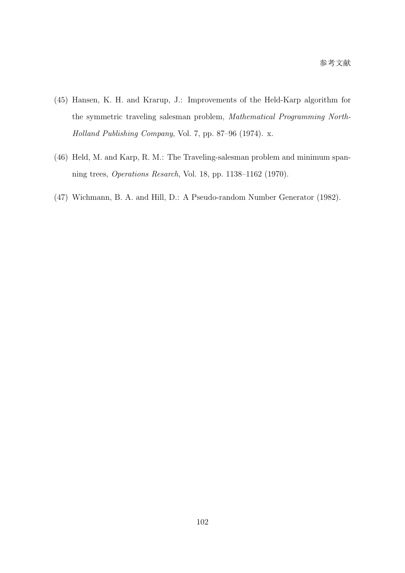- (45) Hansen, K. H. and Krarup, J.: Improvements of the Held-Karp algorithm for the symmetric traveling salesman problem, *Mathematical Programming North-Holland Publishing Company*, Vol. 7, pp. 87–96 (1974). x.
- (46) Held, M. and Karp, R. M.: The Traveling-salesman problem and minimum spanning trees, *Operations Resarch*, Vol. 18, pp. 1138–1162 (1970).
- (47) Wichmann, B. A. and Hill, D.: A Pseudo-random Number Generator (1982).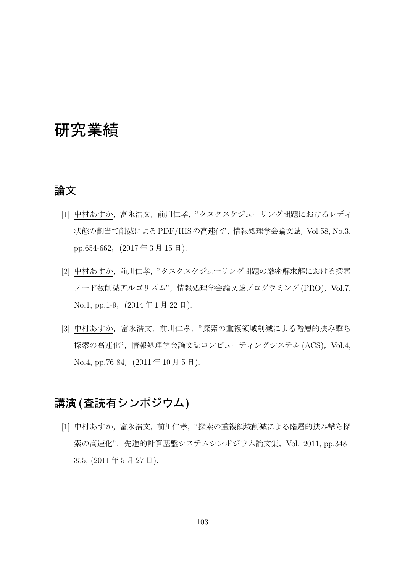# 研究業績

#### 論文

- [1] 中村あすか,富永浩文,前川仁孝,"タスクスケジューリング問題におけるレディ 状態の割当て削減によるPDF/HISの高速化",情報処理学会論文誌,Vol.58, No.3, pp.654-662, (2017年3月15日).
- [2] 中村あすか,前川仁孝,"タスクスケジューリング問題の厳密解求解における探索 ノード数削減アルゴリズム",情報処理学会論文誌プログラミング(PRO), Vol.7, No.1, pp.1-9, (2014年1月22日).
- [3] 中村あすか,富永浩文,前川仁孝,"探索の重複領域削減による階層的挟み撃ち 探索の高速化",情報処理学会論文誌コンピューティングシステム (ACS), Vol.4,  $No.4, pp.76-84, (2011年10月5日).$

## 講演**(**査読有シンポジウム**)**

[1] 中村あすか,富永浩文,前川仁孝,"探索の重複領域削減による階層的挟み撃ち探 索の高速化",先進的計算基盤システムシンポジウム論文集, Vol. 2011, pp.348– 355, (2011 年 5 月 27 日).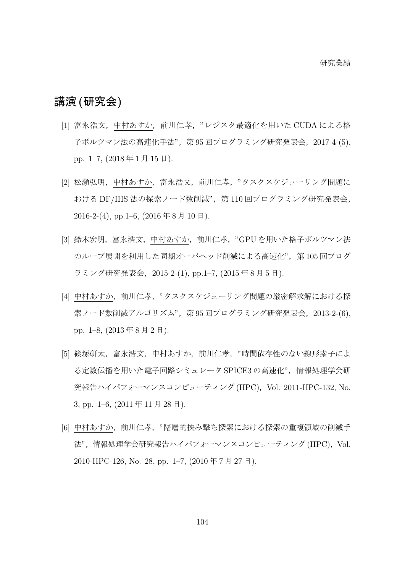### 講演**(**研究会**)**

- [1] 富永浩文,中村あすか,前川仁孝,"レジスタ最適化を用いた CUDA による格 子ボルツマン法の高速化手法",第 95 回プログラミング研究発表会,2017-4-(5), pp. 1–7, (2018 年 1 月 15 日).
- [2] 松瀬弘明,中村あすか,富永浩文,前川仁孝,"タスクスケジューリング問題に おける DF/IHS 法の探索ノード数削減", 第110回プログラミング研究発表会,  $2016-2-(4)$ , pp.1-6,  $(2016 \ncong 8 \ncong 10 \ncong).$
- [3] 鈴木宏明, 富永浩文, 中村あすか, 前川仁孝, "GPU を用いた格子ボルツマン法 のループ展開を利用した同期オーバヘッド削減による高速化",第105回プログ ラミング研究発表会,2015-2-(1), pp.1–7, (2015 年 8 月 5 日).
- [4] 中村あすか,前川仁孝,"タスクスケジューリング問題の厳密解求解における探 索ノード数削減アルゴリズム",第95回プログラミング研究発表会, 2013-2-(6), pp. 1–8, (2013 年 8 月 2 日).
- [5] 篠塚研太,富永浩文,中村あすか,前川仁孝,"時間依存性のない線形素子によ る定数伝播を用いた電子回路シミュレータ SPICE3 の高速化",情報処理学会研 究報告ハイパフォーマンスコンピューティング (HPC), Vol. 2011-HPC-132, No. 3, pp. 1–6, (2011 年 11 月 28 日).
- [6] 中村あすか,前川仁孝,"階層的挟み撃ち探索における探索の重複領域の削減手 法",情報処理学会研究報告ハイパフォーマンスコンピューティング (HPC), Vol. 2010-HPC-126, No. 28, pp. 1–7, (2010 年 7 月 27 日).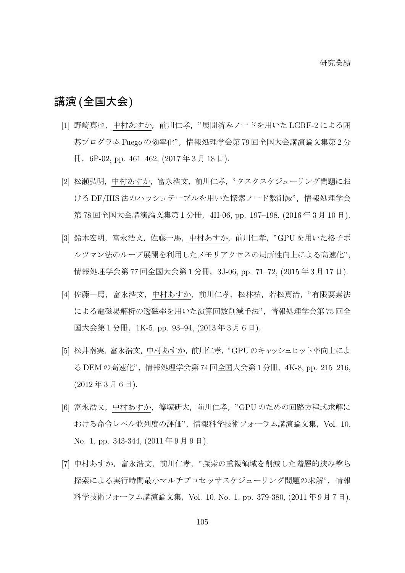## 講演**(**全国大会**)**

- [1] 野崎真也, 中村あすか, 前川仁孝, "展開済みノードを用いた LGRF-2 による囲 碁プログラム Fuego の効率化",情報処理学会第 79 回全国大会講演論文集第 2 分 冊,6P-02, pp. 461–462, (2017 年 3 月 18 日).
- [2] 松瀬弘明,中村あすか,富永浩文,前川仁孝,"タスクスケジューリング問題にお ける DF/IHS 法のハッシュテーブルを用いた探索ノード数削減",情報処理学会 第 78 回全国大会講演論文集第 1 分冊, 4H-06, pp. 197-198, (2016 年 3 月 10 日).
- [3] 鈴木宏明, 富永浩文, 佐藤一馬, 中村あすか, 前川仁孝, "GPU を用いた格子ボ ルツマン法のループ展開を利用したメモリアクセスの局所性向上による高速化", 情報処理学会第 77 回全国大会第 1 分冊, 3J-06, pp. 71-72, (2015 年 3 月 17 日).
- [4] 佐藤一馬,富永浩文,中村あすか,前川仁孝,松林祐,若松真治,"有限要素法 による電磁場解析の透磁率を用いた演算回数削減手法",情報処理学会第 75 回全 国大会第 1 分冊,1K-5, pp. 93–94, (2013 年 3 月 6 日).
- [5] 松井南実,富永浩文,中村あすか,前川仁孝,"GPUのキャッシュヒット率向上によ る DEM の高速化",情報処理学会第 74 回全国大会第 1 分冊,4K-8, pp. 215–216,  $(2012 \n 4 \n 3 \n 5 \n 6 \n 6 \n 7).$
- [6] 富永浩文,中村あすか,篠塚研太,前川仁孝,"GPU のための回路方程式求解に おける命令レベル並列度の評価",情報科学技術フォーラム講演論文集,Vol. 10, No. 1, pp. 343-344, (2011 年 9 月 9 日).
- [7] 中村あすか,富永浩文,前川仁孝,"探索の重複領域を削減した階層的挟み撃ち 探索による実行時間最小マルチプロセッサスケジューリング問題の求解"、情報 科学技術フォーラム講演論文集,Vol. 10, No. 1, pp. 379-380, (2011 年 9 月 7 日).